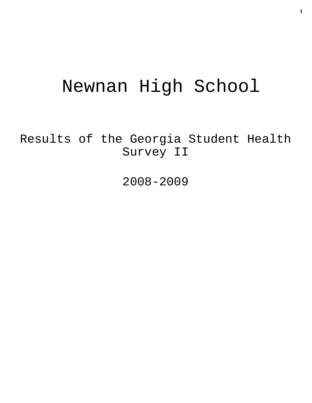# Newnan High School

Results of the Georgia Student Health Survey II

2008-2009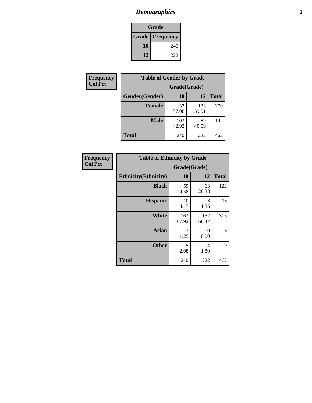# *Demographics* **2**

| Grade                    |     |  |  |
|--------------------------|-----|--|--|
| <b>Grade   Frequency</b> |     |  |  |
| 10                       | 240 |  |  |
| 12                       | 222 |  |  |

| Frequency      | <b>Table of Gender by Grade</b> |              |              |              |  |  |
|----------------|---------------------------------|--------------|--------------|--------------|--|--|
| <b>Col Pct</b> |                                 | Grade(Grade) |              |              |  |  |
|                | Gender(Gender)                  | 10           | 12           | <b>Total</b> |  |  |
|                | <b>Female</b>                   | 137<br>57.08 | 133<br>59.91 | 270          |  |  |
|                | <b>Male</b>                     | 103<br>42.92 | 89<br>40.09  | 192          |  |  |
|                | <b>Total</b>                    | 240          | 222          | 462          |  |  |

| Frequency<br>Col Pct |
|----------------------|
|                      |

| <b>Table of Ethnicity by Grade</b> |              |              |              |  |  |  |
|------------------------------------|--------------|--------------|--------------|--|--|--|
|                                    | Grade(Grade) |              |              |  |  |  |
| <b>Ethnicity</b> (Ethnicity)       | 10           | 12           | <b>Total</b> |  |  |  |
| <b>Black</b>                       | 59<br>24.58  | 63<br>28.38  | 122          |  |  |  |
| <b>Hispanic</b>                    | 10<br>4.17   | 3<br>1.35    | 13           |  |  |  |
| White                              | 163<br>67.92 | 152<br>68.47 | 315          |  |  |  |
| <b>Asian</b>                       | 3<br>1.25    | 0<br>0.00    | 3            |  |  |  |
| <b>Other</b>                       | 5<br>2.08    | 4<br>1.80    | 9            |  |  |  |
| <b>Total</b>                       | 240          | 222          | 462          |  |  |  |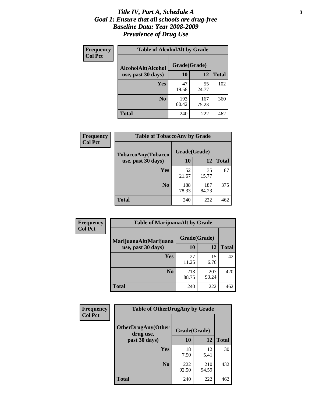#### *Title IV, Part A, Schedule A* **3** *Goal 1: Ensure that all schools are drug-free Baseline Data: Year 2008-2009 Prevalence of Drug Use*

| Frequency<br><b>Col Pct</b> | <b>Table of AlcoholAlt by Grade</b> |              |              |              |  |  |
|-----------------------------|-------------------------------------|--------------|--------------|--------------|--|--|
|                             | AlcoholAlt(Alcohol                  | Grade(Grade) |              |              |  |  |
|                             | use, past 30 days)                  | 10           | 12           | <b>Total</b> |  |  |
|                             | Yes                                 | 47<br>19.58  | 55<br>24.77  | 102          |  |  |
|                             | N <sub>0</sub>                      | 193<br>80.42 | 167<br>75.23 | 360          |  |  |
|                             | <b>Total</b>                        | 240          | 222          | 462          |  |  |

| Frequency      | <b>Table of TobaccoAny by Grade</b> |              |              |              |  |  |
|----------------|-------------------------------------|--------------|--------------|--------------|--|--|
| <b>Col Pct</b> | <b>TobaccoAny(Tobacco</b>           | Grade(Grade) |              |              |  |  |
|                | use, past 30 days)                  | 10           | 12           | <b>Total</b> |  |  |
|                | Yes                                 | 52<br>21.67  | 35<br>15.77  | 87           |  |  |
|                | N <sub>0</sub>                      | 188<br>78.33 | 187<br>84.23 | 375          |  |  |
|                | Total                               | 240          | 222          | 462          |  |  |

| Frequency<br><b>Col Pct</b> | <b>Table of MarijuanaAlt by Grade</b> |              |              |              |  |
|-----------------------------|---------------------------------------|--------------|--------------|--------------|--|
|                             | MarijuanaAlt(Marijuana                | Grade(Grade) |              |              |  |
|                             | use, past 30 days)                    | <b>10</b>    | 12           | <b>Total</b> |  |
|                             | <b>Yes</b>                            | 27<br>11.25  | 15<br>6.76   | 42           |  |
|                             | N <sub>0</sub>                        | 213<br>88.75 | 207<br>93.24 | 420          |  |
|                             | <b>Total</b>                          | 240          | 222          | 462          |  |

| Frequency<br><b>Col Pct</b> | <b>Table of OtherDrugAny by Grade</b>  |              |              |              |  |
|-----------------------------|----------------------------------------|--------------|--------------|--------------|--|
|                             | <b>OtherDrugAny(Other</b><br>drug use, |              | Grade(Grade) |              |  |
|                             | past 30 days)                          | 10           | 12           | <b>Total</b> |  |
|                             | Yes                                    | 18<br>7.50   | 12<br>5.41   | 30           |  |
|                             | N <sub>0</sub>                         | 222<br>92.50 | 210<br>94.59 | 432          |  |
|                             | <b>Total</b>                           | 240          | 222          | 462          |  |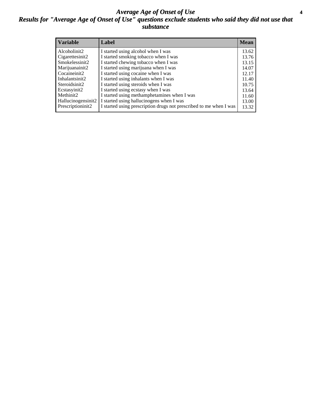#### *Average Age of Onset of Use* **4** *Results for "Average Age of Onset of Use" questions exclude students who said they did not use that substance*

| <b>Variable</b>       | Label                                                              | <b>Mean</b> |
|-----------------------|--------------------------------------------------------------------|-------------|
| Alcoholinit2          | I started using alcohol when I was                                 | 13.62       |
| Cigarettesinit2       | I started smoking tobacco when I was                               | 13.76       |
| Smokelessinit2        | I started chewing tobacco when I was                               | 13.15       |
| Marijuanainit2        | I started using marijuana when I was                               | 14.07       |
| Cocaineinit2          | I started using cocaine when I was                                 | 12.17       |
| Inhalantsinit2        | I started using inhalants when I was                               | 11.40       |
| Steroidsinit2         | I started using steroids when I was                                | 10.75       |
| Ecstasyinit2          | I started using ecstasy when I was                                 | 13.64       |
| Methinit <sub>2</sub> | I started using methamphetamines when I was                        | 11.60       |
| Hallucinogensinit2    | I started using hallucinogens when I was                           | 13.00       |
| Prescriptioninit2     | I started using prescription drugs not prescribed to me when I was | 13.32       |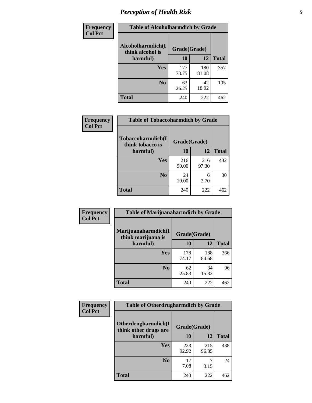# *Perception of Health Risk* **5**

| Frequency      | <b>Table of Alcoholharmdich by Grade</b> |              |              |              |  |
|----------------|------------------------------------------|--------------|--------------|--------------|--|
| <b>Col Pct</b> | Alcoholharmdich(I<br>think alcohol is    | Grade(Grade) |              |              |  |
|                | harmful)                                 | 10           | 12           | <b>Total</b> |  |
|                | <b>Yes</b>                               | 177<br>73.75 | 180<br>81.08 | 357          |  |
|                | N <sub>0</sub>                           | 63<br>26.25  | 42<br>18.92  | 105          |  |
|                | <b>Total</b>                             | 240          | 222          | 462          |  |

| <b>Frequency</b>                                                    | <b>Table of Tobaccoharmdich by Grade</b> |              |              |     |
|---------------------------------------------------------------------|------------------------------------------|--------------|--------------|-----|
| <b>Col Pct</b><br>Tobaccoharmdich(I<br>think tobacco is<br>harmful) |                                          | Grade(Grade) |              |     |
|                                                                     | 10                                       | 12           | <b>Total</b> |     |
|                                                                     | Yes                                      | 216<br>90.00 | 216<br>97.30 | 432 |
|                                                                     | N <sub>0</sub>                           | 24<br>10.00  | 6<br>2.70    | 30  |
|                                                                     | Total                                    | 240          | 222          | 462 |

| <b>Frequency</b> | <b>Table of Marijuanaharmdich by Grade</b>                |              |              |              |  |  |
|------------------|-----------------------------------------------------------|--------------|--------------|--------------|--|--|
| <b>Col Pct</b>   | Marijuanaharmdich(I<br>Grade(Grade)<br>think marijuana is |              |              |              |  |  |
|                  | harmful)                                                  | 10           | 12           | <b>Total</b> |  |  |
|                  | Yes                                                       | 178<br>74.17 | 188<br>84.68 | 366          |  |  |
|                  | N <sub>0</sub>                                            | 62<br>25.83  | 34<br>15.32  | 96           |  |  |
|                  | <b>Total</b>                                              | 240          | 222          | 462          |  |  |

| Frequency      | <b>Table of Otherdrugharmdich by Grade</b>   |              |              |              |  |  |  |  |
|----------------|----------------------------------------------|--------------|--------------|--------------|--|--|--|--|
| <b>Col Pct</b> | Otherdrugharmdich(I<br>think other drugs are | Grade(Grade) |              |              |  |  |  |  |
|                | harmful)                                     | 10           | 12           | <b>Total</b> |  |  |  |  |
|                | <b>Yes</b>                                   | 223<br>92.92 | 215<br>96.85 | 438          |  |  |  |  |
|                | N <sub>0</sub>                               | 17<br>7.08   | 3.15         | 24           |  |  |  |  |
|                | <b>Total</b>                                 | 240          | 222          | 462          |  |  |  |  |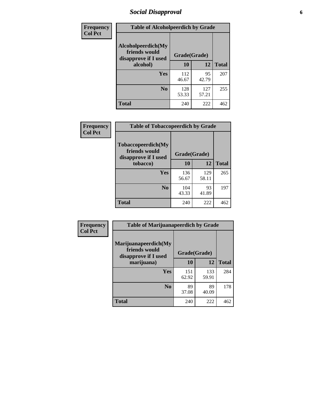# *Social Disapproval* **6**

| Frequency                                                                     | <b>Table of Alcoholpeerdich by Grade</b> |              |              |              |
|-------------------------------------------------------------------------------|------------------------------------------|--------------|--------------|--------------|
| <b>Col Pct</b><br>Alcoholpeerdich(My<br>friends would<br>disapprove if I used |                                          | Grade(Grade) |              |              |
|                                                                               | alcohol)                                 | 10           | 12           | <b>Total</b> |
|                                                                               | <b>Yes</b>                               | 112<br>46.67 | 95<br>42.79  | 207          |
|                                                                               | N <sub>0</sub>                           | 128<br>53.33 | 127<br>57.21 | 255          |
|                                                                               | <b>Total</b>                             | 240          | 222          | 462          |

| <b>Frequency</b> |
|------------------|
| <b>Col Pct</b>   |

| <b>Table of Tobaccopeerdich by Grade</b>                    |              |              |              |  |  |  |
|-------------------------------------------------------------|--------------|--------------|--------------|--|--|--|
| Tobaccopeerdich(My<br>friends would<br>disapprove if I used | Grade(Grade) |              |              |  |  |  |
| tobacco)                                                    | 10           | 12           | <b>Total</b> |  |  |  |
| Yes                                                         | 136<br>56.67 | 129<br>58.11 | 265          |  |  |  |
| N <sub>0</sub>                                              | 104<br>43.33 | 93<br>41.89  | 197          |  |  |  |
| <b>Total</b>                                                | 240          | 222          |              |  |  |  |

| Frequency      | <b>Table of Marijuanapeerdich by Grade</b>                    |              |              |              |  |  |  |  |
|----------------|---------------------------------------------------------------|--------------|--------------|--------------|--|--|--|--|
| <b>Col Pct</b> | Marijuanapeerdich(My<br>friends would<br>disapprove if I used | Grade(Grade) |              |              |  |  |  |  |
|                | marijuana)                                                    | 10           | 12           | <b>Total</b> |  |  |  |  |
|                | <b>Yes</b>                                                    | 151<br>62.92 | 133<br>59.91 | 284          |  |  |  |  |
|                | N <sub>0</sub>                                                | 89<br>37.08  | 89<br>40.09  | 178          |  |  |  |  |
|                | <b>Total</b>                                                  | 240          | 222          | 462          |  |  |  |  |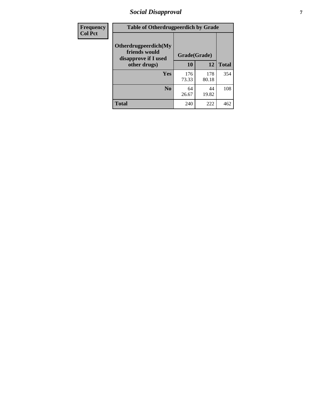# *Social Disapproval* **7**

| Frequency      | <b>Table of Otherdrugpeerdich by Grade</b>                    |              |              |              |  |  |  |
|----------------|---------------------------------------------------------------|--------------|--------------|--------------|--|--|--|
| <b>Col Pct</b> | Otherdrugpeerdich(My<br>friends would<br>disapprove if I used | Grade(Grade) |              |              |  |  |  |
|                | other drugs)                                                  | 10           | 12           | <b>Total</b> |  |  |  |
|                | Yes                                                           | 176<br>73.33 | 178<br>80.18 | 354          |  |  |  |
|                | N <sub>0</sub>                                                | 64<br>26.67  | 44<br>19.82  | 108          |  |  |  |
|                | <b>Total</b>                                                  | 240          | 222          | 462          |  |  |  |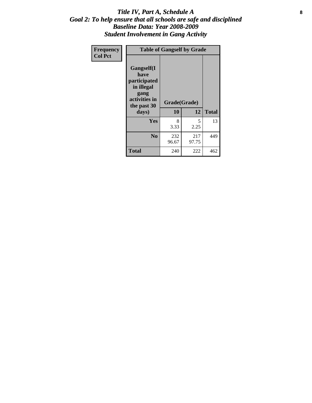#### Title IV, Part A, Schedule A **8** *Goal 2: To help ensure that all schools are safe and disciplined Baseline Data: Year 2008-2009 Student Involvement in Gang Activity*

| Frequency      | <b>Table of Gangself by Grade</b>                                                                 |                    |              |              |
|----------------|---------------------------------------------------------------------------------------------------|--------------------|--------------|--------------|
| <b>Col Pct</b> | Gangself(I<br>have<br>participated<br>in illegal<br>gang<br>activities in<br>the past 30<br>days) | Grade(Grade)<br>10 | 12           | <b>Total</b> |
|                | Yes                                                                                               | 8<br>3.33          | 5<br>2.25    | 13           |
|                | N <sub>0</sub>                                                                                    | 232<br>96.67       | 217<br>97.75 | 449          |
|                | <b>Total</b>                                                                                      | 240                | 222          | 462          |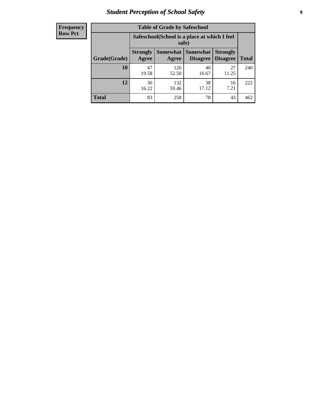# *Student Perception of School Safety* **9**

| <b>Frequency</b><br>Row Pct |
|-----------------------------|
|                             |

| <b>Table of Grade by Safeschool</b> |                                                        |                          |                                    |                                    |              |  |  |
|-------------------------------------|--------------------------------------------------------|--------------------------|------------------------------------|------------------------------------|--------------|--|--|
|                                     | Safeschool (School is a place at which I feel<br>safe) |                          |                                    |                                    |              |  |  |
| Grade(Grade)                        | <b>Strongly</b><br>Agree                               | <b>Somewhat</b><br>Agree | <b>Somewhat</b><br><b>Disagree</b> | <b>Strongly</b><br><b>Disagree</b> | <b>Total</b> |  |  |
| <b>10</b>                           | 47<br>19.58                                            | 126<br>52.50             | 40<br>16.67                        | 27<br>11.25                        | 240          |  |  |
| 12                                  | 36<br>16.22                                            | 132<br>59.46             | 38<br>17.12                        | 16<br>7.21                         | 222          |  |  |
| <b>Total</b>                        | 83                                                     | 258                      | 78                                 | 43                                 | 462          |  |  |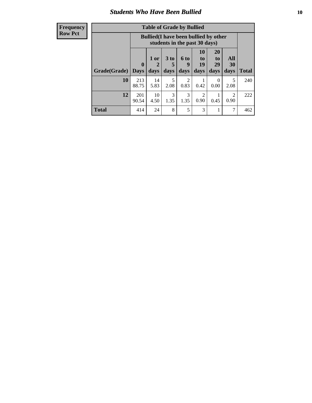#### *Students Who Have Been Bullied* **10**

| <b>Frequency</b> |
|------------------|
| Row Pct          |

| <b>Table of Grade by Bullied</b> |                             |                                                                               |                     |                          |                        |                        |                                 |              |
|----------------------------------|-----------------------------|-------------------------------------------------------------------------------|---------------------|--------------------------|------------------------|------------------------|---------------------------------|--------------|
|                                  |                             | <b>Bullied</b> (I have been bullied by other<br>students in the past 30 days) |                     |                          |                        |                        |                                 |              |
| Grade(Grade)                     | $\mathbf{0}$<br><b>Days</b> | 1 or<br>2<br>days                                                             | $3$ to<br>5<br>days | <b>6 to</b><br>9<br>days | 10<br>to<br>19<br>days | 20<br>to<br>29<br>days | <b>All</b><br><b>30</b><br>days | <b>Total</b> |
| 10                               | 213<br>88.75                | 14<br>5.83                                                                    | 5<br>2.08           | 2<br>0.83                | 0.42                   | $\theta$<br>0.00       | 5<br>2.08                       | 240          |
| 12                               | 201<br>90.54                | 10<br>4.50                                                                    | 3<br>1.35           | 3<br>1.35                | 2<br>0.90              | 0.45                   | $\mathfrak{D}$<br>0.90          | 222          |
| <b>Total</b>                     | 414                         | 24                                                                            | 8                   | 5                        | 3                      | 1                      | 7                               | 462          |

 $\blacksquare$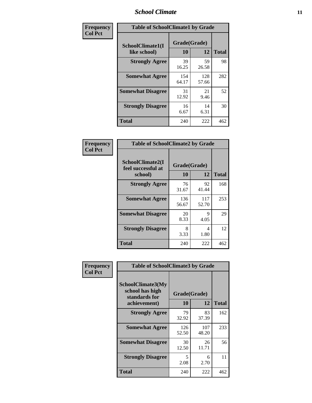### *School Climate* **11**

| <b>Frequency</b> | <b>Table of SchoolClimate1 by Grade</b> |                    |              |              |  |  |  |
|------------------|-----------------------------------------|--------------------|--------------|--------------|--|--|--|
| <b>Col Pct</b>   | SchoolClimate1(I<br>like school)        | Grade(Grade)<br>10 | 12           | <b>Total</b> |  |  |  |
|                  | <b>Strongly Agree</b>                   | 39<br>16.25        | 59<br>26.58  | 98           |  |  |  |
|                  | <b>Somewhat Agree</b>                   | 154<br>64.17       | 128<br>57.66 | 282          |  |  |  |
|                  | <b>Somewhat Disagree</b>                | 31<br>12.92        | 21<br>9.46   | 52           |  |  |  |
|                  | <b>Strongly Disagree</b>                | 16<br>6.67         | 14<br>6.31   | 30           |  |  |  |
|                  | <b>Total</b>                            | 240                | 222          | 462          |  |  |  |

| <b>Frequency</b> |  |
|------------------|--|
| <b>Col Pct</b>   |  |

| <b>Table of SchoolClimate2 by Grade</b>           |                    |              |              |  |
|---------------------------------------------------|--------------------|--------------|--------------|--|
| SchoolClimate2(I<br>feel successful at<br>school) | Grade(Grade)<br>10 | 12           | <b>Total</b> |  |
| <b>Strongly Agree</b>                             | 76<br>31.67        | 92<br>41.44  | 168          |  |
| <b>Somewhat Agree</b>                             | 136<br>56.67       | 117<br>52.70 | 253          |  |
| <b>Somewhat Disagree</b>                          | 20<br>8.33         | 9<br>4.05    | 29           |  |
| <b>Strongly Disagree</b>                          | 8<br>3.33          | 4<br>1.80    | 12           |  |
| <b>Total</b>                                      | 240                | 222          | 462          |  |

| Frequency      | <b>Table of SchoolClimate3 by Grade</b>                                      |                    |              |              |
|----------------|------------------------------------------------------------------------------|--------------------|--------------|--------------|
| <b>Col Pct</b> | <b>SchoolClimate3(My</b><br>school has high<br>standards for<br>achievement) | Grade(Grade)<br>10 | 12           | <b>Total</b> |
|                |                                                                              |                    |              |              |
|                | <b>Strongly Agree</b>                                                        | 79<br>32.92        | 83<br>37.39  | 162          |
|                | <b>Somewhat Agree</b>                                                        | 126<br>52.50       | 107<br>48.20 | 233          |
|                | <b>Somewhat Disagree</b>                                                     | 30<br>12.50        | 26<br>11.71  | 56           |
|                | <b>Strongly Disagree</b>                                                     | 5<br>2.08          | 6<br>2.70    | 11           |
|                | Total                                                                        | 240                | 222          | 462          |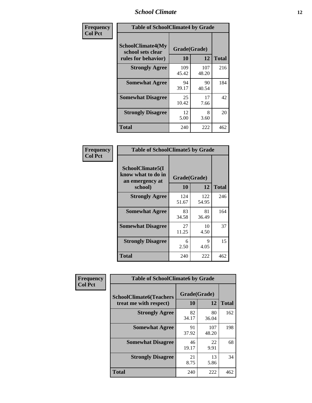### *School Climate* **12**

| Frequency      | <b>Table of SchoolClimate4 by Grade</b>                       |                    |              |              |
|----------------|---------------------------------------------------------------|--------------------|--------------|--------------|
| <b>Col Pct</b> | SchoolClimate4(My<br>school sets clear<br>rules for behavior) | Grade(Grade)<br>10 | 12           | <b>Total</b> |
|                | <b>Strongly Agree</b>                                         | 109<br>45.42       | 107<br>48.20 | 216          |
|                | <b>Somewhat Agree</b>                                         | 94<br>39.17        | 90<br>40.54  | 184          |
|                | <b>Somewhat Disagree</b>                                      | 25<br>10.42        | 17<br>7.66   | 42           |
|                | <b>Strongly Disagree</b>                                      | 12<br>5.00         | 8<br>3.60    | 20           |
|                | <b>Total</b>                                                  | 240                | 222          | 462          |

| <b>Table of SchoolClimate5 by Grade</b>                              |                    |              |     |  |  |
|----------------------------------------------------------------------|--------------------|--------------|-----|--|--|
| SchoolClimate5(I<br>know what to do in<br>an emergency at<br>school) | Grade(Grade)<br>10 | <b>Total</b> |     |  |  |
|                                                                      |                    | 12           |     |  |  |
| <b>Strongly Agree</b>                                                | 124<br>51.67       | 122<br>54.95 | 246 |  |  |
| <b>Somewhat Agree</b>                                                | 83<br>34.58        | 81<br>36.49  | 164 |  |  |
| <b>Somewhat Disagree</b>                                             | 27<br>11.25        | 10<br>4.50   | 37  |  |  |
| <b>Strongly Disagree</b>                                             | 6<br>2.50          | 9<br>4.05    | 15  |  |  |
| Total                                                                | 240                | 222          | 462 |  |  |

| Frequency      | <b>Table of SchoolClimate6 by Grade</b>                  |                          |              |              |  |
|----------------|----------------------------------------------------------|--------------------------|--------------|--------------|--|
| <b>Col Pct</b> | <b>SchoolClimate6(Teachers</b><br>treat me with respect) | Grade(Grade)<br>10<br>12 |              | <b>Total</b> |  |
|                | <b>Strongly Agree</b>                                    | 82<br>34.17              | 80<br>36.04  | 162          |  |
|                | <b>Somewhat Agree</b>                                    | 91<br>37.92              | 107<br>48.20 | 198          |  |
|                | <b>Somewhat Disagree</b>                                 | 46<br>19.17              | 22<br>9.91   | 68           |  |
|                | <b>Strongly Disagree</b>                                 | 21<br>8.75               | 13<br>5.86   | 34           |  |
|                | <b>Total</b>                                             | 240                      | 222          | 462          |  |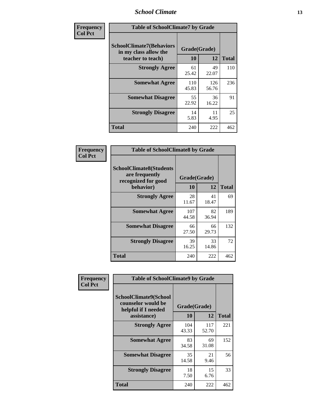### *School Climate* **13**

| Frequency      | <b>Table of SchoolClimate7 by Grade</b>                                       |                    |              |              |  |
|----------------|-------------------------------------------------------------------------------|--------------------|--------------|--------------|--|
| <b>Col Pct</b> | <b>SchoolClimate7(Behaviors</b><br>in my class allow the<br>teacher to teach) | Grade(Grade)<br>10 | 12           | <b>Total</b> |  |
|                | <b>Strongly Agree</b>                                                         | 61<br>25.42        | 49<br>22.07  | 110          |  |
|                | <b>Somewhat Agree</b>                                                         | 110<br>45.83       | 126<br>56.76 | 236          |  |
|                | <b>Somewhat Disagree</b>                                                      | 55<br>22.92        | 36<br>16.22  | 91           |  |
|                | <b>Strongly Disagree</b>                                                      | 14<br>5.83         | 11<br>4.95   | 25           |  |
|                | <b>Total</b>                                                                  | 240                | 222          | 462          |  |

| Frequency      | <b>Table of SchoolClimate8 by Grade</b>                                              |                    |             |              |  |
|----------------|--------------------------------------------------------------------------------------|--------------------|-------------|--------------|--|
| <b>Col Pct</b> | <b>SchoolClimate8(Students</b><br>are frequently<br>recognized for good<br>behavior) | Grade(Grade)<br>10 | 12          | <b>Total</b> |  |
|                | <b>Strongly Agree</b>                                                                | 28<br>11.67        | 41<br>18.47 | 69           |  |
|                | <b>Somewhat Agree</b>                                                                | 107<br>44.58       | 82<br>36.94 | 189          |  |
|                | <b>Somewhat Disagree</b>                                                             | 66<br>27.50        | 66<br>29.73 | 132          |  |
|                | <b>Strongly Disagree</b>                                                             | 39<br>16.25        | 33<br>14.86 | 72           |  |
|                | <b>Total</b>                                                                         | 240                | 222         | 462          |  |

| Frequency      | <b>Table of SchoolClimate9 by Grade</b>                                           |                    |              |              |  |
|----------------|-----------------------------------------------------------------------------------|--------------------|--------------|--------------|--|
| <b>Col Pct</b> | SchoolClimate9(School<br>counselor would be<br>helpful if I needed<br>assistance) | Grade(Grade)<br>10 | 12           | <b>Total</b> |  |
|                | <b>Strongly Agree</b>                                                             | 104<br>43.33       | 117<br>52.70 | 221          |  |
|                | <b>Somewhat Agree</b>                                                             | 83<br>34.58        | 69<br>31.08  | 152          |  |
|                | <b>Somewhat Disagree</b>                                                          | 35<br>14.58        | 21<br>9.46   | 56           |  |
|                | <b>Strongly Disagree</b>                                                          | 18<br>7.50         | 15<br>6.76   | 33           |  |
|                | <b>Total</b>                                                                      | 240                | 222          | 462          |  |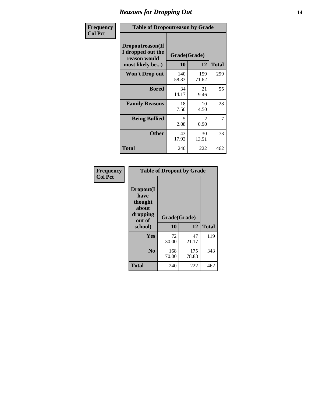### *Reasons for Dropping Out* **14**

| Frequency      | <b>Table of Dropoutreason by Grade</b>                                   |                           |                        |              |
|----------------|--------------------------------------------------------------------------|---------------------------|------------------------|--------------|
| <b>Col Pct</b> | Dropoutreason(If<br>I dropped out the<br>reason would<br>most likely be) | Grade(Grade)<br><b>10</b> | 12                     | <b>Total</b> |
|                | Won't Drop out                                                           | 140<br>58.33              | 159<br>71.62           | 299          |
|                | <b>Bored</b>                                                             | 34<br>14.17               | 21<br>9.46             | 55           |
|                | <b>Family Reasons</b>                                                    | 18<br>7.50                | 10<br>4.50             | 28           |
|                | <b>Being Bullied</b>                                                     | 5<br>2.08                 | $\mathfrak{D}$<br>0.90 | 7            |
|                | <b>Other</b>                                                             | 43<br>17.92               | 30<br>13.51            | 73           |
|                | <b>Total</b>                                                             | 240                       | 222                    | 462          |

| Frequency      | <b>Table of Dropout by Grade</b>                                       |                    |              |              |  |
|----------------|------------------------------------------------------------------------|--------------------|--------------|--------------|--|
| <b>Col Pct</b> | Dropout(I<br>have<br>thought<br>about<br>dropping<br>out of<br>school) | Grade(Grade)<br>10 | 12           | <b>Total</b> |  |
|                |                                                                        |                    |              |              |  |
|                | Yes                                                                    | 72                 | 47           | 119          |  |
|                |                                                                        | 30.00              | 21.17        |              |  |
|                | N <sub>0</sub>                                                         | 168<br>70.00       | 175<br>78.83 | 343          |  |
|                | <b>Total</b>                                                           | 240                | 222          | 462          |  |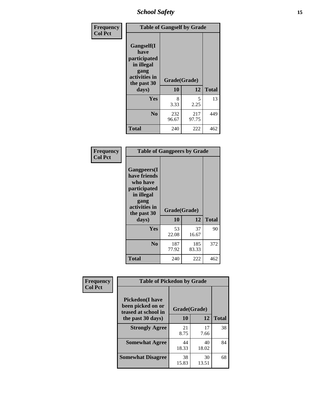*School Safety* **15**

| Frequency      | <b>Table of Gangself by Grade</b>                                                                 |                    |              |              |  |
|----------------|---------------------------------------------------------------------------------------------------|--------------------|--------------|--------------|--|
| <b>Col Pct</b> | Gangself(I<br>have<br>participated<br>in illegal<br>gang<br>activities in<br>the past 30<br>days) | Grade(Grade)<br>10 | 12           | <b>Total</b> |  |
|                | Yes                                                                                               | 8<br>3.33          | 5<br>2.25    | 13           |  |
|                | N <sub>0</sub>                                                                                    | 232<br>96.67       | 217<br>97.75 | 449          |  |
|                | <b>Total</b>                                                                                      | 240                | 222          | 462          |  |

| Frequency<br><b>Col Pct</b> | <b>Table of Gangpeers by Grade</b>                                                                                             |                    |              |              |  |  |  |  |  |
|-----------------------------|--------------------------------------------------------------------------------------------------------------------------------|--------------------|--------------|--------------|--|--|--|--|--|
|                             | <b>Gangpeers</b> (I<br>have friends<br>who have<br>participated<br>in illegal<br>gang<br>activities in<br>the past 30<br>days) | Grade(Grade)<br>10 | 12           | <b>Total</b> |  |  |  |  |  |
|                             | <b>Yes</b>                                                                                                                     | 53<br>22.08        | 37<br>16.67  | 90           |  |  |  |  |  |
|                             | N <sub>0</sub>                                                                                                                 | 187<br>77.92       | 185<br>83.33 | 372          |  |  |  |  |  |
|                             | <b>Total</b>                                                                                                                   | 240                | 222          | 462          |  |  |  |  |  |

| Frequency      |                                                                    | <b>Table of Pickedon by Grade</b> |             |              |  |  |  |  |  |  |  |
|----------------|--------------------------------------------------------------------|-----------------------------------|-------------|--------------|--|--|--|--|--|--|--|
| <b>Col Pct</b> | <b>Pickedon(I have</b><br>been picked on or<br>teased at school in | Grade(Grade)                      |             |              |  |  |  |  |  |  |  |
|                | the past 30 days)                                                  | 10                                | 12          | <b>Total</b> |  |  |  |  |  |  |  |
|                | <b>Strongly Agree</b>                                              | 21<br>8.75                        | 17<br>7.66  | 38           |  |  |  |  |  |  |  |
|                | <b>Somewhat Agree</b>                                              | 44<br>18.33                       | 40<br>18.02 | 84           |  |  |  |  |  |  |  |
|                | <b>Somewhat Disagree</b>                                           | 38<br>15.83                       | 30<br>13.51 | 68           |  |  |  |  |  |  |  |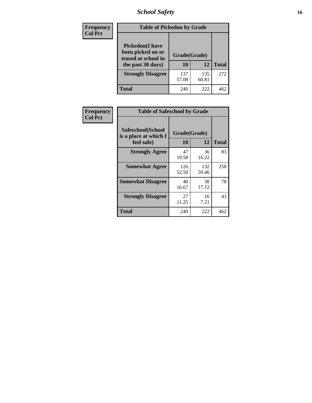# *School Safety* **16**

| <b>Frequency</b> | <b>Table of Pickedon by Grade</b>                                                       |                    |              |              |
|------------------|-----------------------------------------------------------------------------------------|--------------------|--------------|--------------|
| <b>Col Pct</b>   | <b>Pickedon(I have</b><br>been picked on or<br>teased at school in<br>the past 30 days) | Grade(Grade)<br>10 | 12           | <b>Total</b> |
|                  | <b>Strongly Disagree</b>                                                                | 137<br>57.08       | 135<br>60.81 | 272          |
|                  | Total                                                                                   | 240                | 222          | 462          |

| Frequency      | <b>Table of Safeschool by Grade</b>                      |                    |              |     |
|----------------|----------------------------------------------------------|--------------------|--------------|-----|
| <b>Col Pct</b> | Safeschool(School<br>is a place at which I<br>feel safe) | Grade(Grade)<br>10 | <b>Total</b> |     |
|                | <b>Strongly Agree</b>                                    | 47<br>19.58        | 36<br>16.22  | 83  |
|                | <b>Somewhat Agree</b>                                    | 126<br>52.50       | 132<br>59.46 | 258 |
|                | <b>Somewhat Disagree</b>                                 | 40<br>16.67        | 38<br>17.12  | 78  |
|                | <b>Strongly Disagree</b>                                 | 27<br>11.25        | 16<br>7.21   | 43  |
|                | <b>Total</b>                                             | 240                | 222          | 462 |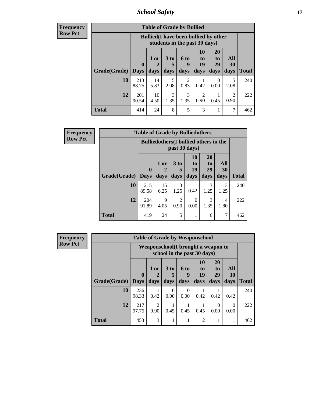*School Safety* **17**

| Frequency      |
|----------------|
| <b>Row Pct</b> |

| <b>Table of Grade by Bullied</b> |                                 |                                                                               |                       |                       |                        |                               |                                     |              |  |  |  |  |
|----------------------------------|---------------------------------|-------------------------------------------------------------------------------|-----------------------|-----------------------|------------------------|-------------------------------|-------------------------------------|--------------|--|--|--|--|
|                                  |                                 | <b>Bullied</b> (I have been bullied by other<br>students in the past 30 days) |                       |                       |                        |                               |                                     |              |  |  |  |  |
| Grade(Grade)                     | $\boldsymbol{0}$<br><b>Days</b> | 1 or<br>$\overline{2}$<br>days                                                | 3 to<br>5<br>days     | 6 to<br>9<br>days     | 10<br>to<br>19<br>days | <b>20</b><br>to<br>29<br>days | All<br><b>30</b><br>days            | <b>Total</b> |  |  |  |  |
| 10                               | 213<br>88.75                    | 14<br>5.83                                                                    | 5<br>2.08             | $\mathcal{D}$<br>0.83 | 0.42                   | 0<br>0.00                     | 5<br>2.08                           | 240          |  |  |  |  |
| 12                               | 201<br>90.54                    | 10<br>4.50                                                                    | $\mathcal{R}$<br>1.35 | 3<br>1.35             | $\mathfrak{D}$<br>0.90 | 0.45                          | $\mathcal{D}_{\mathcal{L}}$<br>0.90 | 222          |  |  |  |  |
| <b>Total</b>                     | 414                             | 24                                                                            | 8                     | 5                     | 3                      |                               | 7                                   | 462          |  |  |  |  |

| Frequency      | <b>Table of Grade by Bulliedothers</b> |                                               |            |                        |                |                       |                        |              |  |  |  |
|----------------|----------------------------------------|-----------------------------------------------|------------|------------------------|----------------|-----------------------|------------------------|--------------|--|--|--|
| <b>Row Pct</b> |                                        | <b>Bulliedothers</b> (I bullied others in the |            |                        |                |                       |                        |              |  |  |  |
|                | <b>Grade</b> (Grade) Days              | $\mathbf{0}$                                  | 1 or       | 3 <sub>to</sub>        | 10<br>to<br>19 | <b>20</b><br>to<br>29 | All<br>30<br>days      | <b>Total</b> |  |  |  |
|                |                                        |                                               | days       | days                   | days           | days                  |                        |              |  |  |  |
|                | 10                                     | 215<br>89.58                                  | 15<br>6.25 | 3<br>1.25              | 0.42           | 3<br>1.25             | 3<br>1.25              | 240          |  |  |  |
|                | 12                                     | 204<br>91.89                                  | 9<br>4.05  | $\mathfrak{D}$<br>0.90 | 0<br>0.00      | 3<br>1.35             | $\overline{4}$<br>1.80 | 222          |  |  |  |
|                | <b>Total</b>                           | 419                                           | 24         | 5                      |                | 6                     | 7                      | 462          |  |  |  |

| <b>Frequency</b> |              |                                     |                        | <b>Table of Grade by Weaponschool</b> |                  |                       |                       |                  |              |
|------------------|--------------|-------------------------------------|------------------------|---------------------------------------|------------------|-----------------------|-----------------------|------------------|--------------|
| <b>Row Pct</b>   |              | Weaponschool (I brought a weapon to |                        |                                       |                  |                       |                       |                  |              |
|                  |              | $\mathbf{0}$                        | $1$ or                 | 3 <sub>to</sub>                       | 6 to<br>9        | <b>10</b><br>to<br>19 | <b>20</b><br>to<br>29 | All<br>30        |              |
|                  | Grade(Grade) | <b>Days</b>                         | days                   | days                                  | days             | days                  | days                  | days             | <b>Total</b> |
|                  | 10           | 236<br>98.33                        | 0.42                   | $\Omega$<br>0.00                      | $\Omega$<br>0.00 | 0.42                  | 0.42                  | 0.42             | 240          |
|                  | 12           | 217<br>97.75                        | $\mathfrak{D}$<br>0.90 | 0.45                                  | 0.45             | 0.45                  | $\Omega$<br>0.00      | $\Omega$<br>0.00 | 222          |
|                  | <b>Total</b> | 453                                 | 3                      |                                       |                  | $\overline{2}$        |                       |                  | 462          |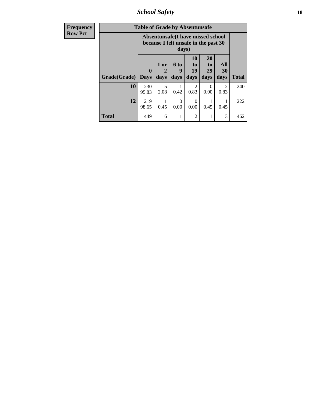*School Safety* **18**

| <b>Frequency</b> | <b>Table of Grade by Absentunsafe</b> |                                                                           |                             |                          |                               |                                           |                        |              |  |  |
|------------------|---------------------------------------|---------------------------------------------------------------------------|-----------------------------|--------------------------|-------------------------------|-------------------------------------------|------------------------|--------------|--|--|
| <b>Row Pct</b>   |                                       | Absentunsafe(I have missed school<br>because I felt unsafe in the past 30 |                             |                          |                               |                                           |                        |              |  |  |
|                  | Grade(Grade)                          | $\mathbf 0$<br><b>Days</b>                                                | 1 or<br>$\mathbf 2$<br>days | <b>6 to</b><br>9<br>days | <b>10</b><br>to<br>19<br>days | <b>20</b><br>t <sub>0</sub><br>29<br>days | All<br>30<br>days      | <b>Total</b> |  |  |
|                  | 10                                    | 230<br>95.83                                                              | 5<br>2.08                   | 0.42                     | $\mathfrak{D}$<br>0.83        | 0<br>0.00                                 | $\mathfrak{D}$<br>0.83 | 240          |  |  |
|                  | 12                                    | 219<br>98.65                                                              | 0.45                        | 0<br>0.00                | 0<br>0.00                     | 0.45                                      | 0.45                   | 222          |  |  |
|                  | <b>Total</b>                          | 449                                                                       | 6                           |                          | $\overline{c}$                |                                           | 3                      | 462          |  |  |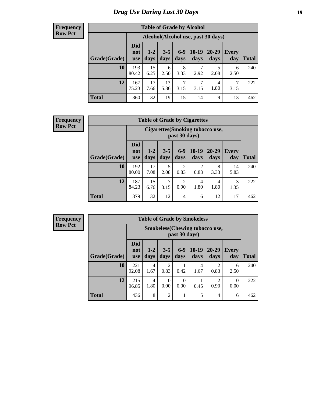# *Drug Use During Last 30 Days* **19**

#### **Frequency Row Pct**

| <b>Table of Grade by Alcohol</b> |                                 |                                    |                 |               |                 |                   |              |              |  |  |  |
|----------------------------------|---------------------------------|------------------------------------|-----------------|---------------|-----------------|-------------------|--------------|--------------|--|--|--|
|                                  |                                 | Alcohol(Alcohol use, past 30 days) |                 |               |                 |                   |              |              |  |  |  |
| Grade(Grade)                     | <b>Did</b><br>not<br><b>use</b> | $1 - 2$<br>days                    | $3 - 5$<br>days | $6-9$<br>days | $10-19$<br>days | $20 - 29$<br>days | Every<br>day | <b>Total</b> |  |  |  |
| 10                               | 193<br>80.42                    | 15<br>6.25                         | 6<br>2.50       | 8<br>3.33     | 2.92            | 5<br>2.08         | 6<br>2.50    | 240          |  |  |  |
| 12                               | 167<br>75.23                    | 17<br>7.66                         | 13<br>5.86      | 7<br>3.15     | 7<br>3.15       | 4<br>1.80         | 7<br>3.15    | 222          |  |  |  |
| <b>Total</b>                     | 360                             | 32                                 | 19              | 15            | 14              | 9                 | 13           | 462          |  |  |  |

#### **Frequency Row Pct**

| <b>Table of Grade by Cigarettes</b> |                                 |                                                          |                 |                        |                 |               |                     |              |  |  |  |
|-------------------------------------|---------------------------------|----------------------------------------------------------|-----------------|------------------------|-----------------|---------------|---------------------|--------------|--|--|--|
|                                     |                                 | <b>Cigarettes</b> (Smoking tobacco use,<br>past 30 days) |                 |                        |                 |               |                     |              |  |  |  |
| Grade(Grade)                        | <b>Did</b><br>not<br><b>use</b> | $1 - 2$<br>days                                          | $3 - 5$<br>days | $6-9$<br>days          | $10-19$<br>days | 20-29<br>days | <b>Every</b><br>day | <b>Total</b> |  |  |  |
| 10                                  | 192<br>80.00                    | 17<br>7.08                                               | 5<br>2.08       | $\overline{c}$<br>0.83 | 2<br>0.83       | 8<br>3.33     | 14<br>5.83          | 240          |  |  |  |
| 12                                  | 187<br>84.23                    | 15<br>6.76                                               | 7<br>3.15       | $\overline{c}$<br>0.90 | 4<br>1.80       | 4<br>1.80     | 3<br>1.35           | 222          |  |  |  |
| <b>Total</b>                        | 379                             | 32                                                       | 12              | $\overline{4}$         | 6               | 12            | 17                  | 462          |  |  |  |

**Frequency Row Pct**

| <b>Table of Grade by Smokeless</b> |                                 |                                                        |                        |                  |                 |                   |              |              |  |  |  |
|------------------------------------|---------------------------------|--------------------------------------------------------|------------------------|------------------|-----------------|-------------------|--------------|--------------|--|--|--|
|                                    |                                 | <b>Smokeless</b> (Chewing tobaccouse,<br>past 30 days) |                        |                  |                 |                   |              |              |  |  |  |
| Grade(Grade)                       | <b>Did</b><br>not<br><b>use</b> | $1 - 2$<br>days                                        | $3 - 5$<br>days        | $6-9$<br>days    | $10-19$<br>days | $20 - 29$<br>days | Every<br>day | <b>Total</b> |  |  |  |
| 10                                 | 221<br>92.08                    | 4<br>1.67                                              | $\overline{c}$<br>0.83 | 0.42             | 4<br>1.67       | 0.83              | 6<br>2.50    | 240          |  |  |  |
| 12                                 | 215<br>96.85                    | 4<br>1.80                                              | 0<br>0.00              | $\Omega$<br>0.00 | 0.45            | 0.90              | 0<br>0.00    | 222          |  |  |  |
| <b>Total</b>                       | 436                             | 8                                                      | $\overline{2}$         |                  | 5               | 4                 | 6            | 462          |  |  |  |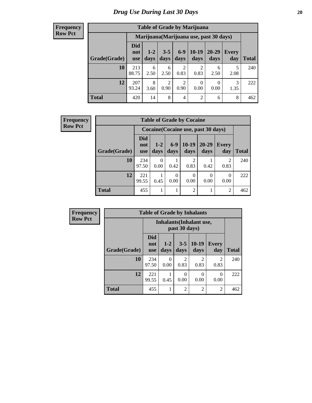#### **Frequency Row Pct**

| <b>Table of Grade by Marijuana</b>                                                                                                                                  |              |                                         |                        |                        |                        |           |           |     |  |  |
|---------------------------------------------------------------------------------------------------------------------------------------------------------------------|--------------|-----------------------------------------|------------------------|------------------------|------------------------|-----------|-----------|-----|--|--|
|                                                                                                                                                                     |              | Marijuana (Marijuana use, past 30 days) |                        |                        |                        |           |           |     |  |  |
| <b>Did</b><br>$6-9$<br>$10-19$<br>20-29<br>$3 - 5$<br>$1 - 2$<br>Every<br>not<br>Grade(Grade)<br>days<br>days<br>Total<br>days<br>days<br>day<br>days<br><b>use</b> |              |                                         |                        |                        |                        |           |           |     |  |  |
| 10                                                                                                                                                                  | 213<br>88.75 | 6<br>2.50                               | 6<br>2.50              | $\overline{c}$<br>0.83 | $\overline{c}$<br>0.83 | 6<br>2.50 | 5<br>2.08 | 240 |  |  |
| 12                                                                                                                                                                  | 207<br>93.24 | 8<br>3.60                               | $\overline{2}$<br>0.90 | $\overline{c}$<br>0.90 | $\theta$<br>0.00       | 0<br>0.00 | 3<br>1.35 | 222 |  |  |
| <b>Total</b>                                                                                                                                                        | 420          | 14                                      | 8                      | $\overline{4}$         | $\overline{2}$         | 6         | 8         | 462 |  |  |

| <b>Frequency</b> |              |                                 |                 |                  |                        | <b>Table of Grade by Cocaine</b>    |                     |              |  |  |  |  |
|------------------|--------------|---------------------------------|-----------------|------------------|------------------------|-------------------------------------|---------------------|--------------|--|--|--|--|
| <b>Row Pct</b>   |              |                                 |                 |                  |                        | Cocaine (Cocaine use, past 30 days) |                     |              |  |  |  |  |
|                  | Grade(Grade) | <b>Did</b><br>not<br><b>use</b> | $1 - 2$<br>days | $6-9$<br>days    | $10-19$<br>days        | $20 - 29$<br>days                   | <b>Every</b><br>day | <b>Total</b> |  |  |  |  |
|                  | 10           | 234<br>97.50                    | 0<br>0.00       | 0.42             | $\overline{2}$<br>0.83 | 0.42                                | 2<br>0.83           | 240          |  |  |  |  |
|                  | 12           | 221<br>99.55                    | 0.45            | $\Omega$<br>0.00 | $\Omega$<br>0.00       | 0.00                                | $\theta$<br>0.00    | 222          |  |  |  |  |
|                  | <b>Total</b> | 455                             | -               |                  | $\overline{2}$         |                                     | $\overline{2}$      | 462          |  |  |  |  |

| <b>Frequency</b> |              |                                 |                  |                        | <b>Table of Grade by Inhalants</b> |                        |              |  |  |  |
|------------------|--------------|---------------------------------|------------------|------------------------|------------------------------------|------------------------|--------------|--|--|--|
| <b>Row Pct</b>   |              | <b>Inhalants</b> (Inhalant use, |                  |                        |                                    |                        |              |  |  |  |
|                  | Grade(Grade) | <b>Did</b><br>not<br><b>use</b> | $1 - 2$<br>days  | $3 - 5$<br>days        | $10-19$<br>days                    | <b>Every</b><br>day    | <b>Total</b> |  |  |  |
|                  | 10           | 234<br>97.50                    | $\Omega$<br>0.00 | $\mathfrak{D}$<br>0.83 | $\mathfrak{D}$<br>0.83             | $\mathfrak{D}$<br>0.83 | 240          |  |  |  |
|                  | 12           | 221<br>99.55                    | 0.45             | 0<br>0.00              | 0<br>0.00                          | $\Omega$<br>0.00       | 222          |  |  |  |
|                  | <b>Total</b> | 455                             |                  | $\overline{2}$         | $\overline{2}$                     | $\overline{2}$         | 462          |  |  |  |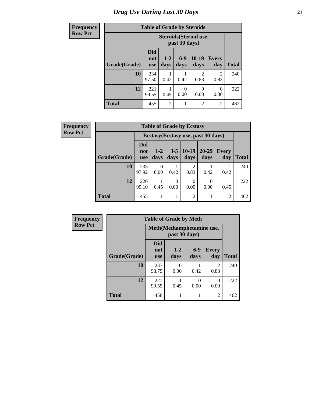# *Drug Use During Last 30 Days* **21**

| <b>Frequency</b> |              |                          |                 |                  | <b>Table of Grade by Steroids</b> |                        |              |  |  |  |
|------------------|--------------|--------------------------|-----------------|------------------|-----------------------------------|------------------------|--------------|--|--|--|
| <b>Row Pct</b>   |              |                          |                 | past 30 days)    | Steroids (Steroid use,            |                        |              |  |  |  |
|                  | Grade(Grade) | Did<br>not<br><b>use</b> | $1 - 2$<br>days | $6 - 9$<br>days  | $10-19$<br>days                   | <b>Every</b><br>day    | <b>Total</b> |  |  |  |
|                  | 10           | 234<br>97.50             | 0.42            | 0.42             | $\mathcal{D}$<br>0.83             | $\mathfrak{D}$<br>0.83 | 240          |  |  |  |
|                  | 12           | 221<br>99.55             | 0.45            | $\theta$<br>0.00 | 0<br>0.00                         | $\Omega$<br>0.00       | 222          |  |  |  |
|                  | <b>Total</b> | 455                      | $\overline{c}$  |                  | $\overline{c}$                    | $\overline{2}$         | 462          |  |  |  |

| Frequency      | <b>Table of Grade by Ecstasy</b> |                                 |               |                 |                        |                                     |                     |              |  |
|----------------|----------------------------------|---------------------------------|---------------|-----------------|------------------------|-------------------------------------|---------------------|--------------|--|
| <b>Row Pct</b> |                                  |                                 |               |                 |                        | Ecstasy (Ecstasy use, past 30 days) |                     |              |  |
|                | Grade(Grade)                     | <b>Did</b><br>not<br><b>use</b> | $1-2$<br>days | $3 - 5$<br>days | $10-19$<br>days        | $20 - 29$<br>days                   | <b>Every</b><br>day | <b>Total</b> |  |
|                | 10                               | 235<br>97.92                    | 0<br>0.00     | 0.42            | $\mathfrak{D}$<br>0.83 | 0.42                                | 0.42                | 240          |  |
|                | 12                               | 220<br>99.10                    | 0.45          | 0<br>0.00       | $\Omega$<br>0.00       | $\Omega$<br>0.00                    | 0.45                | 222          |  |
|                | <b>Total</b>                     | 455                             |               |                 | 2                      |                                     | $\overline{2}$      | 462          |  |

| <b>Frequency</b> | <b>Table of Grade by Meth</b> |                                 |                                            |               |                        |              |  |  |  |
|------------------|-------------------------------|---------------------------------|--------------------------------------------|---------------|------------------------|--------------|--|--|--|
| <b>Row Pct</b>   |                               |                                 | Meth(Methamphetamine use,<br>past 30 days) |               |                        |              |  |  |  |
|                  | Grade(Grade)                  | <b>Did</b><br>not<br><b>use</b> | $1-2$<br>days                              | $6-9$<br>days | <b>Every</b><br>day    | <b>Total</b> |  |  |  |
|                  | 10                            | 237<br>98.75                    | 0<br>0.00                                  | 0.42          | $\mathfrak{D}$<br>0.83 | 240          |  |  |  |
|                  | 12                            | 221<br>99.55                    | 0.45                                       | 0<br>0.00     | 0<br>0.00              | 222          |  |  |  |
|                  | <b>Total</b>                  | 458                             |                                            | 1             | $\mathfrak{D}$         | 462          |  |  |  |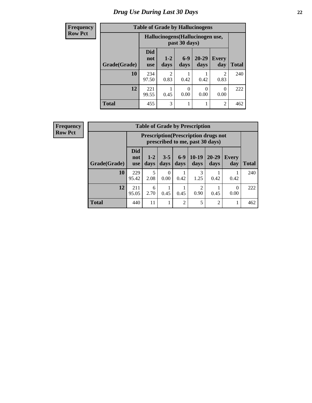# *Drug Use During Last 30 Days* **22**

| <b>Frequency</b> | <b>Table of Grade by Hallucinogens</b> |                                  |                 |                  |                   |                        |              |
|------------------|----------------------------------------|----------------------------------|-----------------|------------------|-------------------|------------------------|--------------|
| <b>Row Pct</b>   |                                        | Hallucinogens (Hallucinogen use, |                 |                  |                   |                        |              |
|                  | Grade(Grade)                           | <b>Did</b><br>not<br><b>use</b>  | $1 - 2$<br>days | $6-9$<br>days    | $20 - 29$<br>days | <b>Every</b><br>day    | <b>Total</b> |
|                  | 10                                     | 234<br>97.50                     | 2<br>0.83       | 0.42             | 0.42              | $\mathfrak{D}$<br>0.83 | 240          |
|                  | 12                                     | 221<br>99.55                     | 0.45            | $\Omega$<br>0.00 | 0<br>0.00         | 0<br>0.00              | 222          |
|                  | <b>Total</b>                           | 455                              | 3               |                  | 1                 | $\overline{2}$         | 462          |

| <b>Frequency</b> |
|------------------|
| <b>Row Pct</b>   |

| <b>Table of Grade by Prescription</b> |                          |                                                                                                                             |           |                |                        |                |           |     |  |  |
|---------------------------------------|--------------------------|-----------------------------------------------------------------------------------------------------------------------------|-----------|----------------|------------------------|----------------|-----------|-----|--|--|
|                                       |                          | <b>Prescription</b> (Prescription drugs not<br>prescribed to me, past 30 days)                                              |           |                |                        |                |           |     |  |  |
| Grade(Grade)                          | Did<br>not<br><b>use</b> | $10-19$<br>$6-9$<br>$20 - 29$<br>$3 - 5$<br>$1 - 2$<br><b>Every</b><br>days<br>days<br>days<br>days<br>Total<br>day<br>days |           |                |                        |                |           |     |  |  |
| 10                                    | 229<br>95.42             | 5<br>2.08                                                                                                                   | 0<br>0.00 | 0.42           | 3<br>1.25              | 0.42           | 0.42      | 240 |  |  |
| 12                                    | 211<br>95.05             | 6<br>2.70                                                                                                                   | 0.45      | 0.45           | $\overline{2}$<br>0.90 | 0.45           | 0<br>0.00 | 222 |  |  |
| <b>Total</b>                          | 440                      | 11                                                                                                                          |           | $\overline{2}$ | 5                      | $\mathfrak{D}$ |           | 462 |  |  |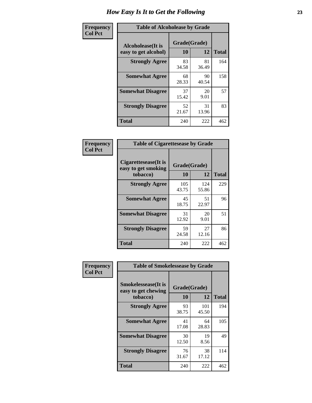| Frequency      | <b>Table of Alcoholease by Grade</b>              |                    |             |              |
|----------------|---------------------------------------------------|--------------------|-------------|--------------|
| <b>Col Pct</b> | <b>Alcoholease</b> (It is<br>easy to get alcohol) | Grade(Grade)<br>10 | 12          | <b>Total</b> |
|                | <b>Strongly Agree</b>                             | 83<br>34.58        | 81<br>36.49 | 164          |
|                | <b>Somewhat Agree</b>                             | 68<br>28.33        | 90<br>40.54 | 158          |
|                | <b>Somewhat Disagree</b>                          | 37<br>15.42        | 20<br>9.01  | 57           |
|                | <b>Strongly Disagree</b>                          | 52<br>21.67        | 31<br>13.96 | 83           |
|                | <b>Total</b>                                      | 240                | 222         | 462          |

| Frequency      | <b>Table of Cigarettesease by Grade</b>                  |                    |              |              |  |  |  |
|----------------|----------------------------------------------------------|--------------------|--------------|--------------|--|--|--|
| <b>Col Pct</b> | Cigarettesease (It is<br>easy to get smoking<br>tobacco) | Grade(Grade)<br>10 | 12           | <b>Total</b> |  |  |  |
|                | <b>Strongly Agree</b>                                    | 105<br>43.75       | 124<br>55.86 | 229          |  |  |  |
|                | <b>Somewhat Agree</b>                                    | 45<br>18.75        | 51<br>22.97  | 96           |  |  |  |
|                | <b>Somewhat Disagree</b>                                 | 31<br>12.92        | 20<br>9.01   | 51           |  |  |  |
|                | <b>Strongly Disagree</b>                                 | 59<br>24.58        | 27<br>12.16  | 86           |  |  |  |
|                | <b>Total</b>                                             | 240                | 222          | 462          |  |  |  |

| Frequency      | <b>Table of Smokelessease by Grade</b>                         |                    |              |              |
|----------------|----------------------------------------------------------------|--------------------|--------------|--------------|
| <b>Col Pct</b> | <b>Smokelessease</b> (It is<br>easy to get chewing<br>tobacco) | Grade(Grade)<br>10 | 12           | <b>Total</b> |
|                | <b>Strongly Agree</b>                                          | 93<br>38.75        | 101<br>45.50 | 194          |
|                | <b>Somewhat Agree</b>                                          | 41<br>17.08        | 64<br>28.83  | 105          |
|                | <b>Somewhat Disagree</b>                                       | 30<br>12.50        | 19<br>8.56   | 49           |
|                | <b>Strongly Disagree</b>                                       | 76<br>31.67        | 38<br>17.12  | 114          |
|                | <b>Total</b>                                                   | 240                | 222          | 462          |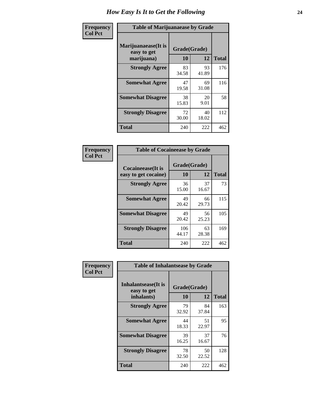| Frequency      | <b>Table of Marijuanaease by Grade</b>           |                    |             |              |  |  |  |
|----------------|--------------------------------------------------|--------------------|-------------|--------------|--|--|--|
| <b>Col Pct</b> | Marijuanaease(It is<br>easy to get<br>marijuana) | Grade(Grade)<br>10 | 12          | <b>Total</b> |  |  |  |
|                | <b>Strongly Agree</b>                            | 83<br>34.58        | 93<br>41.89 | 176          |  |  |  |
|                | <b>Somewhat Agree</b>                            | 47<br>19.58        | 69<br>31.08 | 116          |  |  |  |
|                | <b>Somewhat Disagree</b>                         | 38<br>15.83        | 20<br>9.01  | 58           |  |  |  |
|                | <b>Strongly Disagree</b>                         | 72<br>30.00        | 40<br>18.02 | 112          |  |  |  |
|                | <b>Total</b>                                     | 240                | 222         | 462          |  |  |  |

| <b>Table of Cocaineease by Grade</b>              |              |                    |     |  |  |  |
|---------------------------------------------------|--------------|--------------------|-----|--|--|--|
| <b>Cocaineease</b> (It is<br>easy to get cocaine) | 10           | Grade(Grade)<br>12 |     |  |  |  |
| <b>Strongly Agree</b>                             | 36<br>15.00  | 37<br>16.67        | 73  |  |  |  |
| <b>Somewhat Agree</b>                             | 49<br>20.42  | 66<br>29.73        | 115 |  |  |  |
| <b>Somewhat Disagree</b>                          | 49<br>20.42  | 56<br>25.23        | 105 |  |  |  |
| <b>Strongly Disagree</b>                          | 106<br>44.17 | 63<br>28.38        | 169 |  |  |  |
| <b>Total</b>                                      | 240          | 222                | 462 |  |  |  |

| Frequency      | <b>Table of Inhalantsease by Grade</b>     |              |             |              |  |  |  |  |  |
|----------------|--------------------------------------------|--------------|-------------|--------------|--|--|--|--|--|
| <b>Col Pct</b> | <b>Inhalantsease</b> (It is<br>easy to get | Grade(Grade) |             |              |  |  |  |  |  |
|                | inhalants)                                 | 10           | 12          | <b>Total</b> |  |  |  |  |  |
|                | <b>Strongly Agree</b>                      | 79<br>32.92  | 84<br>37.84 | 163          |  |  |  |  |  |
|                | <b>Somewhat Agree</b>                      | 44<br>18.33  | 51<br>22.97 | 95           |  |  |  |  |  |
|                | <b>Somewhat Disagree</b>                   | 39<br>16.25  | 37<br>16.67 | 76           |  |  |  |  |  |
|                | <b>Strongly Disagree</b>                   | 78<br>32.50  | 50<br>22.52 | 128          |  |  |  |  |  |
|                | <b>Total</b>                               | 240          | 222         | 462          |  |  |  |  |  |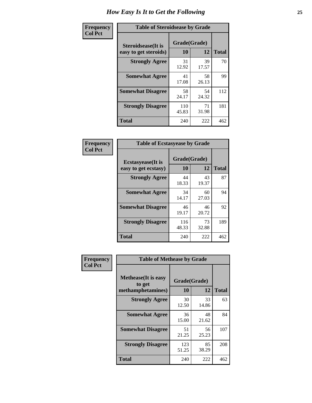| Frequency      | <b>Table of Steroidsease by Grade</b>               |                    |             |              |  |  |  |  |
|----------------|-----------------------------------------------------|--------------------|-------------|--------------|--|--|--|--|
| <b>Col Pct</b> | <b>Steroidsease</b> (It is<br>easy to get steroids) | Grade(Grade)<br>10 | 12          | <b>Total</b> |  |  |  |  |
|                | <b>Strongly Agree</b>                               | 31<br>12.92        | 39<br>17.57 | 70           |  |  |  |  |
|                | <b>Somewhat Agree</b>                               | 41<br>17.08        | 58<br>26.13 | 99           |  |  |  |  |
|                | <b>Somewhat Disagree</b>                            | 58<br>24.17        | 54<br>24.32 | 112          |  |  |  |  |
|                | <b>Strongly Disagree</b>                            | 110<br>45.83       | 71<br>31.98 | 181          |  |  |  |  |
|                | <b>Total</b>                                        | 240                | 222         | 462          |  |  |  |  |

| Frequency      | <b>Table of Ecstasyease by Grade</b>              |                    |             |              |  |  |  |  |
|----------------|---------------------------------------------------|--------------------|-------------|--------------|--|--|--|--|
| <b>Col Pct</b> | <b>Ecstasyease</b> (It is<br>easy to get ecstasy) | Grade(Grade)<br>10 | 12          | <b>Total</b> |  |  |  |  |
|                | <b>Strongly Agree</b>                             | 44<br>18.33        | 43<br>19.37 | 87           |  |  |  |  |
|                | <b>Somewhat Agree</b>                             | 34<br>14.17        | 60<br>27.03 | 94           |  |  |  |  |
|                | <b>Somewhat Disagree</b>                          | 46<br>19.17        | 46<br>20.72 | 92           |  |  |  |  |
|                | <b>Strongly Disagree</b>                          | 116<br>48.33       | 73<br>32.88 | 189          |  |  |  |  |
|                | Total                                             | 240                | 222         | 462          |  |  |  |  |

| <b>Frequency</b><br>Col Pct |
|-----------------------------|
|                             |

| <b>Table of Methease by Grade</b>                          |                    |              |     |  |  |  |  |
|------------------------------------------------------------|--------------------|--------------|-----|--|--|--|--|
| <b>Methease</b> (It is easy<br>to get<br>methamphetamines) | Grade(Grade)<br>10 | <b>Total</b> |     |  |  |  |  |
| <b>Strongly Agree</b>                                      | 30<br>12.50        | 33<br>14.86  | 63  |  |  |  |  |
| <b>Somewhat Agree</b>                                      | 36<br>15.00        | 48<br>21.62  | 84  |  |  |  |  |
| <b>Somewhat Disagree</b>                                   | 51<br>21.25        | 56<br>25.23  | 107 |  |  |  |  |
| <b>Strongly Disagree</b>                                   | 123<br>51.25       | 85<br>38.29  | 208 |  |  |  |  |
| Total                                                      | 240                | 222          | 462 |  |  |  |  |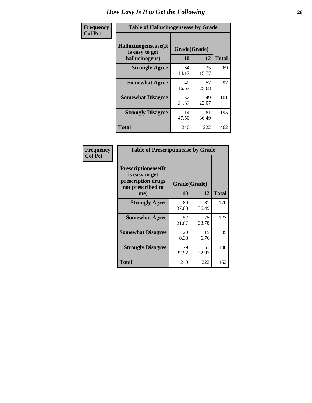| <b>Frequency</b> | <b>Table of Hallucinogensease by Grade</b>                |                    |             |              |  |  |  |
|------------------|-----------------------------------------------------------|--------------------|-------------|--------------|--|--|--|
| <b>Col Pct</b>   | Hallucinogensease(It)<br>is easy to get<br>hallucinogens) | Grade(Grade)<br>10 | 12          | <b>Total</b> |  |  |  |
|                  | <b>Strongly Agree</b>                                     | 34<br>14.17        | 35<br>15.77 | 69           |  |  |  |
|                  | <b>Somewhat Agree</b>                                     | 40<br>16.67        | 57<br>25.68 | 97           |  |  |  |
|                  | <b>Somewhat Disagree</b>                                  | 52<br>21.67        | 49<br>22.07 | 101          |  |  |  |
|                  | <b>Strongly Disagree</b>                                  | 114<br>47.50       | 81<br>36.49 | 195          |  |  |  |
|                  | <b>Total</b>                                              | 240                | 222         | 462          |  |  |  |

| Frequency<br>Col Pct |
|----------------------|
|                      |

| <b>Table of Prescriptionease by Grade</b>                                                |              |             |              |  |  |
|------------------------------------------------------------------------------------------|--------------|-------------|--------------|--|--|
| <b>Prescriptionease</b> (It<br>is easy to get<br>prescription drugs<br>not prescribed to | Grade(Grade) |             |              |  |  |
| me)                                                                                      | 10           | 12          | <b>Total</b> |  |  |
| <b>Strongly Agree</b>                                                                    | 89<br>37.08  | 81<br>36.49 | 170          |  |  |
| <b>Somewhat Agree</b>                                                                    | 52<br>21.67  | 75<br>33.78 | 127          |  |  |
| <b>Somewhat Disagree</b>                                                                 | 20<br>8.33   | 15<br>6.76  | 35           |  |  |
| <b>Strongly Disagree</b>                                                                 | 79<br>32.92  | 51<br>22.97 | 130          |  |  |
| Total                                                                                    | 240          | 222         | 462          |  |  |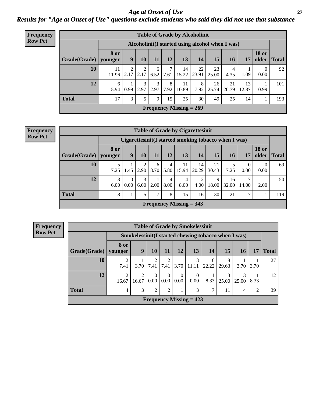*Age at Onset of Use* **27** *Results for "Age at Onset of Use" questions exclude students who said they did not use that substance*

| <b>Frequency</b> | <b>Table of Grade by Alcoholinit</b> |                        |                                                  |           |           |           |             |             |             |             |             |                       |              |
|------------------|--------------------------------------|------------------------|--------------------------------------------------|-----------|-----------|-----------|-------------|-------------|-------------|-------------|-------------|-----------------------|--------------|
| <b>Row Pct</b>   |                                      |                        | Alcoholinit (I started using alcohol when I was) |           |           |           |             |             |             |             |             |                       |              |
|                  | Grade(Grade)                         | <b>8</b> or<br>vounger | 9                                                | 10        | 11        | 12        | 13          | 14          | 15          | 16          | 17          | <b>18 or</b><br>older | <b>Total</b> |
|                  | 10                                   | 11<br>11.96            | ◠<br>2.17                                        | 2<br>2.17 | 6<br>6.52 | 7.61      | 14<br>15.22 | 22<br>23.91 | 23<br>25.00 | 4<br>4.35   | 1.09        | 0.00                  | 92           |
|                  | 12                                   | 6<br>5.94              | 0.99                                             | 3<br>2.97 | 3<br>2.97 | 8<br>7.92 | 11<br>10.89 | 8<br>7.92   | 26<br>25.74 | 21<br>20.79 | 13<br>12.87 | 0.99                  | 101          |
|                  | <b>Total</b>                         | 17                     | 3                                                | 5.        | 9         | 15        | 25          | 30          | 49          | 25          | 14          |                       | 193          |
|                  | Frequency Missing $= 269$            |                        |                                                  |           |           |           |             |             |             |             |             |                       |              |

| Frequency<br>Row Pct |
|----------------------|

|                           | <b>Table of Grade by Cigarettesinit</b>                                                   |                                                      |           |           |           |                        |                        |             |             |                  |                  |              |
|---------------------------|-------------------------------------------------------------------------------------------|------------------------------------------------------|-----------|-----------|-----------|------------------------|------------------------|-------------|-------------|------------------|------------------|--------------|
|                           |                                                                                           | Cigarettesinit(I started smoking tobacco when I was) |           |           |           |                        |                        |             |             |                  |                  |              |
| Grade(Grade)   younger    | <b>18 or</b><br><b>8 or</b><br>15<br>older<br>12<br>13<br>14<br>9<br>10<br>11<br>17<br>16 |                                                      |           |           |           |                        |                        |             |             |                  |                  | <b>Total</b> |
| 10                        | 7.25                                                                                      | 1.45                                                 | 2<br>2.90 | 6<br>8.70 | 4<br>5.80 | 11<br>15.94            | 14<br>20.29            | 21<br>30.43 | 7.25        | $\Omega$<br>0.00 | $\Omega$<br>0.00 | 69           |
| 12                        | 3<br>6.00                                                                                 | $\Omega$<br>0.00                                     | 3<br>6.00 | 2.00      | 4<br>8.00 | $\overline{4}$<br>8.00 | $\overline{2}$<br>4.00 | 9<br>18.00  | 16<br>32.00 | 7<br>14.00       | 2.00             | 50           |
| <b>Total</b>              | 8                                                                                         |                                                      | 5         | 7         | 8         | 15                     | 16                     | 30          | 21          | 7                |                  | 119          |
| Frequency Missing $=$ 343 |                                                                                           |                                                      |           |           |           |                        |                        |             |             |                  |                  |              |

**Frequency Row Pct**

|                           | <b>Table of Grade by Smokelessinit</b> |                                                     |                  |                  |                  |                  |                 |            |            |                |              |
|---------------------------|----------------------------------------|-----------------------------------------------------|------------------|------------------|------------------|------------------|-----------------|------------|------------|----------------|--------------|
|                           |                                        | Smokelessinit(I started chewing tobacco when I was) |                  |                  |                  |                  |                 |            |            |                |              |
| Grade(Grade)              | 8 or<br>younger                        | 9                                                   | 10               | 11               | <b>12</b>        | 13               | 14 <sup>1</sup> | 15         | 16         | 17             | <b>Total</b> |
| 10                        | $\mathfrak{D}$<br>7.41                 | 3.70                                                | 7.41             | 2<br>7.41        | 3.70             | 3<br>11.11       | 6<br>22.22      | 8<br>29.63 | 3.70       | 3.70           | 27           |
| 12                        | $\mathfrak{D}$<br>16.67                | 2<br>16.67                                          | $\Omega$<br>0.00 | $\Omega$<br>0.00 | $\Omega$<br>0.00 | $\Omega$<br>0.00 | 8.33            | 3<br>25.00 | 3<br>25.00 | 8.33           | 12           |
| <b>Total</b>              | 4                                      | 3                                                   | $\mathfrak{D}$   | $\overline{2}$   |                  | 3                | 7               | 11         | 4          | $\mathfrak{D}$ | 39           |
| Frequency Missing $= 423$ |                                        |                                                     |                  |                  |                  |                  |                 |            |            |                |              |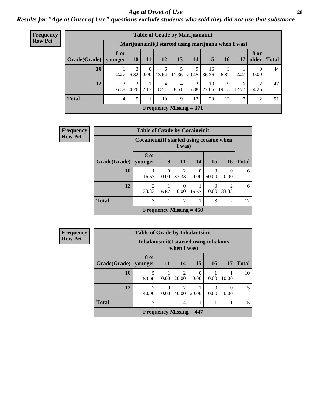#### *Age at Onset of Use* **28**

*Results for "Age at Onset of Use" questions exclude students who said they did not use that substance*

| Frequency      |                           |                        |                        |                  | <b>Table of Grade by Marijuanainit</b> |           |            |                                                      |            |            |                       |              |
|----------------|---------------------------|------------------------|------------------------|------------------|----------------------------------------|-----------|------------|------------------------------------------------------|------------|------------|-----------------------|--------------|
| <b>Row Pct</b> |                           |                        |                        |                  |                                        |           |            | Marijuanainit (I started using marijuana when I was) |            |            |                       |              |
|                | Grade(Grade)              | <b>8 or</b><br>younger | 10 <sup>1</sup>        | <b>11</b>        | <b>12</b>                              | 13        | 14         | 15                                                   | 16         | 17         | <b>18 or</b><br>older | <b>Total</b> |
|                | 10                        | 2.27                   | 3<br>6.82              | $\Omega$<br>0.00 | 6<br>13.64                             | 11.36     | 9<br>20.45 | 16<br>36.36                                          | 3<br>6.82  | 2.27       | $\Omega$<br>0.00      | 44           |
|                | 12                        | 3<br>6.38              | $\overline{2}$<br>4.26 | 2.13             | 4<br>8.51                              | 4<br>8.51 | 3<br>6.38  | 13<br>27.66                                          | 9<br>19.15 | 6<br>12.77 | 2<br>4.26             | 47           |
|                | <b>Total</b>              | 4                      | 5                      |                  | 10                                     | 9         | 12         | 29                                                   | 12         | ⇁          | 2                     | 91           |
|                | Frequency Missing $= 371$ |                        |                        |                  |                                        |           |            |                                                      |            |            |                       |              |

| <b>Frequency</b> |              | <b>Table of Grade by Cocaineinit</b>      |                  |                                             |                  |                  |                         |              |  |  |
|------------------|--------------|-------------------------------------------|------------------|---------------------------------------------|------------------|------------------|-------------------------|--------------|--|--|
| <b>Row Pct</b>   |              | Cocaineinit (I started using cocaine when |                  | I was)                                      |                  |                  |                         |              |  |  |
|                  | Grade(Grade) | 8 or<br>younger                           | 9                | 11                                          | 14               | 15               | <b>16</b>               | <b>Total</b> |  |  |
|                  | 10           | 16.67                                     | $\Omega$<br>0.00 | $\overline{2}$<br>33.33                     | $\Omega$<br>0.00 | 3<br>50.00       | $\Omega$<br>0.00        | 6            |  |  |
|                  | 12           | $\mathfrak{D}$<br>33.33                   | 16.67            | $\Omega$<br>0.00                            | 16.67            | $\Omega$<br>0.00 | $\overline{2}$<br>33.33 | 6            |  |  |
|                  | <b>Total</b> | 3                                         |                  | 2                                           |                  | 3                | $\mathfrak{D}$          | 12           |  |  |
|                  |              |                                           |                  | <b>Frequency Missing <math>= 450</math></b> |                  |                  |                         |              |  |  |

| Frequency      |  |
|----------------|--|
| <b>Row Pct</b> |  |
|                |  |
|                |  |

| <b>Table of Grade by Inhalantsinit</b> |                         |                                                        |            |       |       |       |              |  |  |  |
|----------------------------------------|-------------------------|--------------------------------------------------------|------------|-------|-------|-------|--------------|--|--|--|
|                                        |                         | Inhalantsinit(I started using inhalants<br>when I was) |            |       |       |       |              |  |  |  |
| Grade(Grade)                           | 8 or<br>younger         | 11                                                     | 14         | 15    | 16    | 17    | <b>Total</b> |  |  |  |
| 10                                     | 5<br>50.00              | 10.00                                                  | 2<br>20.00 | 0.00  | 10.00 | 10.00 | 10           |  |  |  |
| 12                                     | $\mathfrak{D}$<br>40.00 | 0<br>0.00                                              | 2<br>40.00 | 20.00 | 0.00  | 0.00  |              |  |  |  |
| <b>Total</b>                           | 7                       |                                                        | 4          |       |       |       | 15           |  |  |  |
| Frequency Missing $= 447$              |                         |                                                        |            |       |       |       |              |  |  |  |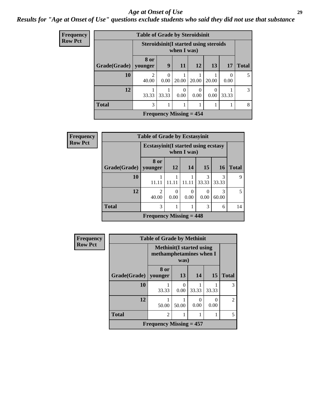#### *Age at Onset of Use* **29**

### *Results for "Age at Onset of Use" questions exclude students who said they did not use that substance*

| Frequency      |                        | <b>Table of Grade by Steroidsinit</b> |           |                                                             |           |          |                  |              |
|----------------|------------------------|---------------------------------------|-----------|-------------------------------------------------------------|-----------|----------|------------------|--------------|
| <b>Row Pct</b> |                        |                                       |           | <b>Steroidsinit(I started using steroids</b><br>when I was) |           |          |                  |              |
|                | Grade(Grade)   younger | <b>8 or</b>                           | 9         | <b>11</b>                                                   | 12        | 13       | 17               | <b>Total</b> |
|                | 10                     | 2<br>40.00                            | 0<br>0.00 | 20.00                                                       | 20.00     | 20.00    | $\Omega$<br>0.00 | 5            |
|                | 12                     | 33.33                                 | 33.33     | 0<br>0.00                                                   | 0<br>0.00 | $0.00\,$ | 33.33            | 3            |
|                | <b>Total</b>           | 3                                     | 1         |                                                             | 1         |          |                  | 8            |
|                |                        |                                       |           | Frequency Missing $= 454$                                   |           |          |                  |              |

| Frequency      | <b>Table of Grade by Ecstasyinit</b> |                                            |                  |             |            |            |              |  |  |  |
|----------------|--------------------------------------|--------------------------------------------|------------------|-------------|------------|------------|--------------|--|--|--|
| <b>Row Pct</b> |                                      | <b>Ecstasyinit(I started using ecstasy</b> |                  | when I was) |            |            |              |  |  |  |
|                | Grade(Grade)                         | 8 or<br>vounger                            | <b>12</b>        | 14          | 15         | 16         | <b>Total</b> |  |  |  |
|                | 10                                   | 11.11                                      | 11.11            | 11.11       | 3<br>33.33 | 3<br>33.33 | 9            |  |  |  |
|                | 12                                   | $\mathfrak{D}$<br>40.00                    | $\Omega$<br>0.00 | 0<br>0.00   | 0.00       | 3<br>60.00 | 5            |  |  |  |
|                | <b>Total</b>                         | 3                                          | 14               |             |            |            |              |  |  |  |
|                |                                      | Frequency Missing $= 448$                  |                  |             |            |            |              |  |  |  |

| <b>Frequency</b> | <b>Table of Grade by Methinit</b> |                                                             |           |       |           |                |
|------------------|-----------------------------------|-------------------------------------------------------------|-----------|-------|-----------|----------------|
| <b>Row Pct</b>   |                                   | <b>Methinit</b> (I started using<br>methamphetamines when I | was)      |       |           |                |
|                  | Grade(Grade)                      | 8 or<br>younger                                             | 13        | 14    | 15        | <b>Total</b>   |
|                  | 10                                | 33.33                                                       | 0<br>0.00 | 33.33 | 33.33     | 3              |
|                  | 12                                | 50.00                                                       | 50.00     | 0.00  | ∩<br>0.00 | $\mathfrak{D}$ |
|                  | <b>Total</b>                      | $\overline{2}$                                              |           |       |           | 5              |
|                  |                                   | Frequency Missing $= 457$                                   |           |       |           |                |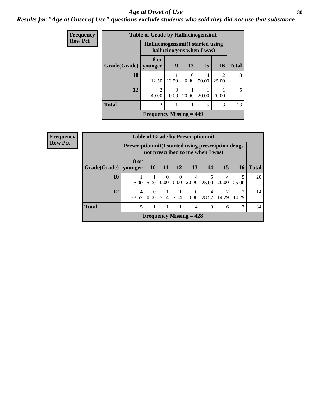#### Age at Onset of Use **30**

### *Results for "Age at Onset of Use" questions exclude students who said they did not use that substance*

| Frequency      |              | <b>Table of Grade by Hallucinogensinit</b> |                                                                 |                  |            |                         |              |  |  |  |  |
|----------------|--------------|--------------------------------------------|-----------------------------------------------------------------|------------------|------------|-------------------------|--------------|--|--|--|--|
| <b>Row Pct</b> |              |                                            | Hallucinogensinit (I started using<br>hallucinogens when I was) |                  |            |                         |              |  |  |  |  |
|                | Grade(Grade) | 8 or<br>vounger                            | 9                                                               | 13               | 15         | 16                      | <b>Total</b> |  |  |  |  |
|                | 10           | 12.50                                      | 12.50                                                           | $\left($<br>0.00 | 4<br>50.00 | $\mathfrak{D}$<br>25.00 | 8            |  |  |  |  |
|                | 12           | $\mathcal{D}_{\mathcal{L}}$<br>40.00       | 0.00                                                            | 20.00            | 20.00      | 20.00                   | 5            |  |  |  |  |
|                | <b>Total</b> | 3                                          | 13                                                              |                  |            |                         |              |  |  |  |  |
|                |              | Frequency Missing $= 449$                  |                                                                 |                  |            |                         |              |  |  |  |  |

| <b>Frequency</b> |                        |                                                            |                      |                  |                  | <b>Table of Grade by Prescriptioninit</b> |            |            |           |              |
|------------------|------------------------|------------------------------------------------------------|----------------------|------------------|------------------|-------------------------------------------|------------|------------|-----------|--------------|
| <b>Row Pct</b>   |                        | <b>Prescriptioninit(I started using prescription drugs</b> |                      |                  |                  | not prescribed to me when I was)          |            |            |           |              |
|                  | Grade(Grade)   younger | 8 or                                                       | <b>10</b>            | <b>11</b>        | <b>12</b>        | <b>13</b>                                 | 14         | 15         | <b>16</b> | <b>Total</b> |
|                  | 10                     | 5.00                                                       | 5.00                 | $\theta$<br>0.00 | $\Omega$<br>0.00 | 4<br>20.00                                | 5<br>25.00 | 4<br>20.00 | 25.00     | 20           |
|                  | 12                     | 4<br>28.57                                                 | $\Omega$<br>$0.00-1$ | 7.14             | 7.14             | $\theta$<br>0.00                          | 4<br>28.57 | 2<br>14.29 | 14.29     | 14           |
|                  | <b>Total</b>           | 5                                                          |                      |                  |                  | 4                                         | 9          | 6          | ⇁         | 34           |
|                  |                        |                                                            |                      |                  |                  | Frequency Missing $= 428$                 |            |            |           |              |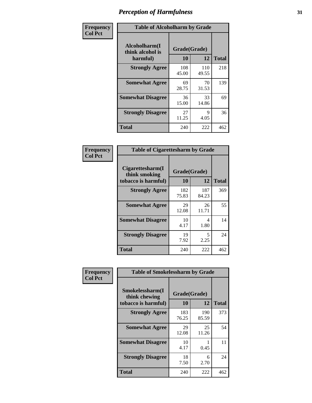| Frequency      |                                               | <b>Table of Alcoholharm by Grade</b> |              |              |  |  |  |  |  |  |  |  |  |
|----------------|-----------------------------------------------|--------------------------------------|--------------|--------------|--|--|--|--|--|--|--|--|--|
| <b>Col Pct</b> | Alcoholharm(I<br>think alcohol is<br>harmful) | Grade(Grade)<br>10                   | 12           | <b>Total</b> |  |  |  |  |  |  |  |  |  |
|                | <b>Strongly Agree</b>                         | 108<br>45.00                         | 110<br>49.55 | 218          |  |  |  |  |  |  |  |  |  |
|                | <b>Somewhat Agree</b>                         | 69<br>28.75                          | 70<br>31.53  | 139          |  |  |  |  |  |  |  |  |  |
|                | <b>Somewhat Disagree</b>                      | 36<br>15.00                          | 33<br>14.86  | 69           |  |  |  |  |  |  |  |  |  |
|                | <b>Strongly Disagree</b>                      | 27<br>11.25                          | 9<br>4.05    | 36           |  |  |  |  |  |  |  |  |  |
|                | <b>Total</b>                                  | 240                                  | 222          | 462          |  |  |  |  |  |  |  |  |  |

| <b>Table of Cigarettesharm by Grade</b>                  |                    |              |              |  |  |
|----------------------------------------------------------|--------------------|--------------|--------------|--|--|
| Cigarettesharm(I<br>think smoking<br>tobacco is harmful) | Grade(Grade)<br>10 | 12           | <b>Total</b> |  |  |
| <b>Strongly Agree</b>                                    | 182<br>75.83       | 187<br>84.23 | 369          |  |  |
| <b>Somewhat Agree</b>                                    | 29<br>12.08        | 26<br>11.71  | 55           |  |  |
| <b>Somewhat Disagree</b>                                 | 10<br>4.17         | 4<br>1.80    | 14           |  |  |
| <b>Strongly Disagree</b>                                 | 19<br>7.92         | 5<br>2.25    | 24           |  |  |
| <b>Total</b>                                             | 240                | 222          | 462          |  |  |

| Frequency      | <b>Table of Smokelessharm by Grade</b>                  |                    |              |              |
|----------------|---------------------------------------------------------|--------------------|--------------|--------------|
| <b>Col Pct</b> | Smokelessharm(I<br>think chewing<br>tobacco is harmful) | Grade(Grade)<br>10 | <b>12</b>    | <b>Total</b> |
|                | <b>Strongly Agree</b>                                   | 183<br>76.25       | 190<br>85.59 | 373          |
|                | <b>Somewhat Agree</b>                                   | 29<br>12.08        | 25<br>11.26  | 54           |
|                | <b>Somewhat Disagree</b>                                | 10<br>4.17         | 0.45         | 11           |
|                | <b>Strongly Disagree</b>                                | 18<br>7.50         | 6<br>2.70    | 24           |
|                | Total                                                   | 240                | 222          | 462          |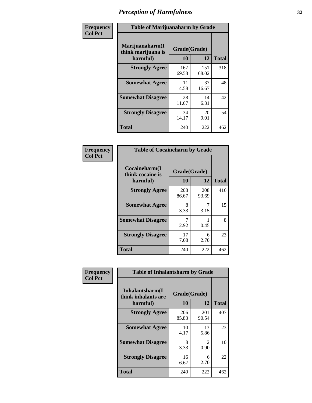| Frequency      | <b>Table of Marijuanaharm by Grade</b>            |                    |              |              |
|----------------|---------------------------------------------------|--------------------|--------------|--------------|
| <b>Col Pct</b> | Marijuanaharm(I<br>think marijuana is<br>harmful) | Grade(Grade)<br>10 | 12           | <b>Total</b> |
|                | <b>Strongly Agree</b>                             | 167<br>69.58       | 151<br>68.02 | 318          |
|                | <b>Somewhat Agree</b>                             | 11<br>4.58         | 37<br>16.67  | 48           |
|                | <b>Somewhat Disagree</b>                          | 28<br>11.67        | 14<br>6.31   | 42           |
|                | <b>Strongly Disagree</b>                          | 34<br>14.17        | 20<br>9.01   | 54           |
|                | <b>Total</b>                                      | 240                | 222          | 462          |

| <b>Table of Cocaineharm by Grade</b>          |              |              |     |  |  |
|-----------------------------------------------|--------------|--------------|-----|--|--|
| Cocaineharm(I<br>think cocaine is<br>harmful) | <b>Total</b> |              |     |  |  |
| <b>Strongly Agree</b>                         | 208<br>86.67 | 208<br>93.69 | 416 |  |  |
| <b>Somewhat Agree</b>                         | 8<br>3.33    | 7<br>3.15    | 15  |  |  |
| <b>Somewhat Disagree</b>                      | 7<br>2.92    | 0.45         | 8   |  |  |
| <b>Strongly Disagree</b>                      | 17<br>7.08   | 6<br>2.70    | 23  |  |  |
| <b>Total</b>                                  | 240          | 222          | 462 |  |  |

| Frequency      | <b>Table of Inhalantsharm by Grade</b>              |                           |                       |              |
|----------------|-----------------------------------------------------|---------------------------|-----------------------|--------------|
| <b>Col Pct</b> | Inhalantsharm(I)<br>think inhalants are<br>harmful) | Grade(Grade)<br><b>10</b> | 12                    | <b>Total</b> |
|                | <b>Strongly Agree</b>                               | 206<br>85.83              | 201<br>90.54          | 407          |
|                | <b>Somewhat Agree</b>                               | 10<br>4.17                | 13<br>5.86            | 23           |
|                | <b>Somewhat Disagree</b>                            | 8<br>3.33                 | $\mathcal{L}$<br>0.90 | 10           |
|                | <b>Strongly Disagree</b>                            | 16<br>6.67                | 6<br>2.70             | 22           |
|                | <b>Total</b>                                        | 240                       | 222                   | 462          |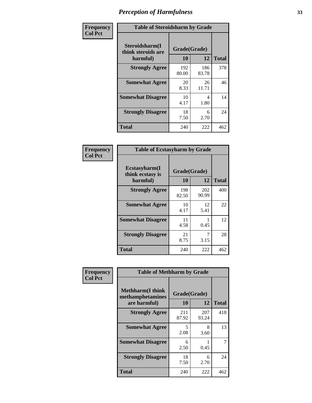| Frequency      | <b>Table of Steroidsharm by Grade</b>            |                    |              |              |
|----------------|--------------------------------------------------|--------------------|--------------|--------------|
| <b>Col Pct</b> | Steroidsharm(I<br>think steroids are<br>harmful) | Grade(Grade)<br>10 | 12           | <b>Total</b> |
|                | <b>Strongly Agree</b>                            | 192<br>80.00       | 186<br>83.78 | 378          |
|                | <b>Somewhat Agree</b>                            | 20<br>8.33         | 26<br>11.71  | 46           |
|                | <b>Somewhat Disagree</b>                         | 10<br>4.17         | 4<br>1.80    | 14           |
|                | <b>Strongly Disagree</b>                         | 18<br>7.50         | 6<br>2.70    | 24           |
|                | <b>Total</b>                                     | 240                | 222          | 462          |

| <b>Table of Ecstasyharm by Grade</b>                |                    |              |     |  |  |
|-----------------------------------------------------|--------------------|--------------|-----|--|--|
| $E$ cstasyharm $(I$<br>think ecstasy is<br>harmful) | Grade(Grade)<br>10 | <b>Total</b> |     |  |  |
| <b>Strongly Agree</b>                               | 198<br>82.50       | 202<br>90.99 | 400 |  |  |
| <b>Somewhat Agree</b>                               | 10<br>4.17         | 12<br>5.41   | 22  |  |  |
| <b>Somewhat Disagree</b>                            | 11<br>4.58         | 1<br>0.45    | 12  |  |  |
| <b>Strongly Disagree</b>                            | 21<br>8.75         | 7<br>3.15    | 28  |  |  |
| Total                                               | 240                | 222          | 462 |  |  |

| Frequency      | <b>Table of Methharm by Grade</b>                            |                           |              |              |
|----------------|--------------------------------------------------------------|---------------------------|--------------|--------------|
| <b>Col Pct</b> | <b>Methharm</b> (I think<br>methamphetamines<br>are harmful) | Grade(Grade)<br><b>10</b> | 12           | <b>Total</b> |
|                | <b>Strongly Agree</b>                                        | 211<br>87.92              | 207<br>93.24 | 418          |
|                | <b>Somewhat Agree</b>                                        | 5<br>2.08                 | 8<br>3.60    | 13           |
|                | <b>Somewhat Disagree</b>                                     | 6<br>2.50                 | 0.45         |              |
|                | <b>Strongly Disagree</b>                                     | 18<br>7.50                | 6<br>2.70    | 24           |
|                | <b>Total</b>                                                 | 240                       | 222          | 462          |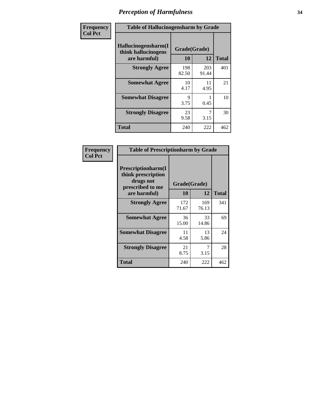| Frequency      | <b>Table of Hallucinogensharm by Grade</b>                 |                    |              |              |
|----------------|------------------------------------------------------------|--------------------|--------------|--------------|
| <b>Col Pct</b> | Hallucinogensharm(I<br>think hallucinogens<br>are harmful) | Grade(Grade)<br>10 | 12           | <b>Total</b> |
|                | <b>Strongly Agree</b>                                      | 198<br>82.50       | 203<br>91.44 | 401          |
|                | <b>Somewhat Agree</b>                                      | 10<br>4.17         | 11<br>4.95   | 21           |
|                | <b>Somewhat Disagree</b>                                   | 9<br>3.75          | 0.45         | 10           |
|                | <b>Strongly Disagree</b>                                   | 23<br>9.58         | 7<br>3.15    | 30           |
|                | <b>Total</b>                                               | 240                | 222          | 462          |

| <b>Table of Prescriptionharm by Grade</b>                                         |              |              |              |  |
|-----------------------------------------------------------------------------------|--------------|--------------|--------------|--|
| <b>Prescriptionharm</b> (I<br>think prescription<br>drugs not<br>prescribed to me | Grade(Grade) |              |              |  |
| are harmful)                                                                      | 10           | 12           | <b>Total</b> |  |
| <b>Strongly Agree</b>                                                             | 172<br>71.67 | 169<br>76.13 | 341          |  |
| <b>Somewhat Agree</b>                                                             | 36<br>15.00  | 33<br>14.86  | 69           |  |
| <b>Somewhat Disagree</b>                                                          | 11<br>4.58   | 13<br>5.86   | 24           |  |
| <b>Strongly Disagree</b>                                                          | 21<br>8.75   | 7<br>3.15    | 28           |  |
| <b>Total</b>                                                                      | 240          | 222          | 462          |  |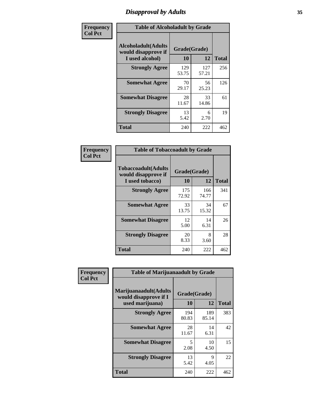# *Disapproval by Adults* **35**

| Frequency      | <b>Table of Alcoholadult by Grade</b>                                 |                    |              |              |
|----------------|-----------------------------------------------------------------------|--------------------|--------------|--------------|
| <b>Col Pct</b> | <b>Alcoholadult</b> (Adults<br>would disapprove if<br>I used alcohol) | Grade(Grade)<br>10 | 12           | <b>Total</b> |
|                | <b>Strongly Agree</b>                                                 | 129<br>53.75       | 127<br>57.21 | 256          |
|                | <b>Somewhat Agree</b>                                                 | 70<br>29.17        | 56<br>25.23  | 126          |
|                | <b>Somewhat Disagree</b>                                              | 28<br>11.67        | 33<br>14.86  | 61           |
|                | <b>Strongly Disagree</b>                                              | 13<br>5.42         | 6<br>2.70    | 19           |
|                | <b>Total</b>                                                          | 240                | 222          | 462          |

| <b>Table of Tobaccoadult by Grade</b>                                 |                    |              |       |  |  |
|-----------------------------------------------------------------------|--------------------|--------------|-------|--|--|
| <b>Tobaccoadult</b> (Adults<br>would disapprove if<br>I used tobacco) | Grade(Grade)<br>10 | 12           | Total |  |  |
| <b>Strongly Agree</b>                                                 | 175<br>72.92       | 166<br>74.77 | 341   |  |  |
| <b>Somewhat Agree</b>                                                 | 33<br>13.75        | 34<br>15.32  | 67    |  |  |
| <b>Somewhat Disagree</b>                                              | 12<br>5.00         | 14<br>6.31   | 26    |  |  |
| <b>Strongly Disagree</b>                                              | 20<br>8.33         | 8<br>3.60    | 28    |  |  |
| <b>Total</b>                                                          | 240                | 222          | 462   |  |  |

| Frequency      | <b>Table of Marijuanaadult by Grade</b>                           |                    |                     |              |  |
|----------------|-------------------------------------------------------------------|--------------------|---------------------|--------------|--|
| <b>Col Pct</b> | Marijuanaadult(Adults<br>would disapprove if I<br>used marijuana) | Grade(Grade)<br>10 | 12                  | <b>Total</b> |  |
|                | <b>Strongly Agree</b>                                             | 194<br>80.83       | 189<br>85.14        | 383          |  |
|                | <b>Somewhat Agree</b>                                             | 28<br>11.67        | 14<br>6.31          | 42           |  |
|                | <b>Somewhat Disagree</b>                                          | 5<br>2.08          | 10<br>4.50          | 15           |  |
|                | <b>Strongly Disagree</b>                                          | 13<br>5.42         | $\mathbf Q$<br>4.05 | 22           |  |
|                | <b>Total</b>                                                      | 240                | 222                 | 462          |  |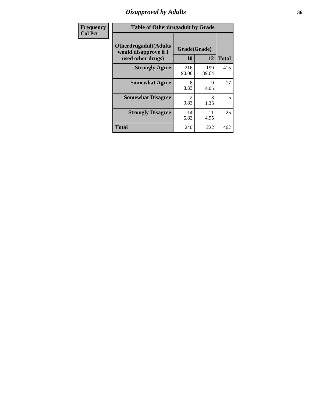# *Disapproval by Adults* **36**

| Frequency      | <b>Table of Otherdrugadult by Grade</b>                                     |                                     |              |              |  |
|----------------|-----------------------------------------------------------------------------|-------------------------------------|--------------|--------------|--|
| <b>Col Pct</b> | <b>Otherdrugadult</b> (Adults<br>would disapprove if I<br>used other drugs) | Grade(Grade)<br>10                  | 12           | <b>Total</b> |  |
|                | <b>Strongly Agree</b>                                                       | 216<br>90.00                        | 199<br>89.64 | 415          |  |
|                | <b>Somewhat Agree</b>                                                       | 8<br>3.33                           | 9<br>4.05    | 17           |  |
|                | <b>Somewhat Disagree</b>                                                    | $\mathcal{D}_{\mathcal{L}}$<br>0.83 | 3<br>1.35    | 5            |  |
|                | <b>Strongly Disagree</b>                                                    | 14<br>5.83                          | 11<br>4.95   | 25           |  |
|                | <b>Total</b>                                                                | 240                                 | 222          | 462          |  |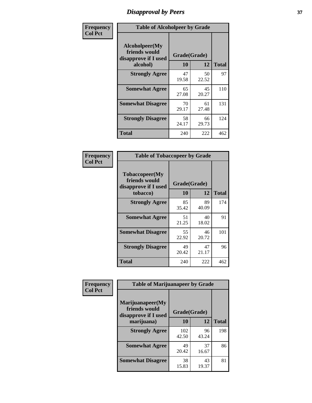# *Disapproval by Peers* **37**

| Frequency      | <b>Table of Alcoholpeer by Grade</b>                    |              |             |              |
|----------------|---------------------------------------------------------|--------------|-------------|--------------|
| <b>Col Pct</b> | Alcoholpeer(My<br>friends would<br>disapprove if I used | Grade(Grade) |             |              |
|                | alcohol)                                                | 10           | 12          | <b>Total</b> |
|                | <b>Strongly Agree</b>                                   | 47<br>19.58  | 50<br>22.52 | 97           |
|                | <b>Somewhat Agree</b>                                   | 65<br>27.08  | 45<br>20.27 | 110          |
|                | <b>Somewhat Disagree</b>                                | 70<br>29.17  | 61<br>27.48 | 131          |
|                | <b>Strongly Disagree</b>                                | 58<br>24.17  | 66<br>29.73 | 124          |
|                | Total                                                   | 240          | 222         | 462          |

| Frequency      | <b>Table of Tobaccopeer by Grade</b>                                |                    |             |              |  |
|----------------|---------------------------------------------------------------------|--------------------|-------------|--------------|--|
| <b>Col Pct</b> | Tobaccopeer(My<br>friends would<br>disapprove if I used<br>tobacco) | Grade(Grade)<br>10 | 12          | <b>Total</b> |  |
|                | <b>Strongly Agree</b>                                               | 85<br>35.42        | 89<br>40.09 | 174          |  |
|                | <b>Somewhat Agree</b>                                               | 51<br>21.25        | 40<br>18.02 | 91           |  |
|                | <b>Somewhat Disagree</b>                                            | 55<br>22.92        | 46<br>20.72 | 101          |  |
|                | <b>Strongly Disagree</b>                                            | 49<br>20.42        | 47<br>21.17 | 96           |  |
|                | Total                                                               | 240                | 222         | 462          |  |

| Frequency      | <b>Table of Marijuanapeer by Grade</b>                                  |                    |             |              |
|----------------|-------------------------------------------------------------------------|--------------------|-------------|--------------|
| <b>Col Pct</b> | Marijuanapeer(My<br>friends would<br>disapprove if I used<br>marijuana) | Grade(Grade)<br>10 | 12          | <b>Total</b> |
|                | <b>Strongly Agree</b>                                                   | 102<br>42.50       | 96<br>43.24 | 198          |
|                | <b>Somewhat Agree</b>                                                   | 49<br>20.42        | 37<br>16.67 | 86           |
|                | <b>Somewhat Disagree</b>                                                | 38<br>15.83        | 43<br>19.37 | 81           |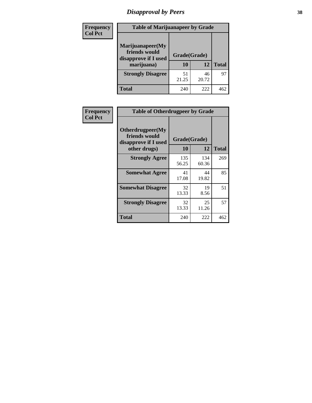# *Disapproval by Peers* **38**

| <b>Frequency</b> | <b>Table of Marijuanapeer by Grade</b>                                  |                           |             |              |  |
|------------------|-------------------------------------------------------------------------|---------------------------|-------------|--------------|--|
| <b>Col Pct</b>   | Marijuanapeer(My<br>friends would<br>disapprove if I used<br>marijuana) | Grade(Grade)<br><b>10</b> | 12          | <b>Total</b> |  |
|                  | <b>Strongly Disagree</b>                                                | 51<br>21.25               | 46<br>20.72 | 97           |  |
|                  | <b>Total</b>                                                            | 240                       | 222         | 462          |  |

| Frequency      | <b>Table of Otherdrugpeer by Grade</b>                                    |                    |              |              |
|----------------|---------------------------------------------------------------------------|--------------------|--------------|--------------|
| <b>Col Pct</b> | Otherdrugpeer(My<br>friends would<br>disapprove if I used<br>other drugs) | Grade(Grade)<br>10 | 12           | <b>Total</b> |
|                | <b>Strongly Agree</b>                                                     | 135<br>56.25       | 134<br>60.36 | 269          |
|                | <b>Somewhat Agree</b>                                                     | 41<br>17.08        | 44<br>19.82  | 85           |
|                | <b>Somewhat Disagree</b>                                                  | 32<br>13.33        | 19<br>8.56   | 51           |
|                | <b>Strongly Disagree</b>                                                  | 32<br>13.33        | 25<br>11.26  | 57           |
|                | <b>Total</b>                                                              | 240                | 222          | 462          |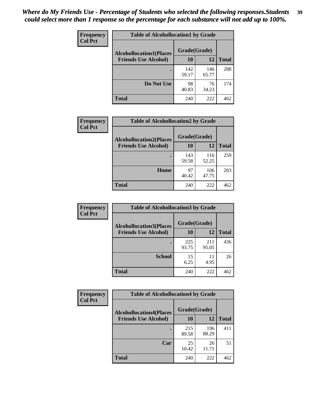| Frequency      | <b>Table of Alcohollocation1 by Grade</b> |              |              |              |
|----------------|-------------------------------------------|--------------|--------------|--------------|
| <b>Col Pct</b> | <b>Alcohollocation1(Places</b>            | Grade(Grade) |              |              |
|                | <b>Friends Use Alcohol)</b>               | 10           | 12           | <b>Total</b> |
|                |                                           | 142<br>59.17 | 146<br>65.77 | 288          |
|                | Do Not Use                                | 98<br>40.83  | 76<br>34.23  | 174          |
|                | <b>Total</b>                              | 240          | 222          | 462          |

| Frequency      | <b>Table of Alcohollocation2 by Grade</b>                     |                    |              |              |
|----------------|---------------------------------------------------------------|--------------------|--------------|--------------|
| <b>Col Pct</b> | <b>Alcohollocation2(Places</b><br><b>Friends Use Alcohol)</b> | Grade(Grade)<br>10 | 12           | <b>Total</b> |
|                |                                                               | 143<br>59.58       | 116<br>52.25 | 259          |
|                | Home                                                          | 97<br>40.42        | 106<br>47.75 | 203          |
|                | Total                                                         | 240                | 222          | 462          |

| <b>Frequency</b> | <b>Table of Alcohollocation 3 by Grade</b> |              |              |              |
|------------------|--------------------------------------------|--------------|--------------|--------------|
| <b>Col Pct</b>   | <b>Alcohollocation3(Places</b>             | Grade(Grade) |              |              |
|                  | <b>Friends Use Alcohol)</b>                | <b>10</b>    | 12           | <b>Total</b> |
|                  |                                            | 225<br>93.75 | 211<br>95.05 | 436          |
|                  | <b>School</b>                              | 15<br>6.25   | 11<br>4.95   | 26           |
|                  | <b>Total</b>                               | 240          | 222          | 462          |

| <b>Frequency</b> | <b>Table of Alcohollocation4 by Grade</b> |              |              |              |  |
|------------------|-------------------------------------------|--------------|--------------|--------------|--|
| <b>Col Pct</b>   | <b>Alcohollocation4(Places</b>            | Grade(Grade) |              |              |  |
|                  | <b>Friends Use Alcohol)</b>               | 10           | 12           | <b>Total</b> |  |
|                  |                                           | 215<br>89.58 | 196<br>88.29 | 411          |  |
|                  | Car                                       | 25<br>10.42  | 26<br>11.71  | 51           |  |
|                  | <b>Total</b>                              | 240          | 222          | 462          |  |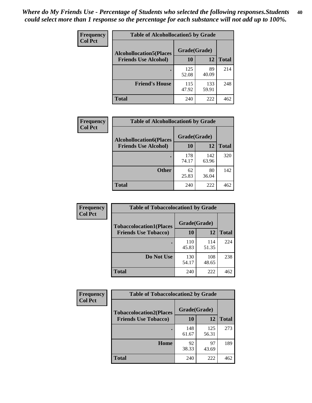| <b>Frequency</b><br><b>Col Pct</b> | <b>Table of Alcohollocation5 by Grade</b> |              |              |              |  |
|------------------------------------|-------------------------------------------|--------------|--------------|--------------|--|
|                                    | <b>Alcohollocation5</b> (Places           | Grade(Grade) |              |              |  |
|                                    | <b>Friends Use Alcohol)</b>               | 10           | 12           | <b>Total</b> |  |
|                                    |                                           | 125<br>52.08 | 89<br>40.09  | 214          |  |
|                                    | <b>Friend's House</b>                     | 115<br>47.92 | 133<br>59.91 | 248          |  |
|                                    | <b>Total</b>                              | 240          | 222          | 462          |  |

| Frequency      | <b>Table of Alcohollocation6 by Grade</b>                     |                    |              |              |
|----------------|---------------------------------------------------------------|--------------------|--------------|--------------|
| <b>Col Pct</b> | <b>Alcohollocation6(Places</b><br><b>Friends Use Alcohol)</b> | Grade(Grade)<br>10 | 12           | <b>Total</b> |
|                |                                                               | 178<br>74.17       | 142<br>63.96 | 320          |
|                | <b>Other</b>                                                  | 62<br>25.83        | 80<br>36.04  | 142          |
|                | Total                                                         | 240                | 222          | 462          |

| Frequency<br><b>Col Pct</b> | <b>Table of Tobaccolocation1 by Grade</b> |              |              |              |
|-----------------------------|-------------------------------------------|--------------|--------------|--------------|
|                             | <b>Tobaccolocation1(Places</b>            | Grade(Grade) |              |              |
|                             | <b>Friends Use Tobacco)</b>               | 10           | <b>12</b>    | <b>Total</b> |
|                             |                                           | 110<br>45.83 | 114<br>51.35 | 224          |
|                             | Do Not Use                                | 130<br>54.17 | 108<br>48.65 | 238          |
|                             | <b>Total</b>                              | 240          | 222          | 462          |

| <b>Frequency</b> | <b>Table of Tobaccolocation2 by Grade</b> |              |              |              |  |
|------------------|-------------------------------------------|--------------|--------------|--------------|--|
| <b>Col Pct</b>   | <b>Tobaccolocation2(Places</b>            | Grade(Grade) |              |              |  |
|                  | <b>Friends Use Tobacco)</b>               | 10           | 12           | <b>Total</b> |  |
|                  |                                           | 148<br>61.67 | 125<br>56.31 | 273          |  |
|                  | Home                                      | 92<br>38.33  | 97<br>43.69  | 189          |  |
|                  | <b>Total</b>                              | 240          | 222          | 462          |  |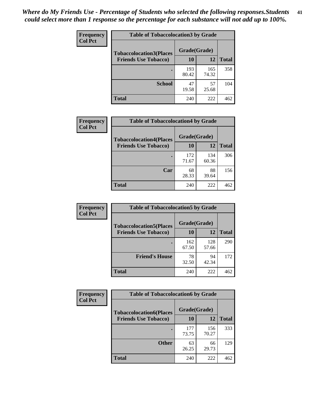| Frequency      | <b>Table of Tobaccolocation 3 by Grade</b> |              |              |              |
|----------------|--------------------------------------------|--------------|--------------|--------------|
| <b>Col Pct</b> | <b>Tobaccolocation3(Places</b>             | Grade(Grade) |              |              |
|                | <b>Friends Use Tobacco)</b>                | 10           | 12           | <b>Total</b> |
|                |                                            | 193<br>80.42 | 165<br>74.32 | 358          |
|                | <b>School</b>                              | 47<br>19.58  | 57<br>25.68  | 104          |
|                | <b>Total</b>                               | 240          | 222          | 462          |

| <b>Frequency</b> | <b>Table of Tobaccolocation4 by Grade</b> |              |              |              |  |  |
|------------------|-------------------------------------------|--------------|--------------|--------------|--|--|
| <b>Col Pct</b>   | <b>Tobaccolocation4(Places</b>            | Grade(Grade) |              |              |  |  |
|                  | <b>Friends Use Tobacco)</b>               | 10           | 12           | <b>Total</b> |  |  |
|                  |                                           | 172<br>71.67 | 134<br>60.36 | 306          |  |  |
|                  | Car                                       | 68<br>28.33  | 88<br>39.64  | 156          |  |  |
|                  | Total                                     | 240          | 222          | 462          |  |  |

| Frequency<br><b>Col Pct</b>    | <b>Table of Tobaccolocation5 by Grade</b> |              |              |              |
|--------------------------------|-------------------------------------------|--------------|--------------|--------------|
| <b>Tobaccolocation5(Places</b> | Grade(Grade)                              |              |              |              |
|                                | <b>Friends Use Tobacco)</b>               | 10           | 12           | <b>Total</b> |
|                                |                                           | 162<br>67.50 | 128<br>57.66 | 290          |
|                                | <b>Friend's House</b>                     | 78<br>32.50  | 94<br>42.34  | 172          |
|                                | <b>Total</b>                              | 240          | 222          | 462          |

| <b>Frequency</b> | <b>Table of Tobaccolocation6 by Grade</b> |              |              |              |  |
|------------------|-------------------------------------------|--------------|--------------|--------------|--|
| <b>Col Pct</b>   | <b>Tobaccolocation6(Places</b>            | Grade(Grade) |              |              |  |
|                  | <b>Friends Use Tobacco)</b>               | 10           | 12           | <b>Total</b> |  |
|                  |                                           | 177<br>73.75 | 156<br>70.27 | 333          |  |
|                  | <b>Other</b>                              | 63<br>26.25  | 66<br>29.73  | 129          |  |
|                  | <b>Total</b>                              | 240          | 222          | 462          |  |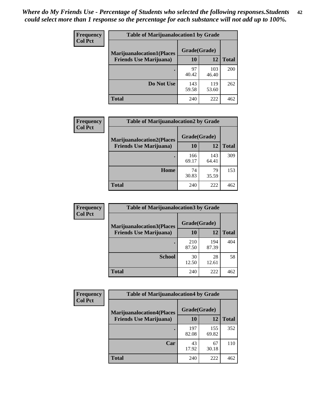| <b>Frequency</b> | <b>Table of Marijuanalocation1 by Grade</b> |              |              |              |
|------------------|---------------------------------------------|--------------|--------------|--------------|
| <b>Col Pct</b>   | <b>Marijuanalocation1(Places</b>            | Grade(Grade) |              |              |
|                  | <b>Friends Use Marijuana</b> )              | <b>10</b>    | 12           | <b>Total</b> |
|                  |                                             | 97<br>40.42  | 103<br>46.40 | 200          |
|                  | Do Not Use                                  | 143<br>59.58 | 119<br>53.60 | 262          |
|                  | <b>Total</b>                                | 240          | 222          | 462          |

| <b>Frequency</b> | <b>Table of Marijuanalocation2 by Grade</b>                        |                    |              |              |
|------------------|--------------------------------------------------------------------|--------------------|--------------|--------------|
| <b>Col Pct</b>   | <b>Marijuanalocation2(Places</b><br><b>Friends Use Marijuana</b> ) | Grade(Grade)<br>10 | 12           | <b>Total</b> |
|                  |                                                                    | 166<br>69.17       | 143<br>64.41 | 309          |
|                  | Home                                                               | 74<br>30.83        | 79<br>35.59  | 153          |
|                  | <b>Total</b>                                                       | 240                | 222          | 462          |

| Frequency<br><b>Col Pct</b> | <b>Table of Marijuanalocation3 by Grade</b> |              |              |              |
|-----------------------------|---------------------------------------------|--------------|--------------|--------------|
|                             | <b>Marijuanalocation3</b> (Places           | Grade(Grade) |              |              |
|                             | <b>Friends Use Marijuana</b> )              | 10           | 12           | <b>Total</b> |
|                             |                                             | 210<br>87.50 | 194<br>87.39 | 404          |
|                             | <b>School</b>                               | 30<br>12.50  | 28<br>12.61  | 58           |
|                             | <b>Total</b>                                | 240          | 222          | 462          |

| <b>Frequency</b> | <b>Table of Marijuanalocation4 by Grade</b> |              |              |              |  |
|------------------|---------------------------------------------|--------------|--------------|--------------|--|
| <b>Col Pct</b>   | <b>Marijuanalocation4(Places</b>            | Grade(Grade) |              |              |  |
|                  | <b>Friends Use Marijuana</b> )              | <b>10</b>    | 12           | <b>Total</b> |  |
|                  |                                             | 197<br>82.08 | 155<br>69.82 | 352          |  |
|                  | Car                                         | 43<br>17.92  | 67<br>30.18  | 110          |  |
|                  | <b>Total</b>                                | 240          | 222          | 462          |  |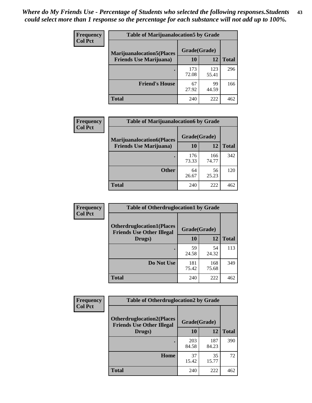| <b>Frequency</b> | <b>Table of Marijuanalocation5 by Grade</b> |              |              |              |
|------------------|---------------------------------------------|--------------|--------------|--------------|
| <b>Col Pct</b>   | <b>Marijuanalocation5</b> (Places           | Grade(Grade) |              |              |
|                  | <b>Friends Use Marijuana</b> )              | 10           | 12           | <b>Total</b> |
|                  |                                             | 173<br>72.08 | 123<br>55.41 | 296          |
|                  | <b>Friend's House</b>                       | 67<br>27.92  | 99<br>44.59  | 166          |
|                  | <b>Total</b>                                | 240          | 222          | 462          |

| <b>Frequency</b> | <b>Table of Marijuanalocation6 by Grade</b>                        |                    |              |              |
|------------------|--------------------------------------------------------------------|--------------------|--------------|--------------|
| <b>Col Pct</b>   | <b>Marijuanalocation6(Places</b><br><b>Friends Use Marijuana</b> ) | Grade(Grade)<br>10 | 12           | <b>Total</b> |
|                  |                                                                    | 176<br>73.33       | 166<br>74.77 | 342          |
|                  | <b>Other</b>                                                       | 64<br>26.67        | 56<br>25.23  | 120          |
|                  | <b>Total</b>                                                       | 240                | 222          | 462          |

| <b>Frequency</b> | <b>Table of Otherdruglocation1 by Grade</b>                          |              |              |              |
|------------------|----------------------------------------------------------------------|--------------|--------------|--------------|
| <b>Col Pct</b>   | <b>Otherdruglocation1(Places</b><br><b>Friends Use Other Illegal</b> | Grade(Grade) |              |              |
|                  | Drugs)                                                               | 10           | 12           | <b>Total</b> |
|                  |                                                                      | 59<br>24.58  | 54<br>24.32  | 113          |
|                  | Do Not Use                                                           | 181<br>75.42 | 168<br>75.68 | 349          |
|                  | <b>Total</b>                                                         | 240          | 222          | 462          |

| Frequency      | <b>Table of Otherdruglocation2 by Grade</b>                          |              |              |              |
|----------------|----------------------------------------------------------------------|--------------|--------------|--------------|
| <b>Col Pct</b> | <b>Otherdruglocation2(Places</b><br><b>Friends Use Other Illegal</b> | Grade(Grade) |              |              |
|                | Drugs)                                                               | 10           | 12           | <b>Total</b> |
|                |                                                                      | 203<br>84.58 | 187<br>84.23 | 390          |
|                | Home                                                                 | 37<br>15.42  | 35<br>15.77  | 72           |
|                | Total                                                                | 240          | 222          | 462          |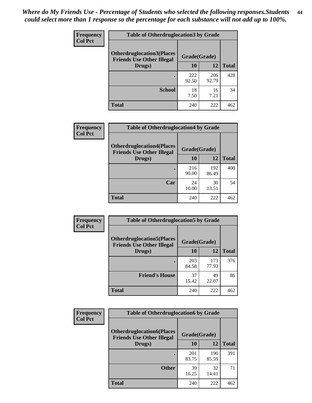| <b>Frequency</b> | <b>Table of Otherdruglocation 3 by Grade</b>                         |              |              |              |
|------------------|----------------------------------------------------------------------|--------------|--------------|--------------|
| <b>Col Pct</b>   | <b>Otherdruglocation3(Places</b><br><b>Friends Use Other Illegal</b> | Grade(Grade) |              |              |
|                  | Drugs)                                                               | 10           | 12           | <b>Total</b> |
|                  |                                                                      | 222<br>92.50 | 206<br>92.79 | 428          |
|                  | <b>School</b>                                                        | 18<br>7.50   | 16<br>7.21   | 34           |
|                  | <b>Total</b>                                                         | 240          | 222          | 462          |

| <b>Frequency</b> | <b>Table of Otherdruglocation4 by Grade</b>                          |              |              |              |
|------------------|----------------------------------------------------------------------|--------------|--------------|--------------|
| <b>Col Pct</b>   | <b>Otherdruglocation4(Places</b><br><b>Friends Use Other Illegal</b> | Grade(Grade) |              |              |
|                  | Drugs)                                                               | 10           | 12           | <b>Total</b> |
|                  |                                                                      | 216<br>90.00 | 192<br>86.49 | 408          |
|                  | Car                                                                  | 24<br>10.00  | 30<br>13.51  | 54           |
|                  | <b>Total</b>                                                         | 240          | 222          | 462          |

| <b>Frequency</b><br><b>Col Pct</b> | <b>Table of Otherdruglocation5 by Grade</b>                          |              |              |              |
|------------------------------------|----------------------------------------------------------------------|--------------|--------------|--------------|
|                                    | <b>Otherdruglocation5(Places</b><br><b>Friends Use Other Illegal</b> | Grade(Grade) |              |              |
|                                    | Drugs)                                                               | <b>10</b>    | 12           | <b>Total</b> |
|                                    |                                                                      | 203<br>84.58 | 173<br>77.93 | 376          |
|                                    | <b>Friend's House</b>                                                | 37<br>15.42  | 49<br>22.07  | 86           |
|                                    | <b>Total</b>                                                         | 240          | 222          | 462          |

| <b>Frequency</b> | <b>Table of Otherdruglocation6 by Grade</b>                          |              |              |              |
|------------------|----------------------------------------------------------------------|--------------|--------------|--------------|
| <b>Col Pct</b>   | <b>Otherdruglocation6(Places</b><br><b>Friends Use Other Illegal</b> | Grade(Grade) |              |              |
|                  | Drugs)                                                               | 10           | 12           | <b>Total</b> |
|                  |                                                                      | 201<br>83.75 | 190<br>85.59 | 391          |
|                  | <b>Other</b>                                                         | 39<br>16.25  | 32<br>14.41  | 71           |
|                  | <b>Total</b>                                                         | 240          | 222          | 462          |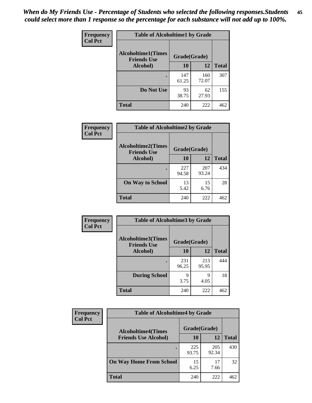| Frequency      | <b>Table of Alcoholtime1 by Grade</b>           |              |              |              |
|----------------|-------------------------------------------------|--------------|--------------|--------------|
| <b>Col Pct</b> | <b>Alcoholtime1(Times</b><br><b>Friends Use</b> | Grade(Grade) |              |              |
|                | Alcohol)                                        | 10           | <b>12</b>    | <b>Total</b> |
|                |                                                 | 147<br>61.25 | 160<br>72.07 | 307          |
|                | Do Not Use                                      | 93<br>38.75  | 62<br>27.93  | 155          |
|                | <b>Total</b>                                    | 240          | 222          | 462          |

| Frequency      | <b>Table of Alcoholtime2 by Grade</b>           |              |              |              |
|----------------|-------------------------------------------------|--------------|--------------|--------------|
| <b>Col Pct</b> | <b>Alcoholtime2(Times</b><br><b>Friends Use</b> | Grade(Grade) |              |              |
|                | Alcohol)                                        | 10           | 12           | <b>Total</b> |
|                |                                                 | 227<br>94.58 | 207<br>93.24 | 434          |
|                | <b>On Way to School</b>                         | 13<br>5.42   | 15<br>6.76   | 28           |
|                | <b>Total</b>                                    | 240          | 222          | 462          |

| Frequency      | <b>Table of Alcoholtime3 by Grade</b>                           |              |              |              |
|----------------|-----------------------------------------------------------------|--------------|--------------|--------------|
| <b>Col Pct</b> | <b>Alcoholtime3(Times</b><br>Grade(Grade)<br><b>Friends Use</b> |              |              |              |
|                | Alcohol)                                                        | 10           | 12           | <b>Total</b> |
|                |                                                                 | 231<br>96.25 | 213<br>95.95 | 444          |
|                | <b>During School</b>                                            | 9<br>3.75    | q<br>4.05    | 18           |
|                | Total                                                           | 240          | 222          | 462          |

| <b>Frequency</b><br><b>Col Pct</b> | <b>Table of Alcoholtime4 by Grade</b> |              |              |              |
|------------------------------------|---------------------------------------|--------------|--------------|--------------|
|                                    | <b>Alcoholtime4(Times</b>             | Grade(Grade) |              |              |
|                                    | <b>Friends Use Alcohol)</b>           | <b>10</b>    | 12           | <b>Total</b> |
|                                    |                                       | 225<br>93.75 | 205<br>92.34 | 430          |
|                                    | <b>On Way Home From School</b>        | 15<br>6.25   | 17<br>7.66   | 32           |
|                                    | Total                                 | 240          | 222          | 462          |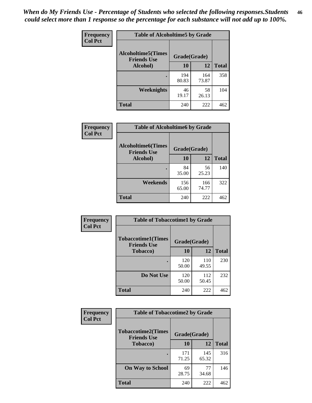*When do My Friends Use - Percentage of Students who selected the following responses.Students could select more than 1 response so the percentage for each substance will not add up to 100%.* **46**

| Frequency      | <b>Table of Alcoholtime5 by Grade</b>            |              |              |              |
|----------------|--------------------------------------------------|--------------|--------------|--------------|
| <b>Col Pct</b> | <b>Alcoholtime5</b> (Times<br><b>Friends Use</b> | Grade(Grade) |              |              |
|                | Alcohol)                                         | 10           | 12           | <b>Total</b> |
|                |                                                  | 194<br>80.83 | 164<br>73.87 | 358          |
|                | Weeknights                                       | 46<br>19.17  | 58<br>26.13  | 104          |
|                | <b>Total</b>                                     | 240          | 222          | 462          |

| Frequency      |                                                 | <b>Table of Alcoholtime6 by Grade</b> |              |              |  |
|----------------|-------------------------------------------------|---------------------------------------|--------------|--------------|--|
| <b>Col Pct</b> | <b>Alcoholtime6(Times</b><br><b>Friends Use</b> | Grade(Grade)                          |              |              |  |
|                | Alcohol)                                        | 10                                    | 12           | <b>Total</b> |  |
|                |                                                 | 84<br>35.00                           | 56<br>25.23  | 140          |  |
|                | Weekends                                        | 156<br>65.00                          | 166<br>74.77 | 322          |  |
|                | <b>Total</b>                                    | 240                                   | 222          | 462          |  |

| <b>Frequency</b><br><b>Col Pct</b> | <b>Table of Tobaccotime1 by Grade</b>           |              |              |              |
|------------------------------------|-------------------------------------------------|--------------|--------------|--------------|
|                                    | <b>Tobaccotime1(Times</b><br><b>Friends Use</b> | Grade(Grade) |              |              |
|                                    | <b>Tobacco</b> )                                | 10           | 12           | <b>Total</b> |
|                                    |                                                 | 120<br>50.00 | 110<br>49.55 | 230          |
|                                    | Do Not Use                                      | 120<br>50.00 | 112<br>50.45 | 232          |
|                                    | <b>Total</b>                                    | 240          | 222          | 462          |

| <b>Frequency</b> | <b>Table of Tobaccotime2 by Grade</b>           |              |              |              |
|------------------|-------------------------------------------------|--------------|--------------|--------------|
| <b>Col Pct</b>   | <b>Tobaccotime2(Times</b><br><b>Friends Use</b> | Grade(Grade) |              |              |
|                  | <b>Tobacco</b> )                                | 10           | <b>12</b>    | <b>Total</b> |
|                  |                                                 | 171<br>71.25 | 145<br>65.32 | 316          |
|                  | <b>On Way to School</b>                         | 69<br>28.75  | 77<br>34.68  | 146          |
|                  | <b>Total</b>                                    | 240          | 222          | 462          |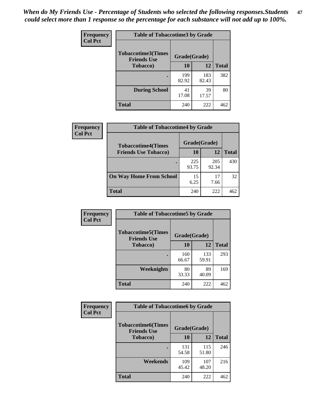*When do My Friends Use - Percentage of Students who selected the following responses.Students could select more than 1 response so the percentage for each substance will not add up to 100%.* **47**

| <b>Frequency</b> | <b>Table of Tobaccotime3 by Grade</b>           |              |              |              |
|------------------|-------------------------------------------------|--------------|--------------|--------------|
| <b>Col Pct</b>   | <b>Tobaccotime3(Times</b><br><b>Friends Use</b> | Grade(Grade) |              |              |
|                  | <b>Tobacco</b> )                                | 10           | 12           | <b>Total</b> |
|                  |                                                 | 199<br>82.92 | 183<br>82.43 | 382          |
|                  | <b>During School</b>                            | 41<br>17.08  | 39<br>17.57  | 80           |
|                  | <b>Total</b>                                    | 240          | 222          | 462          |

| <b>Frequency</b> | <b>Table of Tobaccotime4 by Grade</b> |              |              |              |
|------------------|---------------------------------------|--------------|--------------|--------------|
| <b>Col Pct</b>   | <b>Tobaccotime4(Times</b>             | Grade(Grade) |              |              |
|                  | <b>Friends Use Tobacco)</b>           | 10           | 12           | <b>Total</b> |
|                  |                                       | 225<br>93.75 | 205<br>92.34 | 430          |
|                  | <b>On Way Home From School</b>        | 15<br>6.25   | 17<br>7.66   | 32           |
|                  | Total                                 | 240          | 222          | 462          |

| Frequency      | <b>Table of Tobaccotime5 by Grade</b>            |              |              |              |
|----------------|--------------------------------------------------|--------------|--------------|--------------|
| <b>Col Pct</b> | <b>Tobaccotime5</b> (Times<br><b>Friends Use</b> | Grade(Grade) |              |              |
|                | <b>Tobacco</b> )                                 | 10           | 12           | <b>Total</b> |
|                |                                                  | 160<br>66.67 | 133<br>59.91 | 293          |
|                | <b>Weeknights</b>                                | 80<br>33.33  | 89<br>40.09  | 169          |
|                | <b>Total</b>                                     | 240          | 222          | 462          |

| Frequency      | <b>Table of Tobaccotime6 by Grade</b>           |              |              |              |
|----------------|-------------------------------------------------|--------------|--------------|--------------|
| <b>Col Pct</b> | <b>Tobaccotime6(Times</b><br><b>Friends Use</b> | Grade(Grade) |              |              |
|                | <b>Tobacco</b> )                                | 10           | <b>12</b>    | <b>Total</b> |
|                |                                                 | 131<br>54.58 | 115<br>51.80 | 246          |
|                | Weekends                                        | 109<br>45.42 | 107<br>48.20 | 216          |
|                | <b>Total</b>                                    | 240          | 222          | 462          |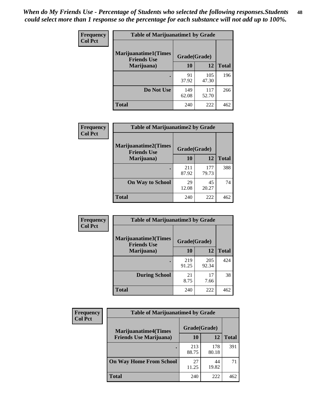| Frequency      | <b>Table of Marijuanatime1 by Grade</b>           |              |              |              |
|----------------|---------------------------------------------------|--------------|--------------|--------------|
| <b>Col Pct</b> | <b>Marijuanatime1(Times</b><br><b>Friends Use</b> | Grade(Grade) |              |              |
|                | Marijuana)                                        | 10           | 12           | <b>Total</b> |
|                |                                                   | 91<br>37.92  | 105<br>47.30 | 196          |
|                | Do Not Use                                        | 149<br>62.08 | 117<br>52.70 | 266          |
|                | <b>Total</b>                                      | 240          | 222          | 462          |

| Frequency      | <b>Table of Marijuanatime2 by Grade</b>           |              |              |              |  |
|----------------|---------------------------------------------------|--------------|--------------|--------------|--|
| <b>Col Pct</b> | <b>Marijuanatime2(Times</b><br><b>Friends Use</b> | Grade(Grade) |              |              |  |
|                | Marijuana)                                        | 10           | 12           | <b>Total</b> |  |
|                |                                                   | 211<br>87.92 | 177<br>79.73 | 388          |  |
|                | <b>On Way to School</b>                           | 29<br>12.08  | 45<br>20.27  | 74           |  |
|                | <b>Total</b>                                      | 240          | 222          | 462          |  |

| Frequency<br><b>Col Pct</b> | <b>Table of Marijuanatime3 by Grade</b>    |              |              |              |
|-----------------------------|--------------------------------------------|--------------|--------------|--------------|
|                             | Marijuanatime3(Times<br><b>Friends Use</b> | Grade(Grade) |              |              |
|                             | Marijuana)                                 | 10           | 12           | <b>Total</b> |
|                             |                                            | 219<br>91.25 | 205<br>92.34 | 424          |
|                             | <b>During School</b>                       | 21<br>8.75   | 17<br>7.66   | 38           |
|                             | <b>Total</b>                               | 240          | 222          | 462          |

| <b>Frequency</b><br><b>Col Pct</b> | <b>Table of Marijuanatime4 by Grade</b> |              |              |              |
|------------------------------------|-----------------------------------------|--------------|--------------|--------------|
|                                    | <b>Marijuanatime4</b> (Times            | Grade(Grade) |              |              |
|                                    | <b>Friends Use Marijuana</b> )          | 10           | 12           | <b>Total</b> |
|                                    |                                         | 213<br>88.75 | 178<br>80.18 | 391          |
|                                    | <b>On Way Home From School</b>          | 27<br>11.25  | 44<br>19.82  | 71           |
|                                    | <b>Total</b>                            | 240          | 222          | 462          |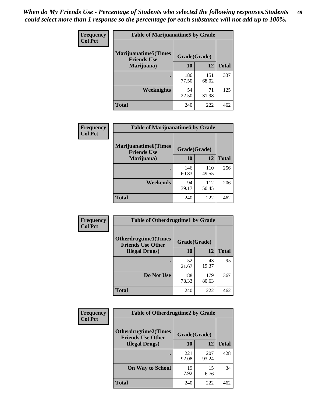| Frequency      | <b>Table of Marijuanatime5 by Grade</b>            |              |              |              |
|----------------|----------------------------------------------------|--------------|--------------|--------------|
| <b>Col Pct</b> | <b>Marijuanatime5</b> (Times<br><b>Friends Use</b> | Grade(Grade) |              |              |
|                | Marijuana)                                         | 10           | 12           | <b>Total</b> |
|                |                                                    | 186<br>77.50 | 151<br>68.02 | 337          |
|                | Weeknights                                         | 54<br>22.50  | 71<br>31.98  | 125          |
|                | <b>Total</b>                                       | 240          | 222          | 462          |

| <b>Frequency</b> | <b>Table of Marijuanatime6 by Grade</b>            |              |              |              |
|------------------|----------------------------------------------------|--------------|--------------|--------------|
| <b>Col Pct</b>   | <b>Marijuanatime6</b> (Times<br><b>Friends Use</b> | Grade(Grade) |              |              |
|                  | Marijuana)                                         | 10           | 12           | <b>Total</b> |
|                  |                                                    | 146<br>60.83 | 110<br>49.55 | 256          |
|                  | Weekends                                           | 94<br>39.17  | 112<br>50.45 | 206          |
|                  | <b>Total</b>                                       | 240          | 222          | 462          |

| <b>Frequency</b> | <b>Table of Otherdrugtime1 by Grade</b>                  |              |              |              |
|------------------|----------------------------------------------------------|--------------|--------------|--------------|
| <b>Col Pct</b>   | <b>Otherdrugtime1</b> (Times<br><b>Friends Use Other</b> | Grade(Grade) |              |              |
|                  | <b>Illegal Drugs</b> )                                   | 10           | 12           | <b>Total</b> |
|                  |                                                          | 52<br>21.67  | 43<br>19.37  | 95           |
|                  | Do Not Use                                               | 188<br>78.33 | 179<br>80.63 | 367          |
|                  | <b>Total</b>                                             | 240          | 222          | 462          |

| Frequency      | <b>Table of Otherdrugtime2 by Grade</b>                 |              |              |              |  |  |  |
|----------------|---------------------------------------------------------|--------------|--------------|--------------|--|--|--|
| <b>Col Pct</b> | <b>Otherdrugtime2(Times</b><br><b>Friends Use Other</b> | Grade(Grade) |              |              |  |  |  |
|                | <b>Illegal Drugs</b> )                                  | 10           | 12           | <b>Total</b> |  |  |  |
|                |                                                         | 221<br>92.08 | 207<br>93.24 | 428          |  |  |  |
|                | <b>On Way to School</b>                                 | 19<br>7.92   | 15<br>6.76   | 34           |  |  |  |
|                | Total                                                   | 240          | 222          | 462          |  |  |  |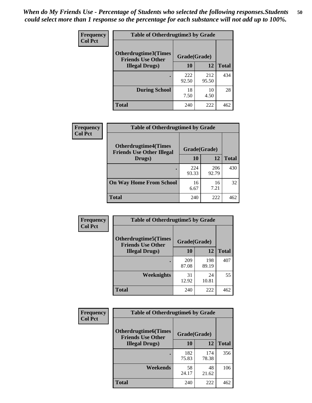| <b>Frequency</b> | <b>Table of Otherdrugtime3 by Grade</b>                                 |              |              |              |  |  |  |
|------------------|-------------------------------------------------------------------------|--------------|--------------|--------------|--|--|--|
| <b>Col Pct</b>   | <b>Otherdrugtime3(Times</b><br>Grade(Grade)<br><b>Friends Use Other</b> |              |              |              |  |  |  |
|                  | <b>Illegal Drugs)</b>                                                   | 10           | 12           | <b>Total</b> |  |  |  |
|                  |                                                                         | 222<br>92.50 | 212<br>95.50 | 434          |  |  |  |
|                  | <b>During School</b>                                                    | 18<br>7.50   | 10<br>4.50   | 28           |  |  |  |
|                  | Total                                                                   | 240          | 222          | 462          |  |  |  |

| <b>Frequency</b> | <b>Table of Otherdrugtime4 by Grade</b>                         |              |              |              |  |  |
|------------------|-----------------------------------------------------------------|--------------|--------------|--------------|--|--|
| <b>Col Pct</b>   | <b>Otherdrugtime4(Times</b><br><b>Friends Use Other Illegal</b> | Grade(Grade) |              |              |  |  |
|                  | Drugs)                                                          | 10           | 12           | <b>Total</b> |  |  |
|                  |                                                                 | 224<br>93.33 | 206<br>92.79 | 430          |  |  |
|                  | <b>On Way Home From School</b>                                  | 16<br>6.67   | 16<br>7.21   | 32           |  |  |
|                  | <b>Total</b>                                                    | 240          | 222          | 462          |  |  |

| Frequency<br><b>Col Pct</b> | <b>Table of Otherdrugtime5 by Grade</b>                  |              |              |              |  |  |
|-----------------------------|----------------------------------------------------------|--------------|--------------|--------------|--|--|
|                             | <b>Otherdrugtime5</b> (Times<br><b>Friends Use Other</b> | Grade(Grade) |              |              |  |  |
|                             | <b>Illegal Drugs</b> )                                   | 10           | 12           | <b>Total</b> |  |  |
|                             |                                                          | 209<br>87.08 | 198<br>89.19 | 407          |  |  |
|                             | Weeknights                                               | 31<br>12.92  | 24<br>10.81  | 55           |  |  |
|                             | Total                                                    | 240          | 222          | 462          |  |  |

| <b>Frequency</b> | <b>Table of Otherdrugtime6 by Grade</b>                 |              |              |              |  |  |
|------------------|---------------------------------------------------------|--------------|--------------|--------------|--|--|
| <b>Col Pct</b>   | <b>Otherdrugtime6(Times</b><br><b>Friends Use Other</b> | Grade(Grade) |              |              |  |  |
|                  | <b>Illegal Drugs</b> )                                  | 10           | 12           | <b>Total</b> |  |  |
|                  |                                                         | 182<br>75.83 | 174<br>78.38 | 356          |  |  |
|                  | Weekends                                                | 58<br>24.17  | 48<br>21.62  | 106          |  |  |
|                  | <b>Total</b>                                            | 240          | 222          | 462          |  |  |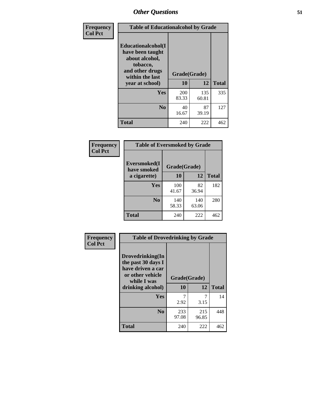| Frequency<br><b>Col Pct</b> | <b>Table of Educationalcohol by Grade</b>                                                                  |              |              |              |  |  |
|-----------------------------|------------------------------------------------------------------------------------------------------------|--------------|--------------|--------------|--|--|
|                             | Educationalcohol(I<br>have been taught<br>about alcohol,<br>tobacco,<br>and other drugs<br>within the last | Grade(Grade) |              |              |  |  |
|                             | year at school)                                                                                            | 10           | 12           | <b>Total</b> |  |  |
|                             | Yes                                                                                                        | 200<br>83.33 | 135<br>60.81 | 335          |  |  |
|                             | N <sub>0</sub>                                                                                             | 40<br>16.67  | 87<br>39.19  | 127          |  |  |
|                             | <b>Total</b>                                                                                               | 240          | 222          | 462          |  |  |

| Frequency      | <b>Table of Eversmoked by Grade</b> |              |              |              |  |  |  |
|----------------|-------------------------------------|--------------|--------------|--------------|--|--|--|
| <b>Col Pct</b> | Eversmoked(I<br>have smoked         | Grade(Grade) |              |              |  |  |  |
|                | a cigarette)                        | 10           | 12           | <b>Total</b> |  |  |  |
|                | Yes                                 | 100<br>41.67 | 82<br>36.94  | 182          |  |  |  |
|                | N <sub>0</sub>                      | 140<br>58.33 | 140<br>63.06 | 280          |  |  |  |
|                | <b>Total</b>                        | 240          | 222          | 462          |  |  |  |

| Frequency<br><b>Col Pct</b> | <b>Table of Drovedrinking by Grade</b>                                                                              |                    |              |     |  |  |
|-----------------------------|---------------------------------------------------------------------------------------------------------------------|--------------------|--------------|-----|--|--|
|                             | Drovedrinking(In<br>the past 30 days I<br>have driven a car<br>or other vehicle<br>while I was<br>drinking alcohol) | Grade(Grade)<br>10 | <b>Total</b> |     |  |  |
|                             | Yes                                                                                                                 |                    |              | 14  |  |  |
|                             |                                                                                                                     | 2.92               | 3.15         |     |  |  |
|                             | N <sub>0</sub>                                                                                                      | 233<br>97.08       | 215<br>96.85 | 448 |  |  |
|                             | <b>Total</b>                                                                                                        | 240                | 222          | 462 |  |  |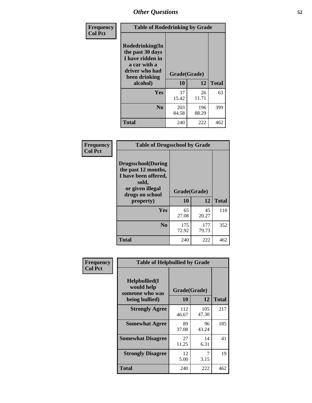| Frequency<br><b>Col Pct</b> | <b>Table of Rodedrinking by Grade</b>                                                                                  |                          |              |              |  |  |
|-----------------------------|------------------------------------------------------------------------------------------------------------------------|--------------------------|--------------|--------------|--|--|
|                             | Rodedrinking(In<br>the past 30 days<br>I have ridden in<br>a car with a<br>driver who had<br>been drinking<br>alcohol) | Grade(Grade)<br>10<br>12 |              | <b>Total</b> |  |  |
|                             | <b>Yes</b>                                                                                                             | 37<br>15.42              | 26<br>11.71  | 63           |  |  |
|                             | N <sub>0</sub>                                                                                                         | 203<br>84.58             | 196<br>88.29 | 399          |  |  |
|                             | <b>Total</b>                                                                                                           | 240                      | 222          | 462          |  |  |

#### **Frequency Col Pct**

| <b>Table of Drugsschool by Grade</b>                                                                                      |              |              |              |  |  |  |
|---------------------------------------------------------------------------------------------------------------------------|--------------|--------------|--------------|--|--|--|
| <b>Drugsschool</b> (During<br>the past 12 months,<br>I have been offered,<br>sold,<br>or given illegal<br>drugs on school | Grade(Grade) |              |              |  |  |  |
| property)                                                                                                                 | 10           | 12           | <b>Total</b> |  |  |  |
| Yes                                                                                                                       | 65<br>27.08  | 45<br>20.27  | 110          |  |  |  |
| N <sub>0</sub>                                                                                                            | 175<br>72.92 | 177<br>79.73 | 352          |  |  |  |
| <b>Total</b>                                                                                                              | 240          | 222          | 462          |  |  |  |

| Frequency      | <b>Table of Helpbullied by Grade</b>                                   |                                 |              |              |  |  |
|----------------|------------------------------------------------------------------------|---------------------------------|--------------|--------------|--|--|
| <b>Col Pct</b> | $Helpb$ ullied $(I$<br>would help<br>someone who was<br>being bullied) | Grade(Grade)<br><b>10</b><br>12 |              | <b>Total</b> |  |  |
|                |                                                                        |                                 |              |              |  |  |
|                | <b>Strongly Agree</b>                                                  | 112<br>46.67                    | 105<br>47.30 | 217          |  |  |
|                | <b>Somewhat Agree</b>                                                  | 89<br>37.08                     | 96<br>43.24  | 185          |  |  |
|                | <b>Somewhat Disagree</b>                                               | 27<br>11.25                     | 14<br>6.31   | 41           |  |  |
|                | <b>Strongly Disagree</b>                                               | 12<br>5.00                      | 7<br>3.15    | 19           |  |  |
|                | Total                                                                  | 240                             | 222          | 462          |  |  |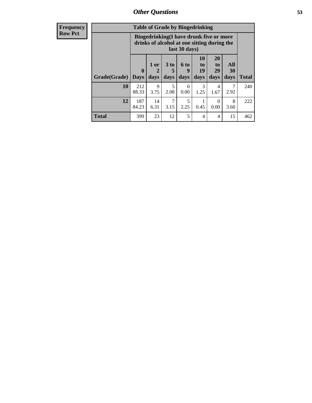| <b>Frequency</b> | <b>Table of Grade by Bingedrinking</b> |                                                                                                         |                                |                              |                   |                        |                        |                   |              |
|------------------|----------------------------------------|---------------------------------------------------------------------------------------------------------|--------------------------------|------------------------------|-------------------|------------------------|------------------------|-------------------|--------------|
| <b>Row Pct</b>   |                                        | Bingedrinking(I have drunk five or more<br>drinks of alcohol at one sitting during the<br>last 30 days) |                                |                              |                   |                        |                        |                   |              |
|                  | Grade(Grade)                           | $\boldsymbol{0}$<br><b>Days</b>                                                                         | 1 or<br>$\overline{2}$<br>days | 3 <sub>to</sub><br>5<br>days | 6 to<br>9<br>days | 10<br>to<br>19<br>days | 20<br>to<br>29<br>days | All<br>30<br>days | <b>Total</b> |
|                  | 10                                     | 212<br>88.33                                                                                            | 9<br>3.75                      | 5<br>2.08                    | $\Omega$<br>0.00  | 3<br>1.25              | 4<br>1.67              | 7<br>2.92         | 240          |
|                  | 12                                     | 187<br>84.23                                                                                            | 14<br>6.31                     | $\tau$<br>3.15               | 5<br>2.25         | 0.45                   | $\Omega$<br>0.00       | 8<br>3.60         | 222          |
|                  | <b>Total</b>                           | 399                                                                                                     | 23                             | 12                           | 5                 | $\overline{4}$         | 4                      | 15                | 462          |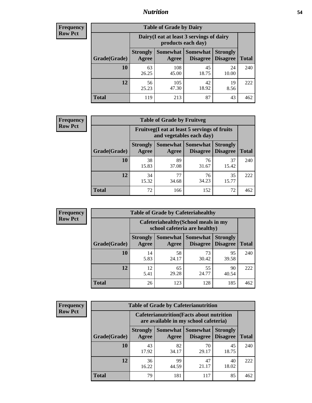### *Nutrition* **54**

| <b>Frequency</b><br>Row Pct |
|-----------------------------|
|                             |

| <b>Table of Grade by Dairy</b> |                          |                                                                                                                      |             |             |     |  |  |  |
|--------------------------------|--------------------------|----------------------------------------------------------------------------------------------------------------------|-------------|-------------|-----|--|--|--|
|                                |                          | Dairy (I eat at least 3 servings of dairy<br>products each day)                                                      |             |             |     |  |  |  |
| Grade(Grade)                   | <b>Strongly</b><br>Agree | <b>Somewhat</b><br><b>Somewhat</b><br><b>Strongly</b><br><b>Disagree</b><br><b>Total</b><br><b>Disagree</b><br>Agree |             |             |     |  |  |  |
| 10                             | 63<br>26.25              | 108<br>45.00                                                                                                         | 45<br>18.75 | 24<br>10.00 | 240 |  |  |  |
| 12                             | 56<br>25.23              | 105<br>47.30                                                                                                         | 42<br>18.92 | 19<br>8.56  | 222 |  |  |  |
| <b>Total</b>                   | 119                      | 213                                                                                                                  | 87          | 43          | 462 |  |  |  |

| <b>Frequency</b> |  |
|------------------|--|
| <b>Row Pct</b>   |  |

| <b>Table of Grade by Fruitveg</b> |                          |                                                                          |                   |                                               |              |  |  |
|-----------------------------------|--------------------------|--------------------------------------------------------------------------|-------------------|-----------------------------------------------|--------------|--|--|
|                                   |                          | Fruitveg(I eat at least 5 servings of fruits<br>and vegetables each day) |                   |                                               |              |  |  |
| Grade(Grade)                      | <b>Strongly</b><br>Agree | Agree                                                                    | Somewhat Somewhat | <b>Strongly</b><br><b>Disagree</b>   Disagree | <b>Total</b> |  |  |
| 10                                | 38<br>15.83              | 89<br>37.08                                                              | 76<br>31.67       | 37<br>15.42                                   | 240          |  |  |
| 12                                | 34<br>15.32              | 77<br>34.68                                                              | 76<br>34.23       | 35<br>15.77                                   | 222          |  |  |
| <b>Total</b>                      | 72                       | 166                                                                      | 152               | 72                                            | 462          |  |  |

| <b>Frequency</b> | <b>Table of Grade by Cafeteriahealthy</b> |                                                                       |                     |                      |                                    |              |
|------------------|-------------------------------------------|-----------------------------------------------------------------------|---------------------|----------------------|------------------------------------|--------------|
| <b>Row Pct</b>   |                                           | Cafeteriahealthy (School meals in my<br>school cafeteria are healthy) |                     |                      |                                    |              |
|                  | Grade(Grade)                              | <b>Strongly</b><br>Agree                                              | Somewhat  <br>Agree | Somewhat<br>Disagree | <b>Strongly</b><br><b>Disagree</b> | <b>Total</b> |
|                  | 10                                        | 14<br>5.83                                                            | 58<br>24.17         | 73<br>30.42          | 95<br>39.58                        | 240          |
|                  | 12                                        | 12<br>5.41                                                            | 65<br>29.28         | 55<br>24.77          | 90<br>40.54                        | 222          |
|                  | Total                                     | 26                                                                    | 123                 | 128                  | 185                                | 462          |

| <b>Frequency</b> |
|------------------|
| <b>Row Pct</b>   |

| <b>Table of Grade by Cafeterianutrition</b>                                               |                          |                     |                                    |                                    |              |  |  |
|-------------------------------------------------------------------------------------------|--------------------------|---------------------|------------------------------------|------------------------------------|--------------|--|--|
| <b>Cafeterianutrition</b> (Facts about nutrition<br>are available in my school cafeteria) |                          |                     |                                    |                                    |              |  |  |
| Grade(Grade)                                                                              | <b>Strongly</b><br>Agree | Somewhat  <br>Agree | <b>Somewhat</b><br><b>Disagree</b> | <b>Strongly</b><br><b>Disagree</b> | <b>Total</b> |  |  |
| 10                                                                                        | 43<br>17.92              | 82<br>34.17         | 70<br>29.17                        | 45<br>18.75                        | 240          |  |  |
| 12                                                                                        | 36<br>16.22              | 99<br>44.59         | 47<br>21.17                        | 40<br>18.02                        | 222          |  |  |
| <b>Total</b>                                                                              | 79                       | 181                 | 117                                | 85                                 | 462          |  |  |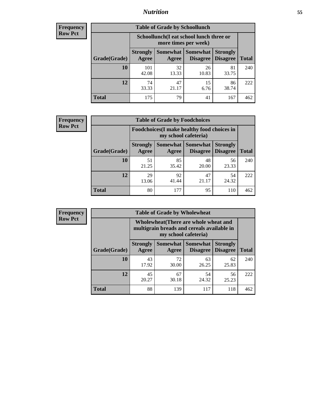### *Nutrition* **55**

| <b>Frequency</b> |
|------------------|
| <b>Row Pct</b>   |

| <b>Table of Grade by Schoollunch</b> |                                                                                                                               |                                                                 |             |             |     |  |  |  |
|--------------------------------------|-------------------------------------------------------------------------------------------------------------------------------|-----------------------------------------------------------------|-------------|-------------|-----|--|--|--|
|                                      |                                                                                                                               | Schoollunch(I eat school lunch three or<br>more times per week) |             |             |     |  |  |  |
| Grade(Grade)                         | Somewhat  <br><b>Somewhat</b><br><b>Strongly</b><br><b>Strongly</b><br><b>Disagree</b><br>Agree<br>Disagree<br>Total<br>Agree |                                                                 |             |             |     |  |  |  |
| 10                                   | 101<br>42.08                                                                                                                  | 32<br>13.33                                                     | 26<br>10.83 | 81<br>33.75 | 240 |  |  |  |
| 12                                   | 74<br>33.33                                                                                                                   | 47<br>21.17                                                     | 15<br>6.76  | 86<br>38.74 | 222 |  |  |  |
| <b>Total</b>                         | 175                                                                                                                           | 79                                                              | 41          | 167         | 462 |  |  |  |

| <b>Frequency</b> |  |
|------------------|--|
| <b>Row Pct</b>   |  |

| <b>Table of Grade by Foodchoices</b>                                       |                          |             |                     |                                             |              |  |  |
|----------------------------------------------------------------------------|--------------------------|-------------|---------------------|---------------------------------------------|--------------|--|--|
| <b>Foodchoices</b> (I make healthy food choices in<br>my school cafeteria) |                          |             |                     |                                             |              |  |  |
| Grade(Grade)                                                               | <b>Strongly</b><br>Agree | Agree       | Somewhat   Somewhat | <b>Strongly</b><br><b>Disagree</b> Disagree | <b>Total</b> |  |  |
| 10                                                                         | 51<br>21.25              | 85<br>35.42 | 48<br>20.00         | 56<br>23.33                                 | 240          |  |  |
| 12                                                                         | 29<br>13.06              | 92<br>41.44 | 47<br>21.17         | 54<br>24.32                                 | 222          |  |  |
| <b>Total</b>                                                               | 80                       | 177         | 95                  | 110                                         | 462          |  |  |

| Frequency      | <b>Table of Grade by Wholewheat</b> |                                                                                                             |             |                                   |                                    |              |  |  |  |
|----------------|-------------------------------------|-------------------------------------------------------------------------------------------------------------|-------------|-----------------------------------|------------------------------------|--------------|--|--|--|
| <b>Row Pct</b> |                                     | Wholewheat (There are whole wheat and<br>multigrain breads and cereals available in<br>my school cafeteria) |             |                                   |                                    |              |  |  |  |
|                | Grade(Grade)                        | <b>Strongly</b><br>Agree                                                                                    | Agree       | Somewhat   Somewhat  <br>Disagree | <b>Strongly</b><br><b>Disagree</b> | <b>Total</b> |  |  |  |
|                | 10                                  | 43<br>17.92                                                                                                 | 72<br>30.00 | 63<br>26.25                       | 62<br>25.83                        | 240          |  |  |  |
|                | 12                                  | 45<br>20.27                                                                                                 | 67<br>30.18 | 54<br>24.32                       | 56<br>25.23                        | 222          |  |  |  |
|                | <b>Total</b>                        | 88                                                                                                          | 139         | 117                               | 118                                | 462          |  |  |  |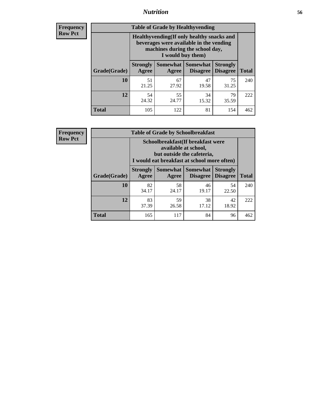### *Nutrition* **56**

**Frequency Row Pct**

| <b>Table of Grade by Healthyvending</b> |                                                                                                                                               |                          |                                    |                                    |              |  |
|-----------------------------------------|-----------------------------------------------------------------------------------------------------------------------------------------------|--------------------------|------------------------------------|------------------------------------|--------------|--|
|                                         | Healthyvending (If only healthy snacks and<br>beverages were available in the vending<br>machines during the school day,<br>I would buy them) |                          |                                    |                                    |              |  |
| Grade(Grade)                            | <b>Strongly</b><br>Agree                                                                                                                      | <b>Somewhat</b><br>Agree | <b>Somewhat</b><br><b>Disagree</b> | <b>Strongly</b><br><b>Disagree</b> | <b>Total</b> |  |
| 10                                      | 51<br>21.25                                                                                                                                   | 67<br>27.92              | 47<br>19.58                        | 75<br>31.25                        | 240          |  |
| 12                                      | 54<br>24.32                                                                                                                                   | 55<br>24.77              | 34<br>15.32                        | 79<br>35.59                        | 222          |  |
| <b>Total</b>                            | 105                                                                                                                                           | 122                      | 81                                 | 154                                | 462          |  |

**Frequency Row Pct**

| <b>Table of Grade by Schoolbreakfast</b> |                                                                                                                                         |                                           |                                    |                                    |              |  |  |
|------------------------------------------|-----------------------------------------------------------------------------------------------------------------------------------------|-------------------------------------------|------------------------------------|------------------------------------|--------------|--|--|
|                                          | Schoolbreakfast (If breakfast were<br>available at school,<br>but outside the cafeteria,<br>I would eat breakfast at school more often) |                                           |                                    |                                    |              |  |  |
| Grade(Grade)                             | <b>Strongly</b><br>Agree                                                                                                                | Somewhat  <br>Agree                       | <b>Somewhat</b><br><b>Disagree</b> | <b>Strongly</b><br><b>Disagree</b> | <b>Total</b> |  |  |
| 10                                       | 82<br>34.17                                                                                                                             | 58<br>24.17                               | 46<br>19.17                        | 54<br>22.50                        | 240          |  |  |
| 12                                       | 83<br>37.39                                                                                                                             | 59<br>38<br>42<br>18.92<br>17.12<br>26.58 |                                    |                                    |              |  |  |
| <b>Total</b>                             | 165                                                                                                                                     | 117                                       | 84                                 | 96                                 | 462          |  |  |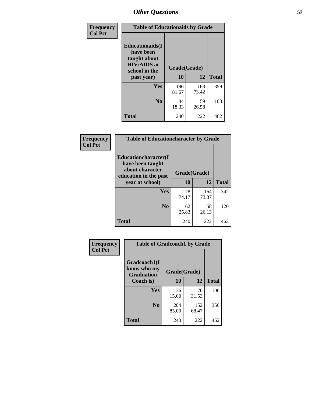| Frequency<br><b>Col Pct</b> | <b>Table of Educationaids by Grade</b>                                                                    |                    |              |              |
|-----------------------------|-----------------------------------------------------------------------------------------------------------|--------------------|--------------|--------------|
|                             | <b>Educationaids</b> (I<br>have been<br>taught about<br><b>HIV/AIDS</b> at<br>school in the<br>past year) | Grade(Grade)<br>10 | 12           | <b>Total</b> |
|                             | Yes                                                                                                       | 196<br>81.67       | 163<br>73.42 | 359          |
|                             | N <sub>0</sub>                                                                                            | 44<br>18.33        | 59<br>26.58  | 103          |
|                             | <b>Total</b>                                                                                              | 240                | 222          | 462          |

| <b>Frequency</b> | <b>Table of Educationcharacter by Grade</b>                                          |              |              |              |
|------------------|--------------------------------------------------------------------------------------|--------------|--------------|--------------|
| <b>Col Pct</b>   | Educationcharacter(I<br>have been taught<br>about character<br>education in the past | Grade(Grade) |              |              |
|                  | year at school)                                                                      | 10           | 12           | <b>Total</b> |
|                  | Yes                                                                                  | 178<br>74.17 | 164<br>73.87 | 342          |
|                  | N <sub>0</sub>                                                                       | 62<br>25.83  | 58<br>26.13  | 120          |
|                  | <b>Total</b>                                                                         | 240          | 222          | 462          |

| Frequency      | <b>Table of Gradcoach1 by Grade</b>              |              |              |              |
|----------------|--------------------------------------------------|--------------|--------------|--------------|
| <b>Col Pct</b> | Gradcoach1(I<br>know who my<br><b>Graduation</b> | Grade(Grade) |              |              |
|                | Coach is)                                        | 10           | 12           | <b>Total</b> |
|                | Yes                                              | 36<br>15.00  | 70<br>31.53  | 106          |
|                | N <sub>0</sub>                                   | 204<br>85.00 | 152<br>68.47 | 356          |
|                | <b>Total</b>                                     | 240          | 222          | 462          |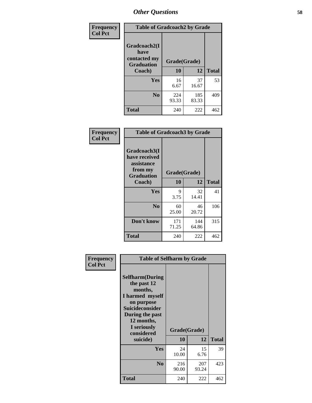| Frequency      | <b>Table of Gradcoach2 by Grade</b> |              |              |              |
|----------------|-------------------------------------|--------------|--------------|--------------|
| <b>Col Pct</b> |                                     |              |              |              |
|                | Gradcoach2(I<br>have                |              |              |              |
|                | contacted my<br><b>Graduation</b>   | Grade(Grade) |              |              |
|                | Coach)                              | 10           | 12           | <b>Total</b> |
|                | <b>Yes</b>                          | 16<br>6.67   | 37<br>16.67  | 53           |
|                | N <sub>0</sub>                      | 224<br>93.33 | 185<br>83.33 | 409          |
|                | <b>Total</b>                        | 240          | 222          | 462          |

| <b>Frequency</b><br><b>Col Pct</b> |                                                                             | <b>Table of Gradcoach3 by Grade</b> |              |              |  |
|------------------------------------|-----------------------------------------------------------------------------|-------------------------------------|--------------|--------------|--|
|                                    | Gradcoach3(I<br>have received<br>assistance<br>from my<br><b>Graduation</b> | Grade(Grade)                        |              |              |  |
|                                    | Coach)                                                                      | 10                                  | 12           | <b>Total</b> |  |
|                                    | Yes                                                                         | 9<br>3.75                           | 32<br>14.41  | 41           |  |
|                                    | N <sub>0</sub>                                                              | 60<br>25.00                         | 46<br>20.72  | 106          |  |
|                                    | Don't know                                                                  | 171<br>71.25                        | 144<br>64.86 | 315          |  |
|                                    | <b>Total</b>                                                                | 240                                 | 222          | 462          |  |

| Frequency<br><b>Col Pct</b> | <b>Table of Selfharm by Grade</b>                                                                                                                                                      |                    |              |              |  |
|-----------------------------|----------------------------------------------------------------------------------------------------------------------------------------------------------------------------------------|--------------------|--------------|--------------|--|
|                             | <b>Selfharm</b> (During<br>the past 12<br>months,<br>I harmed myself<br>on purpose<br><b>Suicideconsider</b><br>During the past<br>12 months,<br>I seriously<br>considered<br>suicide) | Grade(Grade)<br>10 | 12           | <b>Total</b> |  |
|                             | Yes                                                                                                                                                                                    | 24                 | 15           | 39           |  |
|                             |                                                                                                                                                                                        | 10.00              | 6.76         |              |  |
|                             | N <sub>0</sub>                                                                                                                                                                         | 216<br>90.00       | 207<br>93.24 | 423          |  |
|                             | <b>Total</b>                                                                                                                                                                           | 240                | 222          | 462          |  |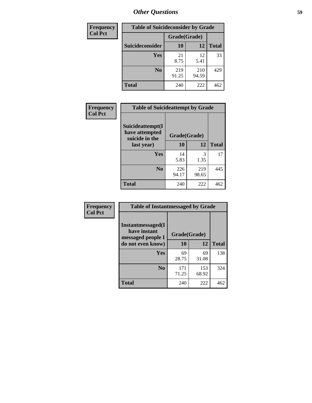| <b>Frequency</b> | <b>Table of Suicideconsider by Grade</b> |              |              |              |  |
|------------------|------------------------------------------|--------------|--------------|--------------|--|
| <b>Col Pct</b>   |                                          | Grade(Grade) |              |              |  |
|                  | Suicideconsider                          | 10           | 12           | <b>Total</b> |  |
|                  | Yes                                      | 21<br>8.75   | 12<br>5.41   | 33           |  |
|                  | N <sub>0</sub>                           | 219<br>91.25 | 210<br>94.59 | 429          |  |
|                  | <b>Total</b>                             | 240          | 222          | 462          |  |

| Frequency      | <b>Table of Suicideattempt by Grade</b>              |              |              |              |
|----------------|------------------------------------------------------|--------------|--------------|--------------|
| <b>Col Pct</b> | Suicideattempt(I<br>have attempted<br>suicide in the | Grade(Grade) |              |              |
|                | last year)                                           | 10           | 12           | <b>Total</b> |
|                | Yes                                                  | 14<br>5.83   | 3<br>1.35    | 17           |
|                | N <sub>0</sub>                                       | 226<br>94.17 | 219<br>98.65 | 445          |
|                | <b>Total</b>                                         | 240          | 222          | 462          |

| Frequency      | <b>Table of Instantmessaged by Grade</b>               |              |              |              |
|----------------|--------------------------------------------------------|--------------|--------------|--------------|
| <b>Col Pct</b> | Instantmessaged(I<br>have instant<br>messaged people I | Grade(Grade) |              |              |
|                | do not even know)                                      | 10           | 12           | <b>Total</b> |
|                | <b>Yes</b>                                             | 69<br>28.75  | 69<br>31.08  | 138          |
|                | N <sub>0</sub>                                         | 171<br>71.25 | 153<br>68.92 | 324          |
|                | <b>Total</b>                                           | 240          | 222          | 462          |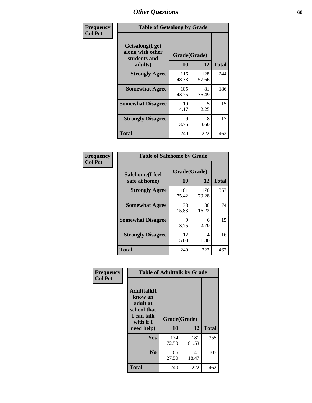| Frequency      | <b>Table of Getsalong by Grade</b>                  |              |              |              |
|----------------|-----------------------------------------------------|--------------|--------------|--------------|
| <b>Col Pct</b> | Getsalong(I get<br>along with other<br>students and | Grade(Grade) |              |              |
|                | adults)                                             | 10           | 12           | <b>Total</b> |
|                | <b>Strongly Agree</b>                               | 116<br>48.33 | 128<br>57.66 | 244          |
|                | <b>Somewhat Agree</b>                               | 105<br>43.75 | 81<br>36.49  | 186          |
|                | <b>Somewhat Disagree</b>                            | 10<br>4.17   | 5<br>2.25    | 15           |
|                | <b>Strongly Disagree</b>                            | 9<br>3.75    | 8<br>3.60    | 17           |
|                | <b>Total</b>                                        | 240          | 222          | 462          |

| Frequency      |                                  | <b>Table of Safehome by Grade</b> |              |              |  |  |  |  |
|----------------|----------------------------------|-----------------------------------|--------------|--------------|--|--|--|--|
| <b>Col Pct</b> | Safehome(I feel<br>safe at home) | Grade(Grade)<br>10                | 12           | <b>Total</b> |  |  |  |  |
|                | <b>Strongly Agree</b>            | 181<br>75.42                      | 176<br>79.28 | 357          |  |  |  |  |
|                | <b>Somewhat Agree</b>            | 38<br>15.83                       | 36<br>16.22  | 74           |  |  |  |  |
|                | <b>Somewhat Disagree</b>         | 9<br>3.75                         | 6<br>2.70    | 15           |  |  |  |  |
|                | <b>Strongly Disagree</b>         | 12<br>5.00                        | 4<br>1.80    | 16           |  |  |  |  |
|                | <b>Total</b>                     | 240                               | 222          | 462          |  |  |  |  |

| Frequency      |                                                                                     | <b>Table of Adulttalk by Grade</b> |              |              |
|----------------|-------------------------------------------------------------------------------------|------------------------------------|--------------|--------------|
| <b>Col Pct</b> | <b>Adulttalk(I</b><br>know an<br>adult at<br>school that<br>I can talk<br>with if I | Grade(Grade)                       |              |              |
|                | need help)                                                                          | 10                                 | 12           | <b>Total</b> |
|                | Yes                                                                                 | 174<br>72.50                       | 181<br>81.53 | 355          |
|                | N <sub>0</sub>                                                                      | 66<br>27.50                        | 41<br>18.47  | 107          |
|                | <b>Total</b>                                                                        | 240                                | 222          | 462          |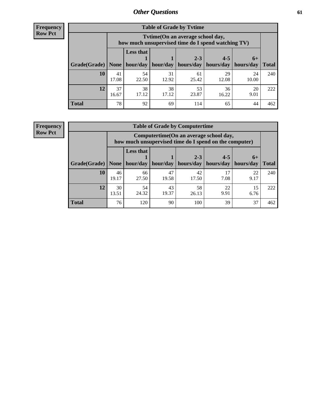**Frequency Row Pct**

r

| <b>Table of Grade by Tvtime</b> |             |                                                                                        |             |             |             |             |              |  |  |  |
|---------------------------------|-------------|----------------------------------------------------------------------------------------|-------------|-------------|-------------|-------------|--------------|--|--|--|
|                                 |             | Tvtime(On an average school day,<br>how much unsupervised time do I spend watching TV) |             |             |             |             |              |  |  |  |
|                                 |             | <b>Less that</b>                                                                       |             | $2 - 3$     | $4 - 5$     | $6+$        |              |  |  |  |
| Grade(Grade)                    | None        | hour/day                                                                               | hour/day    | hours/day   | hours/day   | hours/day   | <b>Total</b> |  |  |  |
| 10                              | 41<br>17.08 | 54<br>22.50                                                                            | 31<br>12.92 | 61<br>25.42 | 29<br>12.08 | 24<br>10.00 | 240          |  |  |  |
| 12                              | 37<br>16.67 | 38<br>17.12                                                                            | 38<br>17.12 | 53<br>23.87 | 36<br>16.22 | 20<br>9.01  | 222          |  |  |  |
| <b>Total</b>                    | 78          | 92                                                                                     | 69          | 114         | 65          | 44          | 462          |  |  |  |

**Frequency Row Pct**

| <b>Table of Grade by Computertime</b> |             |                                                                                                                               |             |             |            |            |     |  |  |
|---------------------------------------|-------------|-------------------------------------------------------------------------------------------------------------------------------|-------------|-------------|------------|------------|-----|--|--|
|                                       |             | Computertime (On an average school day,<br>how much unsupervised time do I spend on the computer)                             |             |             |            |            |     |  |  |
| Grade(Grade)                          | None        | <b>Less that</b><br>$2 - 3$<br>$4 - 5$<br>$6+$<br>hours/day<br>hour/day<br>hour/day<br>hours/day<br>hours/day<br><b>Total</b> |             |             |            |            |     |  |  |
| 10                                    | 46<br>19.17 | 66<br>27.50                                                                                                                   | 47<br>19.58 | 42<br>17.50 | 17<br>7.08 | 22<br>9.17 | 240 |  |  |
| 12                                    | 30<br>13.51 | 54<br>24.32                                                                                                                   | 43<br>19.37 | 58<br>26.13 | 22<br>9.91 | 15<br>6.76 | 222 |  |  |
| <b>Total</b>                          | 76          | 120                                                                                                                           | 90          | 100         | 39         | 37         | 462 |  |  |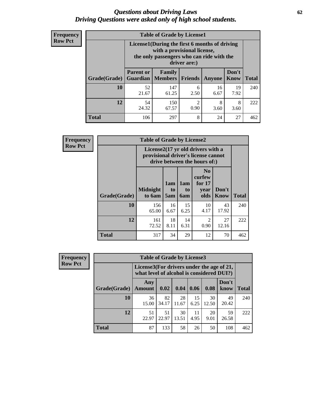#### *Questions about Driving Laws* **62** *Driving Questions were asked only of high school students.*

| <b>Frequency</b> |
|------------------|
| <b>Row Pct</b>   |

| <b>Table of Grade by License1</b> |                                                                    |                                                                                                                                           |                |               |               |              |  |  |  |
|-----------------------------------|--------------------------------------------------------------------|-------------------------------------------------------------------------------------------------------------------------------------------|----------------|---------------|---------------|--------------|--|--|--|
|                                   |                                                                    | License1(During the first 6 months of driving<br>with a provisional license,<br>the only passengers who can ride with the<br>driver are:) |                |               |               |              |  |  |  |
| Grade(Grade)                      | <b>Parent or</b><br>Guardian                                       | Family<br>  Members                                                                                                                       | <b>Friends</b> | <b>Anyone</b> | Don't<br>Know | <b>Total</b> |  |  |  |
| 10                                | 52<br>21.67                                                        | 147<br>61.25                                                                                                                              | 6<br>2.50      | 16<br>6.67    | 19<br>7.92    | 240          |  |  |  |
| 12                                | 54<br>150<br>2<br>8<br>8<br>24.32<br>0.90<br>67.57<br>3.60<br>3.60 |                                                                                                                                           |                |               |               |              |  |  |  |
| <b>Total</b>                      | 106                                                                | 297                                                                                                                                       | 8              | 24            | 27            | 462          |  |  |  |

| <b>Frequency</b> | <b>Table of Grade by License2</b>                                                                        |                           |                              |                  |                                                      |               |              |  |
|------------------|----------------------------------------------------------------------------------------------------------|---------------------------|------------------------------|------------------|------------------------------------------------------|---------------|--------------|--|
| <b>Row Pct</b>   | License2(17 yr old drivers with a<br>provisional driver's license cannot<br>drive between the hours of:) |                           |                              |                  |                                                      |               |              |  |
|                  | Grade(Grade)                                                                                             | <b>Midnight</b><br>to 6am | 1am<br>t <sub>0</sub><br>5am | 1am<br>to<br>6am | N <sub>0</sub><br>curfew<br>for $17$<br>vear<br>olds | Don't<br>Know | <b>Total</b> |  |
|                  | 10                                                                                                       | 156<br>65.00              | 16<br>6.67                   | 15<br>6.25       | 10<br>4.17                                           | 43<br>17.92   | 240          |  |
|                  | 12                                                                                                       | 161<br>72.52              | 18<br>8.11                   | 14<br>6.31       | $\overline{2}$<br>0.90                               | 27<br>12.16   | 222          |  |
|                  | <b>Total</b>                                                                                             | 317                       | 34                           | 29               | 12                                                   | 70            | 462          |  |

| Frequency      |              | <b>Table of Grade by License3</b>                                                      |             |             |            |             |               |              |
|----------------|--------------|----------------------------------------------------------------------------------------|-------------|-------------|------------|-------------|---------------|--------------|
| <b>Row Pct</b> |              | License3(For drivers under the age of 21,<br>what level of alcohol is considered DUI?) |             |             |            |             |               |              |
|                | Grade(Grade) | Any<br><b>Amount</b>                                                                   | 0.02        | 0.04        | 0.06       | 0.08        | Don't<br>know | <b>Total</b> |
|                | 10           | 36<br>15.00                                                                            | 82<br>34.17 | 28<br>11.67 | 15<br>6.25 | 30<br>12.50 | 49<br>20.42   | 240          |
|                | 12           | 51<br>22.97                                                                            | 51<br>22.97 | 30<br>13.51 | 11<br>4.95 | 20<br>9.01  | 59<br>26.58   | 222          |
|                | <b>Total</b> | 87                                                                                     | 133         | 58          | 26         | 50          | 108           | 462          |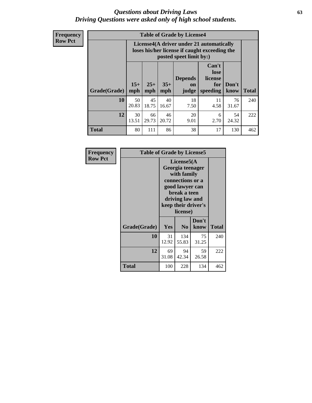#### *Questions about Driving Laws* **63** *Driving Questions were asked only of high school students.*

**Frequency Row Pct**

| <b>Table of Grade by License4</b> |             |                                                                                                                                                                                                                                                                                       |             |            |            |             |     |  |  |
|-----------------------------------|-------------|---------------------------------------------------------------------------------------------------------------------------------------------------------------------------------------------------------------------------------------------------------------------------------------|-------------|------------|------------|-------------|-----|--|--|
|                                   |             | License4(A driver under 21 automatically<br>loses his/her license if caught exceeding the<br>posted speet limit by:)<br>Can't<br>lose<br><b>Depends</b><br>license<br>$15+$<br>$25+$<br>$35+$<br>Don't<br>for<br><b>on</b><br>mph<br>speeding<br><b>Total</b><br>know<br>mph<br>judge |             |            |            |             |     |  |  |
| Grade(Grade)                      | mph         |                                                                                                                                                                                                                                                                                       |             |            |            |             |     |  |  |
| 10                                | 50<br>20.83 | 45<br>18.75                                                                                                                                                                                                                                                                           | 40<br>16.67 | 18<br>7.50 | 11<br>4.58 | 76<br>31.67 | 240 |  |  |
| 12                                | 30<br>13.51 | 66<br>46<br>20<br>54<br>6<br>29.73<br>20.72<br>2.70<br>24.32<br>9.01                                                                                                                                                                                                                  |             |            |            |             |     |  |  |
| <b>Total</b>                      | 80          | 111                                                                                                                                                                                                                                                                                   | 86          | 38         | 17         | 130         | 462 |  |  |

| Frequency      | <b>Table of Grade by License5</b> |                                                                                                                                                             |                |               |       |
|----------------|-----------------------------------|-------------------------------------------------------------------------------------------------------------------------------------------------------------|----------------|---------------|-------|
| <b>Row Pct</b> |                                   | License5(A)<br>Georgia teenager<br>with family<br>connections or a<br>good lawyer can<br>break a teen<br>driving law and<br>keep their driver's<br>license) |                |               |       |
|                | Grade(Grade)                      | <b>Yes</b>                                                                                                                                                  | N <sub>0</sub> | Don't<br>know | Total |
|                | 10                                | 31<br>12.92                                                                                                                                                 | 134<br>55.83   | 75<br>31.25   | 240   |
|                | 12                                | 69<br>31.08                                                                                                                                                 | 94<br>42.34    | 59<br>26.58   | 222   |
|                | <b>Total</b>                      | 100                                                                                                                                                         | 228            | 134           | 462   |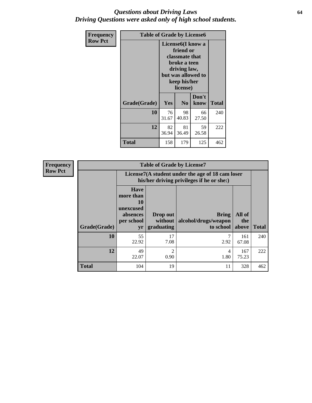#### *Questions about Driving Laws* **64** *Driving Questions were asked only of high school students.*

| <b>Frequency</b> | <b>Table of Grade by License6</b> |             |                                                                                                                           |                    |              |  |
|------------------|-----------------------------------|-------------|---------------------------------------------------------------------------------------------------------------------------|--------------------|--------------|--|
| <b>Row Pct</b>   |                                   |             | License <sub>6</sub> (I know a<br>friend or<br>classmate that<br>broke a teen<br>driving law,<br>keep his/her<br>license) | but was allowed to |              |  |
|                  | Grade(Grade)                      | Yes         | N <sub>0</sub>                                                                                                            | Don't<br>know      | <b>Total</b> |  |
|                  | 10                                | 76<br>31.67 | 98<br>40.83                                                                                                               | 66<br>27.50        | 240          |  |
|                  | 12                                | 82<br>36.94 | 81<br>36.49                                                                                                               | 59<br>26.58        | 222          |  |
|                  | <b>Total</b>                      | 158         | 179                                                                                                                       | 125                | 462          |  |

| <b>Frequency</b> |              |                                                                             | <b>Table of Grade by License7</b>   |                                                                                               |                        |              |
|------------------|--------------|-----------------------------------------------------------------------------|-------------------------------------|-----------------------------------------------------------------------------------------------|------------------------|--------------|
| <b>Row Pct</b>   |              |                                                                             |                                     | License7(A student under the age of 18 cam loser<br>his/her driving privileges if he or she:) |                        |              |
|                  | Grade(Grade) | <b>Have</b><br>more than<br>10<br>unexcused<br>absences<br>per school<br>yr | Drop out<br>without  <br>graduating | <b>Bring</b><br>alcohol/drugs/weapon<br>to school                                             | All of<br>the<br>above | <b>Total</b> |
|                  | 10           | 55<br>22.92                                                                 | 17<br>7.08                          | 2.92                                                                                          | 161<br>67.08           | 240          |
|                  | 12           | 49<br>22.07                                                                 | $\overline{2}$<br>0.90              | 4<br>1.80                                                                                     | 167<br>75.23           | 222          |
|                  | <b>Total</b> | 104                                                                         | 19                                  | 11                                                                                            | 328                    | 462          |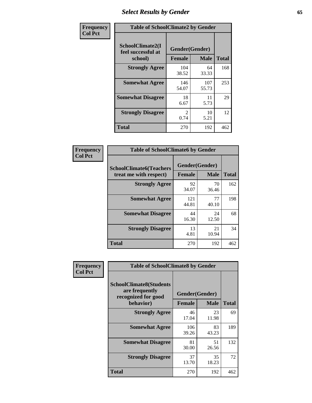# *Select Results by Gender* **65**

| Frequency      | <b>Table of SchoolClimate2 by Gender</b>          |                                 |              |              |  |
|----------------|---------------------------------------------------|---------------------------------|--------------|--------------|--|
| <b>Col Pct</b> | SchoolClimate2(I<br>feel successful at<br>school) | Gender(Gender)<br><b>Female</b> | <b>Male</b>  | <b>Total</b> |  |
|                | <b>Strongly Agree</b>                             | 104<br>38.52                    | 64<br>33.33  | 168          |  |
|                | <b>Somewhat Agree</b>                             | 146<br>54.07                    | 107<br>55.73 | 253          |  |
|                | <b>Somewhat Disagree</b>                          | 18<br>6.67                      | 11<br>5.73   | 29           |  |
|                | <b>Strongly Disagree</b>                          | $\mathfrak{D}$<br>0.74          | 10<br>5.21   | 12           |  |
|                | <b>Total</b>                                      | 270                             | 192          | 462          |  |

| <b>Frequency</b> | <b>Table of SchoolClimate6 by Gender</b>                 |               |                               |              |  |
|------------------|----------------------------------------------------------|---------------|-------------------------------|--------------|--|
| <b>Col Pct</b>   | <b>SchoolClimate6(Teachers</b><br>treat me with respect) | <b>Female</b> | Gender(Gender)<br><b>Male</b> | <b>Total</b> |  |
|                  | <b>Strongly Agree</b>                                    | 92<br>34.07   | 70<br>36.46                   | 162          |  |
|                  | <b>Somewhat Agree</b>                                    | 121<br>44.81  | 77<br>40.10                   | 198          |  |
|                  | <b>Somewhat Disagree</b>                                 | 44<br>16.30   | 24<br>12.50                   | 68           |  |
|                  | <b>Strongly Disagree</b>                                 | 13<br>4.81    | 21<br>10.94                   | 34           |  |
|                  | <b>Total</b>                                             | 270           | 192                           | 462          |  |

| Frequency      | <b>Table of SchoolClimate8 by Gender</b>                                             |                                 |             |              |
|----------------|--------------------------------------------------------------------------------------|---------------------------------|-------------|--------------|
| <b>Col Pct</b> | <b>SchoolClimate8(Students</b><br>are frequently<br>recognized for good<br>behavior) | Gender(Gender)<br><b>Female</b> | <b>Male</b> | <b>Total</b> |
|                | <b>Strongly Agree</b>                                                                | 46<br>17.04                     | 23<br>11.98 | 69           |
|                | <b>Somewhat Agree</b>                                                                | 106<br>39.26                    | 83<br>43.23 | 189          |
|                | <b>Somewhat Disagree</b>                                                             | 81<br>30.00                     | 51<br>26.56 | 132          |
|                | <b>Strongly Disagree</b>                                                             | 37<br>13.70                     | 35<br>18.23 | 72           |
|                | Total                                                                                | 270                             | 192         | 462          |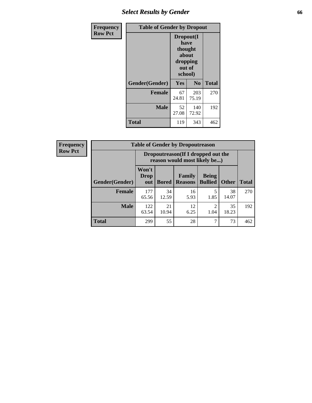# *Select Results by Gender* **66**

| Frequency      | <b>Table of Gender by Dropout</b> |                                                                        |                |              |
|----------------|-----------------------------------|------------------------------------------------------------------------|----------------|--------------|
| <b>Row Pct</b> |                                   | Dropout(I<br>have<br>thought<br>about<br>dropping<br>out of<br>school) |                |              |
|                | Gender(Gender)                    | Yes                                                                    | N <sub>0</sub> | <b>Total</b> |
|                | <b>Female</b>                     | 67<br>24.81                                                            | 203<br>75.19   | 270          |
|                | <b>Male</b>                       | 52<br>27.08                                                            | 140<br>72.92   | 192          |
|                | <b>Total</b>                      | 119                                                                    | 343            | 462          |

| <b>Frequency</b> |                       | <b>Table of Gender by Dropoutreason</b>                             |              |                          |                                |              |              |
|------------------|-----------------------|---------------------------------------------------------------------|--------------|--------------------------|--------------------------------|--------------|--------------|
| <b>Row Pct</b>   |                       | Dropoutreason (If I dropped out the<br>reason would most likely be) |              |                          |                                |              |              |
|                  | <b>Gender(Gender)</b> | Won't<br>Drop<br>out                                                | <b>Bored</b> | Family<br><b>Reasons</b> | <b>Being</b><br><b>Bullied</b> | <b>Other</b> | <b>Total</b> |
|                  | <b>Female</b>         | 177<br>65.56                                                        | 34<br>12.59  | 16<br>5.93               | 1.85                           | 38<br>14.07  | 270          |
|                  | <b>Male</b>           | 122<br>63.54                                                        | 21<br>10.94  | 12<br>6.25               | ↑<br>1.04                      | 35<br>18.23  | 192          |
|                  | <b>Total</b>          | 299                                                                 | 55           | 28                       |                                | 73           | 462          |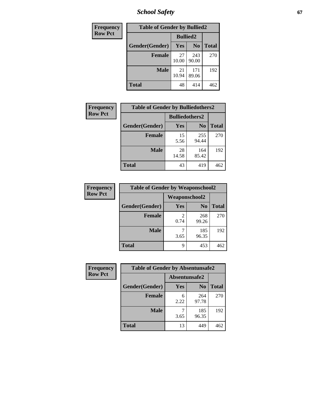*School Safety* **67**

| Frequency      | <b>Table of Gender by Bullied2</b> |                 |                |              |
|----------------|------------------------------------|-----------------|----------------|--------------|
| <b>Row Pct</b> |                                    | <b>Bullied2</b> |                |              |
|                | Gender(Gender)                     | Yes             | N <sub>0</sub> | <b>Total</b> |
|                | <b>Female</b>                      | 27<br>10.00     | 243<br>90.00   | 270          |
|                | <b>Male</b>                        | 21<br>10.94     | 171<br>89.06   | 192          |
|                | <b>Total</b>                       | 48              | 414            | 462          |

| Frequency      | <b>Table of Gender by Bulliedothers2</b> |                       |                |              |
|----------------|------------------------------------------|-----------------------|----------------|--------------|
| <b>Row Pct</b> |                                          | <b>Bulliedothers2</b> |                |              |
|                | Gender(Gender)                           | <b>Yes</b>            | N <sub>0</sub> | <b>Total</b> |
|                | <b>Female</b>                            | 15<br>5.56            | 255<br>94.44   | 270          |
|                | <b>Male</b>                              | 28<br>14.58           | 164<br>85.42   | 192          |
|                | <b>Total</b>                             | 43                    | 419            | 462          |

| Frequency      | <b>Table of Gender by Weaponschool2</b> |                      |                |              |
|----------------|-----------------------------------------|----------------------|----------------|--------------|
| <b>Row Pct</b> |                                         | <b>Weaponschool2</b> |                |              |
|                | Gender(Gender)                          | Yes                  | N <sub>0</sub> | <b>Total</b> |
|                | <b>Female</b>                           | 0.74                 | 268<br>99.26   | 270          |
|                | <b>Male</b>                             | 3.65                 | 185<br>96.35   | 192          |
|                | <b>Total</b>                            | 9                    | 453            | 462          |

| Frequency      | <b>Table of Gender by Absentunsafe2</b> |               |                |              |
|----------------|-----------------------------------------|---------------|----------------|--------------|
| <b>Row Pct</b> |                                         | Absentunsafe2 |                |              |
|                | Gender(Gender)                          | <b>Yes</b>    | N <sub>0</sub> | <b>Total</b> |
|                | <b>Female</b>                           | 6<br>2.22     | 264<br>97.78   | 270          |
|                | <b>Male</b>                             | 3.65          | 185<br>96.35   | 192          |
|                | <b>Total</b>                            | 13            | 449            | 462          |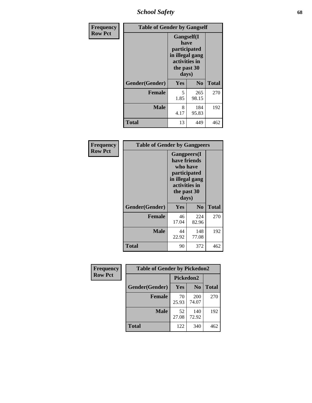*School Safety* **68**

| Frequency      | <b>Table of Gender by Gangself</b> |                                                                                                |                |              |
|----------------|------------------------------------|------------------------------------------------------------------------------------------------|----------------|--------------|
| <b>Row Pct</b> |                                    | Gangself(I<br>have<br>participated<br>in illegal gang<br>activities in<br>the past 30<br>days) |                |              |
|                | Gender(Gender)                     | Yes                                                                                            | N <sub>0</sub> | <b>Total</b> |
|                | <b>Female</b>                      | 5<br>1.85                                                                                      | 265<br>98.15   | 270          |
|                | <b>Male</b>                        | 8<br>4.17                                                                                      | 184<br>95.83   | 192          |
|                | <b>Total</b>                       | 13                                                                                             | 449            | 462          |

| Frequency      | <b>Table of Gender by Gangpeers</b> |                                                                                                                             |                |              |
|----------------|-------------------------------------|-----------------------------------------------------------------------------------------------------------------------------|----------------|--------------|
| <b>Row Pct</b> |                                     | <b>Gangpeers</b> (I<br>have friends<br>who have<br>participated<br>in illegal gang<br>activities in<br>the past 30<br>days) |                |              |
|                | Gender(Gender)                      | Yes                                                                                                                         | N <sub>0</sub> | <b>Total</b> |
|                | <b>Female</b>                       | 46<br>17.04                                                                                                                 | 224<br>82.96   | 270          |
|                | <b>Male</b>                         | 44<br>22.92                                                                                                                 | 148<br>77.08   | 192          |
|                | <b>Total</b>                        | 90                                                                                                                          | 372            | 462          |

| Frequency      | <b>Table of Gender by Pickedon2</b> |             |                |              |
|----------------|-------------------------------------|-------------|----------------|--------------|
| <b>Row Pct</b> |                                     | Pickedon2   |                |              |
|                | Gender(Gender)                      | <b>Yes</b>  | N <sub>0</sub> | <b>Total</b> |
|                | <b>Female</b>                       | 70<br>25.93 | 200<br>74.07   | 270          |
|                | <b>Male</b>                         | 52<br>27.08 | 140<br>72.92   | 192          |
|                | <b>Total</b>                        | 122         | 340            | 462          |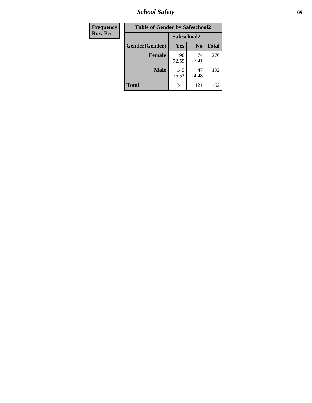*School Safety* **69**

| Frequency      | <b>Table of Gender by Safeschool2</b> |              |                |              |  |
|----------------|---------------------------------------|--------------|----------------|--------------|--|
| <b>Row Pct</b> |                                       | Safeschool2  |                |              |  |
|                | Gender(Gender)                        | <b>Yes</b>   | N <sub>0</sub> | <b>Total</b> |  |
|                | <b>Female</b>                         | 196<br>72.59 | 74<br>27.41    | 270          |  |
|                | Male                                  | 145<br>75.52 | 47<br>24.48    | 192          |  |
|                | <b>Total</b>                          | 341          | 121            | 462          |  |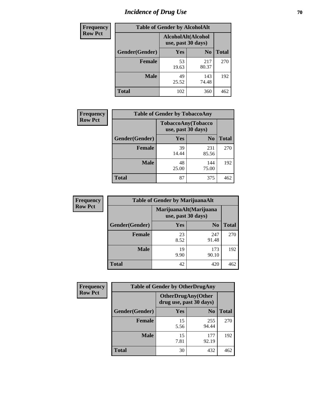# *Incidence of Drug Use* **70**

| <b>Frequency</b> | <b>Table of Gender by AlcoholAlt</b> |                                          |                |              |  |
|------------------|--------------------------------------|------------------------------------------|----------------|--------------|--|
| <b>Row Pct</b>   |                                      | AlcoholAlt(Alcohol<br>use, past 30 days) |                |              |  |
|                  | Gender(Gender)                       | <b>Yes</b>                               | N <sub>0</sub> | <b>Total</b> |  |
|                  | <b>Female</b>                        | 53<br>19.63                              | 217<br>80.37   | 270          |  |
|                  | <b>Male</b>                          | 49<br>25.52                              | 143<br>74.48   | 192          |  |
|                  | <b>Total</b>                         | 102                                      | 360            | 462          |  |

| Frequency      | <b>Table of Gender by TobaccoAny</b> |                    |                    |              |  |
|----------------|--------------------------------------|--------------------|--------------------|--------------|--|
| <b>Row Pct</b> |                                      | use, past 30 days) | TobaccoAny(Tobacco |              |  |
|                | Gender(Gender)                       | Yes                | N <sub>0</sub>     | <b>Total</b> |  |
|                | <b>Female</b>                        | 39<br>14.44        | 231<br>85.56       | 270          |  |
|                | <b>Male</b>                          | 48<br>25.00        | 144<br>75.00       | 192          |  |
|                | Total                                | 87                 | 375                | 462          |  |

| <b>Frequency</b> | <b>Table of Gender by MarijuanaAlt</b> |                                              |                |              |
|------------------|----------------------------------------|----------------------------------------------|----------------|--------------|
| <b>Row Pct</b>   |                                        | MarijuanaAlt(Marijuana<br>use, past 30 days) |                |              |
|                  | Gender(Gender)                         | Yes                                          | N <sub>0</sub> | <b>Total</b> |
|                  | <b>Female</b>                          | 23<br>8.52                                   | 247<br>91.48   | 270          |
|                  | <b>Male</b>                            | 19<br>9.90                                   | 173<br>90.10   | 192          |
|                  | <b>Total</b>                           | 42                                           | 420            | 462          |

| <b>Frequency</b> | <b>Table of Gender by OtherDrugAny</b> |                         |                           |              |  |
|------------------|----------------------------------------|-------------------------|---------------------------|--------------|--|
| <b>Row Pct</b>   |                                        | drug use, past 30 days) | <b>OtherDrugAny(Other</b> |              |  |
|                  | Gender(Gender)                         | <b>Yes</b>              | N <sub>0</sub>            | <b>Total</b> |  |
|                  | <b>Female</b>                          | 15<br>5.56              | 255<br>94.44              | 270          |  |
|                  | <b>Male</b>                            | 15<br>7.81              | 177<br>92.19              | 192          |  |
|                  | <b>Total</b>                           | 30                      | 432                       | 462          |  |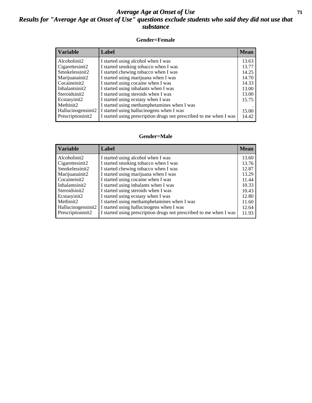#### *Average Age at Onset of Use* **71** *Results for "Average Age at Onset of Use" questions exclude students who said they did not use that substance*

#### **Gender=Female**

| <b>Variable</b>                 | <b>Label</b>                                                       | <b>Mean</b> |
|---------------------------------|--------------------------------------------------------------------|-------------|
| Alcoholinit2                    | I started using alcohol when I was                                 | 13.63       |
| Cigarettesinit2                 | I started smoking tobacco when I was                               | 13.77       |
| Smokelessinit2                  | I started chewing tobacco when I was                               | 14.25       |
| Marijuanainit2                  | I started using marijuana when I was                               | 14.70       |
| Cocaineinit2                    | I started using cocaine when I was                                 | 14.33       |
| Inhalantsinit2                  | I started using inhalants when I was                               | 13.00       |
| Steroidsinit2                   | I started using steroids when I was                                | 13.00       |
| Ecstasyinit2                    | I started using ecstasy when I was                                 | 15.75       |
| Methinit2                       | I started using methamphetamines when I was                        |             |
| Hallucinogensinit2              | I started using hallucinogens when I was                           | 15.00       |
| Prescription in it <sub>2</sub> | I started using prescription drugs not prescribed to me when I was | 14.42       |

#### **Gender=Male**

| <b>Variable</b>    | Label                                                              | <b>Mean</b> |
|--------------------|--------------------------------------------------------------------|-------------|
| Alcoholinit2       | I started using alcohol when I was                                 | 13.60       |
| Cigarettesinit2    | I started smoking tobacco when I was                               | 13.76       |
| Smokelessinit2     | I started chewing tobacco when I was                               | 12.87       |
| Marijuanainit2     | I started using marijuana when I was                               | 13.29       |
| Cocaineinit2       | I started using cocaine when I was                                 | 11.44       |
| Inhalantsinit2     | I started using inhalants when I was                               | 10.33       |
| Steroidsinit2      | I started using steroids when I was                                | 10.43       |
| Ecstasyinit2       | I started using ecstasy when I was                                 | 12.80       |
| Methinit2          | I started using methamphetamines when I was                        | 11.60       |
| Hallucinogensinit2 | I started using hallucinogens when I was                           | 12.64       |
| Prescriptioninit2  | I started using prescription drugs not prescribed to me when I was | 11.93       |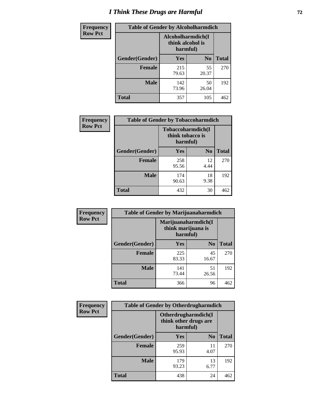# *I Think These Drugs are Harmful* **72**

| <b>Frequency</b> | <b>Table of Gender by Alcoholharmdich</b> |                                                   |                |              |  |
|------------------|-------------------------------------------|---------------------------------------------------|----------------|--------------|--|
| <b>Row Pct</b>   |                                           | Alcoholharmdich(I<br>think alcohol is<br>harmful) |                |              |  |
|                  | Gender(Gender)                            | <b>Yes</b>                                        | N <sub>0</sub> | <b>Total</b> |  |
|                  | <b>Female</b>                             | 215<br>79.63                                      | 55<br>20.37    | 270          |  |
|                  | <b>Male</b>                               | 142<br>73.96                                      | 50<br>26.04    | 192          |  |
|                  | <b>Total</b>                              | 357                                               | 105            | 462          |  |

| Frequency      | <b>Table of Gender by Tobaccoharmdich</b> |                              |                   |              |  |
|----------------|-------------------------------------------|------------------------------|-------------------|--------------|--|
| <b>Row Pct</b> |                                           | think tobacco is<br>harmful) | Tobaccoharmdich(I |              |  |
|                | Gender(Gender)                            | <b>Yes</b>                   | N <sub>0</sub>    | <b>Total</b> |  |
|                | <b>Female</b>                             | 258<br>95.56                 | 12<br>4.44        | 270          |  |
|                | <b>Male</b>                               | 174<br>90.63                 | 18<br>9.38        | 192          |  |
|                | <b>Total</b>                              | 432                          | 30                | 462          |  |

| Frequency      | <b>Table of Gender by Marijuanaharmdich</b> |                                                       |                |              |  |
|----------------|---------------------------------------------|-------------------------------------------------------|----------------|--------------|--|
| <b>Row Pct</b> |                                             | Marijuanaharmdich(I<br>think marijuana is<br>harmful) |                |              |  |
|                | Gender(Gender)                              | <b>Yes</b>                                            | N <sub>0</sub> | <b>Total</b> |  |
|                | <b>Female</b>                               | 225<br>83.33                                          | 45<br>16.67    | 270          |  |
|                | <b>Male</b>                                 | 141<br>73.44                                          | 51<br>26.56    | 192          |  |
|                | <b>Total</b>                                | 366                                                   | 96             | 462          |  |

| Frequency      | <b>Table of Gender by Otherdrugharmdich</b> |                                                          |                |              |  |
|----------------|---------------------------------------------|----------------------------------------------------------|----------------|--------------|--|
| <b>Row Pct</b> |                                             | Otherdrugharmdich(I<br>think other drugs are<br>harmful) |                |              |  |
|                | Gender(Gender)                              | Yes                                                      | N <sub>0</sub> | <b>Total</b> |  |
|                | <b>Female</b>                               | 259<br>95.93                                             | 11<br>4.07     | 270          |  |
|                | <b>Male</b>                                 | 179<br>93.23                                             | 13<br>6.77     | 192          |  |
|                | <b>Total</b>                                | 438                                                      | 24             | 462          |  |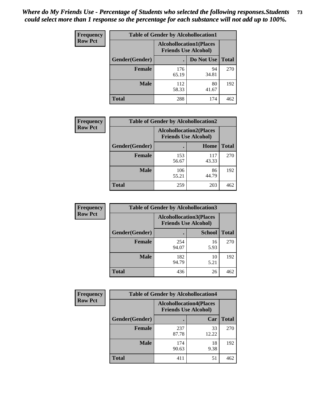| <b>Frequency</b> | <b>Table of Gender by Alcohollocation1</b> |                                                               |             |              |
|------------------|--------------------------------------------|---------------------------------------------------------------|-------------|--------------|
| <b>Row Pct</b>   |                                            | <b>Alcohollocation1(Places</b><br><b>Friends Use Alcohol)</b> |             |              |
|                  | Gender(Gender)                             |                                                               | Do Not Use  | <b>Total</b> |
|                  | <b>Female</b>                              | 176<br>65.19                                                  | 94<br>34.81 | 270          |
|                  | <b>Male</b>                                | 112<br>58.33                                                  | 80<br>41.67 | 192          |
|                  | <b>Total</b>                               | 288                                                           | 174         | 462          |

| <b>Frequency</b> | <b>Table of Gender by Alcohollocation2</b> |              |                                                               |              |
|------------------|--------------------------------------------|--------------|---------------------------------------------------------------|--------------|
| <b>Row Pct</b>   |                                            |              | <b>Alcohollocation2(Places</b><br><b>Friends Use Alcohol)</b> |              |
|                  | Gender(Gender)                             |              | Home                                                          | <b>Total</b> |
|                  | <b>Female</b>                              | 153<br>56.67 | 117<br>43.33                                                  | 270          |
|                  | <b>Male</b>                                | 106<br>55.21 | 86<br>44.79                                                   | 192          |
|                  | <b>Total</b>                               | 259          | 203                                                           | 462          |

| Frequency      | <b>Table of Gender by Alcohollocation3</b> |                                                               |               |              |
|----------------|--------------------------------------------|---------------------------------------------------------------|---------------|--------------|
| <b>Row Pct</b> |                                            | <b>Alcohollocation3(Places</b><br><b>Friends Use Alcohol)</b> |               |              |
|                | Gender(Gender)                             |                                                               | <b>School</b> | <b>Total</b> |
|                | <b>Female</b>                              | 254<br>94.07                                                  | 16<br>5.93    | 270          |
|                | <b>Male</b>                                | 182<br>94.79                                                  | 10<br>5.21    | 192          |
|                | <b>Total</b>                               | 436                                                           | 26            | 462          |

| Frequency      | <b>Table of Gender by Alcohollocation4</b> |                             |                                |              |
|----------------|--------------------------------------------|-----------------------------|--------------------------------|--------------|
| <b>Row Pct</b> |                                            | <b>Friends Use Alcohol)</b> | <b>Alcohollocation4(Places</b> |              |
|                | Gender(Gender)                             |                             | Car                            | <b>Total</b> |
|                | <b>Female</b>                              | 237<br>87.78                | 33<br>12.22                    | 270          |
|                | <b>Male</b>                                | 174<br>90.63                | 18<br>9.38                     | 192          |
|                | <b>Total</b>                               | 411                         | 51                             | 462          |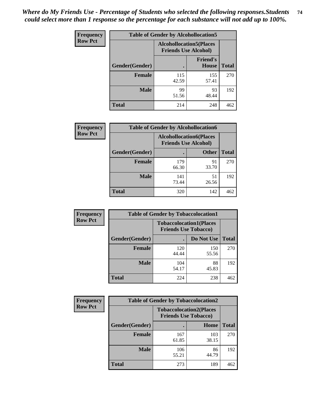| <b>Frequency</b> | <b>Table of Gender by Alcohollocation5</b> |              |                                                                |              |
|------------------|--------------------------------------------|--------------|----------------------------------------------------------------|--------------|
| <b>Row Pct</b>   |                                            |              | <b>Alcohollocation5</b> (Places<br><b>Friends Use Alcohol)</b> |              |
|                  | Gender(Gender)                             |              | <b>Friend's</b><br><b>House</b>                                | <b>Total</b> |
|                  | <b>Female</b>                              | 115<br>42.59 | 155<br>57.41                                                   | 270          |
|                  | <b>Male</b>                                | 99<br>51.56  | 93<br>48.44                                                    | 192          |
|                  | <b>Total</b>                               | 214          | 248                                                            | 462          |

| Frequency      | <b>Table of Gender by Alcohollocation6</b> |                                                               |              |              |
|----------------|--------------------------------------------|---------------------------------------------------------------|--------------|--------------|
| <b>Row Pct</b> |                                            | <b>Alcohollocation6(Places</b><br><b>Friends Use Alcohol)</b> |              |              |
|                | Gender(Gender)                             |                                                               | <b>Other</b> | <b>Total</b> |
|                | <b>Female</b>                              | 179<br>66.30                                                  | 91<br>33.70  | 270          |
|                | <b>Male</b>                                | 141<br>73.44                                                  | 51<br>26.56  | 192          |
|                | <b>Total</b>                               | 320                                                           | 142          | 462          |

| Frequency      | <b>Table of Gender by Tobaccolocation1</b> |                                                               |              |              |  |
|----------------|--------------------------------------------|---------------------------------------------------------------|--------------|--------------|--|
| <b>Row Pct</b> |                                            | <b>Tobaccolocation1(Places</b><br><b>Friends Use Tobacco)</b> |              |              |  |
|                | Gender(Gender)                             |                                                               | Do Not Use   | <b>Total</b> |  |
|                | Female                                     | 120<br>44.44                                                  | 150<br>55.56 | 270          |  |
|                | <b>Male</b>                                | 104<br>54.17                                                  | 88<br>45.83  | 192          |  |
|                | <b>Total</b>                               | 224                                                           | 238          | 462          |  |

| <b>Frequency</b> | <b>Table of Gender by Tobaccolocation2</b> |                             |                                |              |
|------------------|--------------------------------------------|-----------------------------|--------------------------------|--------------|
| <b>Row Pct</b>   |                                            | <b>Friends Use Tobacco)</b> | <b>Tobaccolocation2(Places</b> |              |
|                  | Gender(Gender)                             |                             | Home                           | <b>Total</b> |
|                  | Female                                     | 167<br>61.85                | 103<br>38.15                   | 270          |
|                  | <b>Male</b>                                | 106<br>55.21                | 86<br>44.79                    | 192          |
|                  | <b>Total</b>                               | 273                         | 189                            | 462          |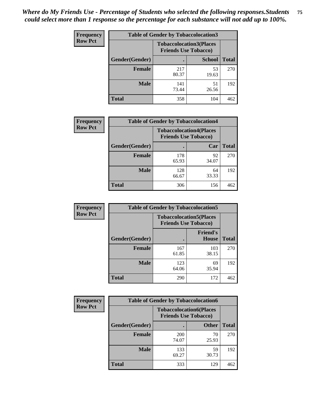| <b>Frequency</b> |                | <b>Table of Gender by Tobaccolocation3</b> |                                                               |              |
|------------------|----------------|--------------------------------------------|---------------------------------------------------------------|--------------|
| <b>Row Pct</b>   |                |                                            | <b>Tobaccolocation3(Places</b><br><b>Friends Use Tobacco)</b> |              |
|                  | Gender(Gender) |                                            | <b>School</b>                                                 | <b>Total</b> |
|                  | <b>Female</b>  | 217<br>80.37                               | 53<br>19.63                                                   | 270          |
|                  | <b>Male</b>    | 141<br>73.44                               | 51<br>26.56                                                   | 192          |
|                  | <b>Total</b>   | 358                                        | 104                                                           | 462          |

| <b>Frequency</b> | <b>Table of Gender by Tobaccolocation4</b> |                                                               |             |              |
|------------------|--------------------------------------------|---------------------------------------------------------------|-------------|--------------|
| <b>Row Pct</b>   |                                            | <b>Tobaccolocation4(Places</b><br><b>Friends Use Tobacco)</b> |             |              |
|                  | Gender(Gender)                             |                                                               | Car         | <b>Total</b> |
|                  | <b>Female</b>                              | 178<br>65.93                                                  | 92<br>34.07 | 270          |
|                  | <b>Male</b>                                | 128<br>66.67                                                  | 64<br>33.33 | 192          |
|                  | <b>Total</b>                               | 306                                                           | 156         | 462          |

| <b>Frequency</b> | <b>Table of Gender by Tobaccolocation5</b> |                                                               |                                 |              |  |
|------------------|--------------------------------------------|---------------------------------------------------------------|---------------------------------|--------------|--|
| <b>Row Pct</b>   |                                            | <b>Tobaccolocation5(Places</b><br><b>Friends Use Tobacco)</b> |                                 |              |  |
|                  | Gender(Gender)                             |                                                               | <b>Friend's</b><br><b>House</b> | <b>Total</b> |  |
|                  | <b>Female</b>                              | 167<br>61.85                                                  | 103<br>38.15                    | 270          |  |
|                  | <b>Male</b>                                | 123<br>64.06                                                  | 69<br>35.94                     | 192          |  |
|                  | <b>Total</b>                               | 290                                                           | 172                             | 462          |  |

| <b>Frequency</b> |                | <b>Table of Gender by Tobaccolocation6</b>                    |              |              |  |
|------------------|----------------|---------------------------------------------------------------|--------------|--------------|--|
| <b>Row Pct</b>   |                | <b>Tobaccolocation6(Places</b><br><b>Friends Use Tobacco)</b> |              |              |  |
|                  | Gender(Gender) |                                                               | <b>Other</b> | <b>Total</b> |  |
|                  | Female         | 200<br>74.07                                                  | 70<br>25.93  | 270          |  |
|                  | <b>Male</b>    | 133<br>69.27                                                  | 59<br>30.73  | 192          |  |
|                  | <b>Total</b>   | 333                                                           | 129          | 462          |  |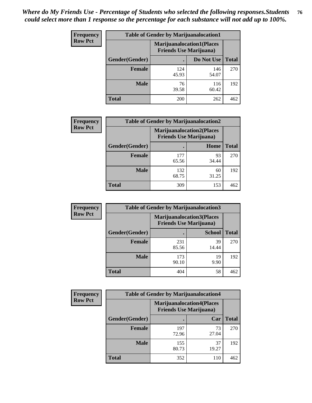| <b>Frequency</b> | <b>Table of Gender by Marijuanalocation1</b> |                                                                    |              |              |
|------------------|----------------------------------------------|--------------------------------------------------------------------|--------------|--------------|
| <b>Row Pct</b>   |                                              | <b>Marijuanalocation1(Places</b><br><b>Friends Use Marijuana</b> ) |              |              |
|                  | Gender(Gender)                               |                                                                    | Do Not Use   | <b>Total</b> |
|                  | <b>Female</b>                                | 124<br>45.93                                                       | 146<br>54.07 | 270          |
|                  | <b>Male</b>                                  | 76<br>39.58                                                        | 116<br>60.42 | 192          |
|                  | <b>Total</b>                                 | 200                                                                | 262          | 462          |

| <b>Frequency</b> | <b>Table of Gender by Marijuanalocation2</b> |                                                                    |             |              |
|------------------|----------------------------------------------|--------------------------------------------------------------------|-------------|--------------|
| <b>Row Pct</b>   |                                              | <b>Marijuanalocation2(Places</b><br><b>Friends Use Marijuana</b> ) |             |              |
|                  | Gender(Gender)                               |                                                                    | Home        | <b>Total</b> |
|                  | Female                                       | 177<br>65.56                                                       | 93<br>34.44 | 270          |
|                  | <b>Male</b>                                  | 132<br>68.75                                                       | 60<br>31.25 | 192          |
|                  | <b>Total</b>                                 | 309                                                                | 153         | 462          |

| Frequency      | <b>Table of Gender by Marijuanalocation3</b> |                                                                    |               |              |
|----------------|----------------------------------------------|--------------------------------------------------------------------|---------------|--------------|
| <b>Row Pct</b> |                                              | <b>Marijuanalocation3(Places</b><br><b>Friends Use Marijuana</b> ) |               |              |
|                | Gender(Gender)                               |                                                                    | <b>School</b> | <b>Total</b> |
|                | Female                                       | 231<br>85.56                                                       | 39<br>14.44   | 270          |
|                | <b>Male</b>                                  | 173<br>90.10                                                       | 19<br>9.90    | 192          |
|                | <b>Total</b>                                 | 404                                                                | 58            | 462          |

| <b>Frequency</b> | <b>Table of Gender by Marijuanalocation4</b> |                                                                    |             |              |
|------------------|----------------------------------------------|--------------------------------------------------------------------|-------------|--------------|
| <b>Row Pct</b>   |                                              | <b>Marijuanalocation4(Places</b><br><b>Friends Use Marijuana</b> ) |             |              |
|                  | Gender(Gender)                               |                                                                    | Car         | <b>Total</b> |
|                  | <b>Female</b>                                | 197<br>72.96                                                       | 73<br>27.04 | 270          |
|                  | <b>Male</b>                                  | 155<br>80.73                                                       | 37<br>19.27 | 192          |
|                  | <b>Total</b>                                 | 352                                                                | 110         | 462          |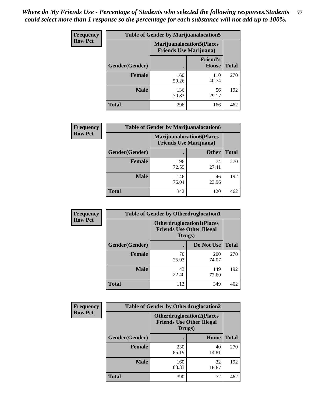| <b>Frequency</b> | <b>Table of Gender by Marijuanalocation5</b> |                                                                    |                          |              |
|------------------|----------------------------------------------|--------------------------------------------------------------------|--------------------------|--------------|
| <b>Row Pct</b>   |                                              | <b>Marijuanalocation5(Places</b><br><b>Friends Use Marijuana</b> ) |                          |              |
|                  | <b>Gender</b> (Gender)                       |                                                                    | <b>Friend's</b><br>House | <b>Total</b> |
|                  | <b>Female</b>                                | 160<br>59.26                                                       | 110<br>40.74             | 270          |
|                  | <b>Male</b>                                  | 136<br>70.83                                                       | 56<br>29.17              | 192          |
|                  | <b>Total</b>                                 | 296                                                                | 166                      | 462          |

| <b>Frequency</b> | <b>Table of Gender by Marijuanalocation6</b> |                                                                    |              |              |
|------------------|----------------------------------------------|--------------------------------------------------------------------|--------------|--------------|
| <b>Row Pct</b>   |                                              | <b>Marijuanalocation6(Places</b><br><b>Friends Use Marijuana</b> ) |              |              |
|                  | <b>Gender</b> (Gender)                       |                                                                    | <b>Other</b> | <b>Total</b> |
|                  | <b>Female</b>                                | 196<br>72.59                                                       | 74<br>27.41  | 270          |
|                  | <b>Male</b>                                  | 146<br>76.04                                                       | 46<br>23.96  | 192          |
|                  | <b>Total</b>                                 | 342                                                                | 120          | 462          |

| Frequency      | <b>Table of Gender by Otherdruglocation1</b> |                                                                                |              |              |
|----------------|----------------------------------------------|--------------------------------------------------------------------------------|--------------|--------------|
| <b>Row Pct</b> |                                              | <b>Otherdruglocation1(Places</b><br><b>Friends Use Other Illegal</b><br>Drugs) |              |              |
|                | Gender(Gender)                               |                                                                                | Do Not Use   | <b>Total</b> |
|                | <b>Female</b>                                | 70<br>25.93                                                                    | 200<br>74.07 | 270          |
|                | <b>Male</b>                                  | 43<br>22.40                                                                    | 149<br>77.60 | 192          |
|                | <b>Total</b>                                 | 113                                                                            | 349          | 462          |

| <b>Frequency</b> | <b>Table of Gender by Otherdruglocation2</b> |                                            |                                  |              |
|------------------|----------------------------------------------|--------------------------------------------|----------------------------------|--------------|
| <b>Row Pct</b>   |                                              | <b>Friends Use Other Illegal</b><br>Drugs) | <b>Otherdruglocation2(Places</b> |              |
|                  | Gender(Gender)                               |                                            | Home                             | <b>Total</b> |
|                  | Female                                       | 230<br>85.19                               | 40<br>14.81                      | 270          |
|                  | <b>Male</b>                                  | 160<br>83.33                               | 32<br>16.67                      | 192          |
|                  | <b>Total</b>                                 | 390                                        | 72                               | 462          |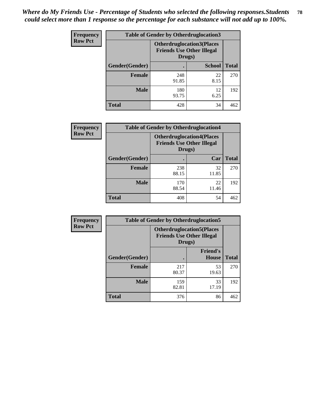| <b>Frequency</b> | <b>Table of Gender by Otherdruglocation3</b> |                                                                                |               |              |
|------------------|----------------------------------------------|--------------------------------------------------------------------------------|---------------|--------------|
| <b>Row Pct</b>   |                                              | <b>Otherdruglocation3(Places</b><br><b>Friends Use Other Illegal</b><br>Drugs) |               |              |
|                  | Gender(Gender)                               |                                                                                | <b>School</b> | <b>Total</b> |
|                  | <b>Female</b>                                | 248<br>91.85                                                                   | 22<br>8.15    | 270          |
|                  | <b>Male</b>                                  | 180<br>93.75                                                                   | 12<br>6.25    | 192          |
|                  | <b>Total</b>                                 | 428                                                                            | 34            | 462          |

| <b>Frequency</b> | <b>Table of Gender by Otherdruglocation4</b> |                                                                                |             |              |
|------------------|----------------------------------------------|--------------------------------------------------------------------------------|-------------|--------------|
| <b>Row Pct</b>   |                                              | <b>Otherdruglocation4(Places</b><br><b>Friends Use Other Illegal</b><br>Drugs) |             |              |
|                  | Gender(Gender)                               |                                                                                | Car         | <b>Total</b> |
|                  | <b>Female</b>                                | 238<br>88.15                                                                   | 32<br>11.85 | 270          |
|                  | <b>Male</b>                                  | 170<br>88.54                                                                   | 22<br>11.46 | 192          |
|                  | <b>Total</b>                                 | 408                                                                            | 54          | 462          |

| Frequency      | <b>Table of Gender by Otherdruglocation5</b> |                                                                                |                                 |              |
|----------------|----------------------------------------------|--------------------------------------------------------------------------------|---------------------------------|--------------|
| <b>Row Pct</b> |                                              | <b>Otherdruglocation5(Places</b><br><b>Friends Use Other Illegal</b><br>Drugs) |                                 |              |
|                | Gender(Gender)                               |                                                                                | <b>Friend's</b><br><b>House</b> | <b>Total</b> |
|                | <b>Female</b>                                | 217<br>80.37                                                                   | 53<br>19.63                     | 270          |
|                | <b>Male</b>                                  | 159<br>82.81                                                                   | 33<br>17.19                     | 192          |
|                | <b>Total</b>                                 | 376                                                                            | 86                              | 462          |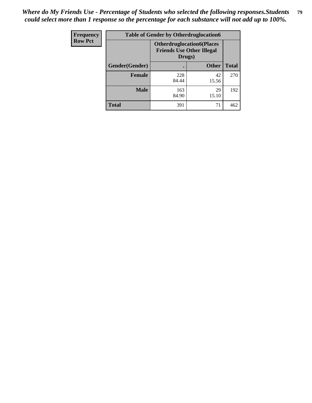| <b>Frequency</b> | <b>Table of Gender by Otherdruglocation6</b> |                                                                                |              |              |
|------------------|----------------------------------------------|--------------------------------------------------------------------------------|--------------|--------------|
| <b>Row Pct</b>   |                                              | <b>Otherdruglocation6(Places</b><br><b>Friends Use Other Illegal</b><br>Drugs) |              |              |
|                  | Gender(Gender)                               |                                                                                | <b>Other</b> | <b>Total</b> |
|                  | Female                                       | 228<br>84.44                                                                   | 42<br>15.56  | 270          |
|                  | <b>Male</b>                                  | 163<br>84.90                                                                   | 29<br>15.10  | 192          |
|                  | <b>Total</b>                                 | 391                                                                            | 71           | 462          |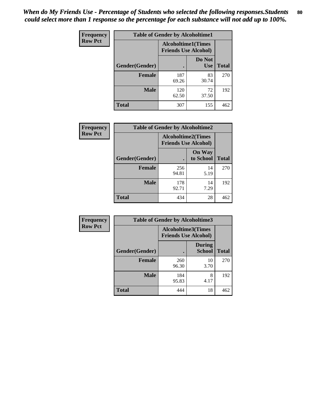| <b>Frequency</b> | <b>Table of Gender by Alcoholtime1</b> |                                                          |                      |              |
|------------------|----------------------------------------|----------------------------------------------------------|----------------------|--------------|
| <b>Row Pct</b>   |                                        | <b>Alcoholtime1(Times</b><br><b>Friends Use Alcohol)</b> |                      |              |
|                  | Gender(Gender)                         |                                                          | Do Not<br><b>Use</b> | <b>Total</b> |
|                  | <b>Female</b>                          | 187<br>69.26                                             | 83<br>30.74          | 270          |
|                  | <b>Male</b>                            | 120<br>62.50                                             | 72<br>37.50          | 192          |
|                  | <b>Total</b>                           | 307                                                      | 155                  | 462          |

| Frequency      | <b>Table of Gender by Alcoholtime2</b> |                                                          |                            |              |
|----------------|----------------------------------------|----------------------------------------------------------|----------------------------|--------------|
| <b>Row Pct</b> |                                        | <b>Alcoholtime2(Times</b><br><b>Friends Use Alcohol)</b> |                            |              |
|                | Gender(Gender)                         |                                                          | <b>On Way</b><br>to School | <b>Total</b> |
|                | <b>Female</b>                          | 256<br>94.81                                             | 14<br>5.19                 | 270          |
|                | <b>Male</b>                            | 178<br>92.71                                             | 14<br>7.29                 | 192          |
|                | <b>Total</b>                           | 434                                                      | 28                         | 462          |

| Frequency      | <b>Table of Gender by Alcoholtime3</b> |                                                   |                                |              |
|----------------|----------------------------------------|---------------------------------------------------|--------------------------------|--------------|
| <b>Row Pct</b> |                                        | Alcoholtime3(Times<br><b>Friends Use Alcohol)</b> |                                |              |
|                | Gender(Gender)                         |                                                   | <b>During</b><br><b>School</b> | <b>Total</b> |
|                | Female                                 | 260<br>96.30                                      | 10<br>3.70                     | 270          |
|                | <b>Male</b>                            | 184<br>95.83                                      | 8<br>4.17                      | 192          |
|                | <b>Total</b>                           | 444                                               | 18                             | 462          |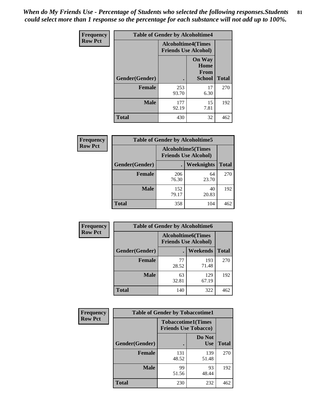*When do My Friends Use - Percentage of Students who selected the following responses.Students could select more than 1 response so the percentage for each substance will not add up to 100%.* **81**

| <b>Frequency</b> | <b>Table of Gender by Alcoholtime4</b> |                                                          |                                                |              |
|------------------|----------------------------------------|----------------------------------------------------------|------------------------------------------------|--------------|
| <b>Row Pct</b>   |                                        | <b>Alcoholtime4(Times</b><br><b>Friends Use Alcohol)</b> |                                                |              |
|                  | Gender(Gender)                         |                                                          | <b>On Way</b><br>Home<br>From<br><b>School</b> | <b>Total</b> |
|                  | <b>Female</b>                          | 253<br>93.70                                             | 17<br>6.30                                     | 270          |
|                  | <b>Male</b>                            | 177<br>92.19                                             | 15<br>7.81                                     | 192          |
|                  | <b>Total</b>                           | 430                                                      | 32                                             | 462          |

| <b>Frequency</b> | <b>Table of Gender by Alcoholtime5</b> |                                                           |             |              |
|------------------|----------------------------------------|-----------------------------------------------------------|-------------|--------------|
| <b>Row Pct</b>   |                                        | <b>Alcoholtime5</b> (Times<br><b>Friends Use Alcohol)</b> |             |              |
|                  | Gender(Gender)                         |                                                           | Weeknights  | <b>Total</b> |
|                  | <b>Female</b>                          | 206<br>76.30                                              | 64<br>23.70 | 270          |
|                  | <b>Male</b>                            | 152<br>79.17                                              | 40<br>20.83 | 192          |
|                  | <b>Total</b>                           | 358                                                       | 104         | 462          |

| <b>Frequency</b> |                | <b>Table of Gender by Alcoholtime6</b> |                                                           |              |
|------------------|----------------|----------------------------------------|-----------------------------------------------------------|--------------|
| <b>Row Pct</b>   |                |                                        | <b>Alcoholtime6</b> (Times<br><b>Friends Use Alcohol)</b> |              |
|                  | Gender(Gender) |                                        | Weekends                                                  | <b>Total</b> |
|                  | Female         | 77<br>28.52                            | 193<br>71.48                                              | 270          |
|                  | <b>Male</b>    | 63<br>32.81                            | 129<br>67.19                                              | 192          |
|                  | <b>Total</b>   | 140                                    | 322                                                       | 462          |

| Frequency      | <b>Table of Gender by Tobaccotime1</b> |                                                          |                      |              |
|----------------|----------------------------------------|----------------------------------------------------------|----------------------|--------------|
| <b>Row Pct</b> |                                        | <b>Tobaccotime1(Times</b><br><b>Friends Use Tobacco)</b> |                      |              |
|                | Gender(Gender)                         |                                                          | Do Not<br><b>Use</b> | <b>Total</b> |
|                | Female                                 | 131<br>48.52                                             | 139<br>51.48         | 270          |
|                | <b>Male</b>                            | 99<br>51.56                                              | 93<br>48.44          | 192          |
|                | <b>Total</b>                           | 230                                                      | 232                  | 462          |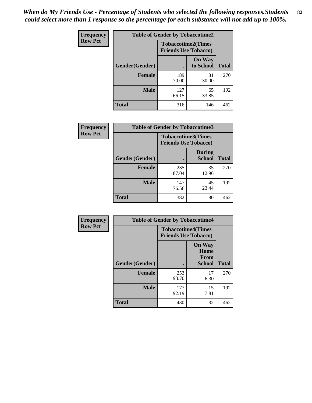*When do My Friends Use - Percentage of Students who selected the following responses.Students could select more than 1 response so the percentage for each substance will not add up to 100%.* **82**

| Frequency      | <b>Table of Gender by Tobaccotime2</b> |                                                          |                            |              |
|----------------|----------------------------------------|----------------------------------------------------------|----------------------------|--------------|
| <b>Row Pct</b> |                                        | <b>Tobaccotime2(Times</b><br><b>Friends Use Tobacco)</b> |                            |              |
|                | Gender(Gender)                         |                                                          | <b>On Way</b><br>to School | <b>Total</b> |
|                | <b>Female</b>                          | 189<br>70.00                                             | 81<br>30.00                | 270          |
|                | <b>Male</b>                            | 127<br>66.15                                             | 65<br>33.85                | 192          |
|                | Total                                  | 316                                                      | 146                        | 462          |

| <b>Frequency</b> | <b>Table of Gender by Tobaccotime3</b> |                             |                                |              |
|------------------|----------------------------------------|-----------------------------|--------------------------------|--------------|
| <b>Row Pct</b>   |                                        | <b>Friends Use Tobacco)</b> | <b>Tobaccotime3(Times</b>      |              |
|                  | Gender(Gender)                         |                             | <b>During</b><br><b>School</b> | <b>Total</b> |
|                  | <b>Female</b>                          | 235<br>87.04                | 35<br>12.96                    | 270          |
|                  | <b>Male</b>                            | 147<br>76.56                | 45<br>23.44                    | 192          |
|                  | <b>Total</b>                           | 382                         | 80                             | 462          |

| <b>Frequency</b> | <b>Table of Gender by Tobaccotime4</b> |                                                          |                                                |              |
|------------------|----------------------------------------|----------------------------------------------------------|------------------------------------------------|--------------|
| <b>Row Pct</b>   |                                        | <b>Tobaccotime4(Times</b><br><b>Friends Use Tobacco)</b> |                                                |              |
|                  | Gender(Gender)                         |                                                          | <b>On Way</b><br>Home<br>From<br><b>School</b> | <b>Total</b> |
|                  | <b>Female</b>                          | 253<br>93.70                                             | 17<br>6.30                                     | 270          |
|                  | <b>Male</b>                            | 177<br>92.19                                             | 15<br>7.81                                     | 192          |
|                  | <b>Total</b>                           | 430                                                      | 32                                             | 462          |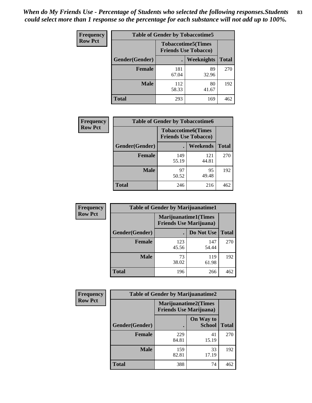| <b>Frequency</b> | <b>Table of Gender by Tobaccotime5</b> |              |                                                          |              |  |
|------------------|----------------------------------------|--------------|----------------------------------------------------------|--------------|--|
| <b>Row Pct</b>   |                                        |              | <b>Tobaccotime5(Times</b><br><b>Friends Use Tobacco)</b> |              |  |
|                  | <b>Gender</b> (Gender)                 |              | <b>Weeknights</b>                                        | <b>Total</b> |  |
|                  | <b>Female</b>                          | 181<br>67.04 | 89<br>32.96                                              | 270          |  |
|                  | <b>Male</b>                            | 112<br>58.33 | 80<br>41.67                                              | 192          |  |
|                  | <b>Total</b>                           | 293          | 169                                                      | 462          |  |

| Frequency      | <b>Table of Gender by Tobaccotime6</b> |                                                          |              |              |
|----------------|----------------------------------------|----------------------------------------------------------|--------------|--------------|
| <b>Row Pct</b> |                                        | <b>Tobaccotime6(Times</b><br><b>Friends Use Tobacco)</b> |              |              |
|                | Gender(Gender)                         |                                                          | Weekends     | <b>Total</b> |
|                | Female                                 | 149<br>55.19                                             | 121<br>44.81 | 270          |
|                | <b>Male</b>                            | 97<br>50.52                                              | 95<br>49.48  | 192          |
|                | <b>Total</b>                           | 246                                                      | 216          | 462          |

| <b>Frequency</b> | <b>Table of Gender by Marijuanatime1</b> |                                |                             |              |
|------------------|------------------------------------------|--------------------------------|-----------------------------|--------------|
| <b>Row Pct</b>   |                                          | <b>Friends Use Marijuana</b> ) | <b>Marijuanatime1(Times</b> |              |
|                  | Gender(Gender)                           |                                | Do Not Use                  | <b>Total</b> |
|                  | <b>Female</b>                            | 123<br>45.56                   | 147<br>54.44                | 270          |
|                  | <b>Male</b>                              | 73<br>38.02                    | 119<br>61.98                | 192          |
|                  | <b>Total</b>                             | 196                            | 266                         | 462          |

| <b>Frequency</b> | <b>Table of Gender by Marijuanatime2</b> |                                                        |                            |              |
|------------------|------------------------------------------|--------------------------------------------------------|----------------------------|--------------|
| <b>Row Pct</b>   |                                          | Marijuanatime2(Times<br><b>Friends Use Marijuana</b> ) |                            |              |
|                  | Gender(Gender)                           |                                                        | On Way to<br><b>School</b> | <b>Total</b> |
|                  | Female                                   | 229<br>84.81                                           | 41<br>15.19                | 270          |
|                  | <b>Male</b>                              | 159<br>82.81                                           | 33<br>17.19                | 192          |
|                  | <b>Total</b>                             | 388                                                    | 74                         | 462          |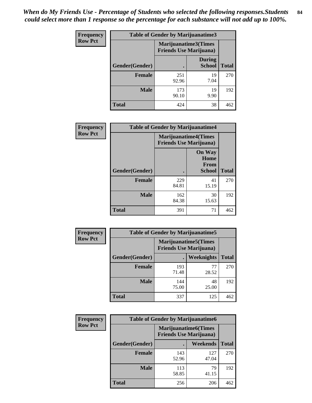*When do My Friends Use - Percentage of Students who selected the following responses.Students could select more than 1 response so the percentage for each substance will not add up to 100%.* **84**

| <b>Frequency</b> | Table of Gender by Marijuanatime3 |                                                        |                                |              |
|------------------|-----------------------------------|--------------------------------------------------------|--------------------------------|--------------|
| <b>Row Pct</b>   |                                   | Marijuanatime3(Times<br><b>Friends Use Marijuana</b> ) |                                |              |
|                  | Gender(Gender)                    |                                                        | <b>During</b><br><b>School</b> | <b>Total</b> |
|                  | <b>Female</b>                     | 251<br>92.96                                           | 19<br>7.04                     | 270          |
|                  | <b>Male</b>                       | 173<br>90.10                                           | 19<br>9.90                     | 192          |
|                  | <b>Total</b>                      | 424                                                    | 38                             | 462          |

| Frequency      | <b>Table of Gender by Marijuanatime4</b> |                                |                                                       |              |
|----------------|------------------------------------------|--------------------------------|-------------------------------------------------------|--------------|
| <b>Row Pct</b> |                                          | <b>Friends Use Marijuana</b> ) | <b>Marijuanatime4</b> (Times                          |              |
|                | Gender(Gender)                           |                                | <b>On Way</b><br>Home<br><b>From</b><br><b>School</b> | <b>Total</b> |
|                | <b>Female</b>                            | 229<br>84.81                   | 41<br>15.19                                           | 270          |
|                | <b>Male</b>                              | 162<br>84.38                   | 30<br>15.63                                           | 192          |
|                | <b>Total</b>                             | 391                            | 71                                                    | 462          |

| Frequency      | <b>Table of Gender by Marijuanatime5</b> |                                                                |             |              |  |
|----------------|------------------------------------------|----------------------------------------------------------------|-------------|--------------|--|
| <b>Row Pct</b> |                                          | <b>Marijuanatime5</b> (Times<br><b>Friends Use Marijuana</b> ) |             |              |  |
|                | Gender(Gender)                           |                                                                | Weeknights  | <b>Total</b> |  |
|                | <b>Female</b>                            | 193<br>71.48                                                   | 77<br>28.52 | 270          |  |
|                | <b>Male</b>                              | 144<br>75.00                                                   | 48<br>25.00 | 192          |  |
|                | <b>Total</b>                             | 337                                                            | 125         | 462          |  |

| Frequency      | <b>Table of Gender by Marijuanatime6</b> |                                                                |                 |              |  |
|----------------|------------------------------------------|----------------------------------------------------------------|-----------------|--------------|--|
| <b>Row Pct</b> |                                          | <b>Marijuanatime6</b> (Times<br><b>Friends Use Marijuana</b> ) |                 |              |  |
|                | Gender(Gender)                           |                                                                | <b>Weekends</b> | <b>Total</b> |  |
|                | <b>Female</b>                            | 143<br>52.96                                                   | 127<br>47.04    | 270          |  |
|                | <b>Male</b>                              | 113<br>58.85                                                   | 79<br>41.15     | 192          |  |
|                | <b>Total</b>                             | 256                                                            | 206             | 462          |  |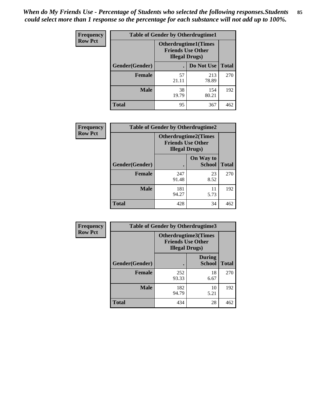*When do My Friends Use - Percentage of Students who selected the following responses.Students could select more than 1 response so the percentage for each substance will not add up to 100%.* **85**

| <b>Frequency</b> | <b>Table of Gender by Otherdrugtime1</b> |                                                                                    |              |              |  |
|------------------|------------------------------------------|------------------------------------------------------------------------------------|--------------|--------------|--|
| <b>Row Pct</b>   |                                          | <b>Otherdrugtime1</b> (Times<br><b>Friends Use Other</b><br><b>Illegal Drugs</b> ) |              |              |  |
|                  | Gender(Gender)                           |                                                                                    | Do Not Use   | <b>Total</b> |  |
|                  | <b>Female</b>                            | 57<br>21.11                                                                        | 213<br>78.89 | 270          |  |
|                  | <b>Male</b>                              | 38<br>19.79                                                                        | 154<br>80.21 | 192          |  |
|                  | <b>Total</b>                             | 95                                                                                 | 367          | 462          |  |

| Frequency      | <b>Table of Gender by Otherdrugtime2</b> |                        |                                                         |              |
|----------------|------------------------------------------|------------------------|---------------------------------------------------------|--------------|
| <b>Row Pct</b> |                                          | <b>Illegal Drugs</b> ) | <b>Otherdrugtime2(Times</b><br><b>Friends Use Other</b> |              |
|                | Gender(Gender)                           |                        | On Way to<br><b>School</b>                              | <b>Total</b> |
|                | <b>Female</b>                            | 247<br>91.48           | 23<br>8.52                                              | 270          |
|                | <b>Male</b>                              | 181<br>94.27           | 11<br>5.73                                              | 192          |
|                | <b>Total</b>                             | 428                    | 34                                                      | 462          |

| Frequency      | <b>Table of Gender by Otherdrugtime3</b> |                       |                                                  |              |
|----------------|------------------------------------------|-----------------------|--------------------------------------------------|--------------|
| <b>Row Pct</b> |                                          | <b>Illegal Drugs)</b> | Otherdrugtime3(Times<br><b>Friends Use Other</b> |              |
|                | Gender(Gender)                           |                       | <b>During</b><br><b>School</b>                   | <b>Total</b> |
|                | <b>Female</b>                            | 252<br>93.33          | 18<br>6.67                                       | 270          |
|                | <b>Male</b>                              | 182<br>94.79          | 10<br>5.21                                       | 192          |
|                | <b>Total</b>                             | 434                   | 28                                               | 462          |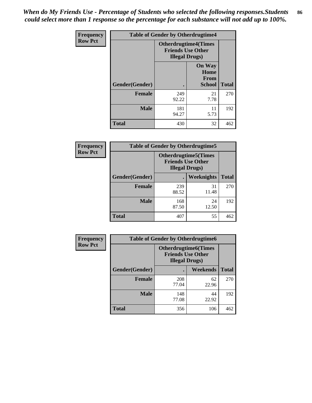*When do My Friends Use - Percentage of Students who selected the following responses.Students could select more than 1 response so the percentage for each substance will not add up to 100%.* **86**

| <b>Frequency</b> | <b>Table of Gender by Otherdrugtime4</b> |                                                    |                                                       |              |
|------------------|------------------------------------------|----------------------------------------------------|-------------------------------------------------------|--------------|
| <b>Row Pct</b>   |                                          | <b>Friends Use Other</b><br><b>Illegal Drugs</b> ) | <b>Otherdrugtime4(Times</b>                           |              |
|                  | Gender(Gender)                           |                                                    | <b>On Way</b><br>Home<br><b>From</b><br><b>School</b> | <b>Total</b> |
|                  | <b>Female</b>                            | 249<br>92.22                                       | 21<br>7.78                                            | 270          |
|                  | <b>Male</b>                              | 181<br>94.27                                       | 11<br>5.73                                            | 192          |
|                  | <b>Total</b>                             | 430                                                | 32                                                    | 462          |

| <b>Frequency</b> | <b>Table of Gender by Otherdrugtime5</b> |                                                                                    |             |              |
|------------------|------------------------------------------|------------------------------------------------------------------------------------|-------------|--------------|
| <b>Row Pct</b>   |                                          | <b>Otherdrugtime5</b> (Times<br><b>Friends Use Other</b><br><b>Illegal Drugs</b> ) |             |              |
|                  | Gender(Gender)                           |                                                                                    | Weeknights  | <b>Total</b> |
|                  | <b>Female</b>                            | 239<br>88.52                                                                       | 31<br>11.48 | 270          |
|                  | <b>Male</b>                              | 168<br>87.50                                                                       | 24<br>12.50 | 192          |
|                  | <b>Total</b>                             | 407                                                                                | 55          | 462          |

| <b>Frequency</b> | <b>Table of Gender by Otherdrugtime6</b> |                                                                                   |             |              |
|------------------|------------------------------------------|-----------------------------------------------------------------------------------|-------------|--------------|
| <b>Row Pct</b>   |                                          | <b>Otherdrugtime6(Times</b><br><b>Friends Use Other</b><br><b>Illegal Drugs</b> ) |             |              |
|                  | Gender(Gender)                           |                                                                                   | Weekends    | <b>Total</b> |
|                  | <b>Female</b>                            | 208<br>77.04                                                                      | 62<br>22.96 | 270          |
|                  | <b>Male</b>                              | 148<br>77.08                                                                      | 44<br>22.92 | 192          |
|                  | <b>Total</b>                             | 356                                                                               | 106         | 462          |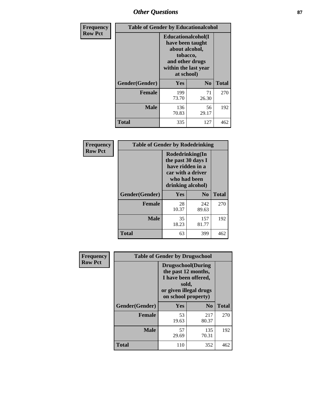## *Other Questions* **87**

| <b>Frequency</b> | <b>Table of Gender by Educationalcohol</b> |                                                                                                                                       |                |              |  |
|------------------|--------------------------------------------|---------------------------------------------------------------------------------------------------------------------------------------|----------------|--------------|--|
| <b>Row Pct</b>   |                                            | <b>Educationalcohol</b> (I<br>have been taught<br>about alcohol,<br>tobacco,<br>and other drugs<br>within the last year<br>at school) |                |              |  |
|                  | Gender(Gender)                             | <b>Yes</b>                                                                                                                            | N <sub>0</sub> | <b>Total</b> |  |
|                  | <b>Female</b>                              | 199<br>73.70                                                                                                                          | 71<br>26.30    | 270          |  |
|                  | <b>Male</b>                                | 136<br>70.83                                                                                                                          | 56<br>29.17    | 192          |  |
|                  | <b>Total</b>                               | 335                                                                                                                                   | 127            | 462          |  |

| Frequency      | <b>Table of Gender by Rodedrinking</b> |                                                                                                                     |              |              |
|----------------|----------------------------------------|---------------------------------------------------------------------------------------------------------------------|--------------|--------------|
| <b>Row Pct</b> |                                        | Rodedrinking(In<br>the past 30 days I<br>have ridden in a<br>car with a driver<br>who had been<br>drinking alcohol) |              |              |
|                | Gender(Gender)                         | Yes                                                                                                                 | $\bf N_0$    | <b>Total</b> |
|                | <b>Female</b>                          | 28<br>10.37                                                                                                         | 242<br>89.63 | 270          |
|                | <b>Male</b>                            | 35<br>18.23                                                                                                         | 157<br>81.77 | 192          |
|                | <b>Total</b>                           | 63                                                                                                                  | 399          | 462          |

| Frequency      | <b>Table of Gender by Drugsschool</b> |                                                                                                                                     |                |              |  |
|----------------|---------------------------------------|-------------------------------------------------------------------------------------------------------------------------------------|----------------|--------------|--|
| <b>Row Pct</b> |                                       | <b>Drugsschool</b> (During<br>the past 12 months,<br>I have been offered,<br>sold,<br>or given illegal drugs<br>on school property) |                |              |  |
|                | Gender(Gender)                        | <b>Yes</b>                                                                                                                          | N <sub>0</sub> | <b>Total</b> |  |
|                | <b>Female</b>                         | 53<br>19.63                                                                                                                         | 217<br>80.37   | 270          |  |
|                | <b>Male</b>                           | 57<br>29.69                                                                                                                         | 135<br>70.31   | 192          |  |
|                | <b>Total</b>                          | 110                                                                                                                                 | 352            | 462          |  |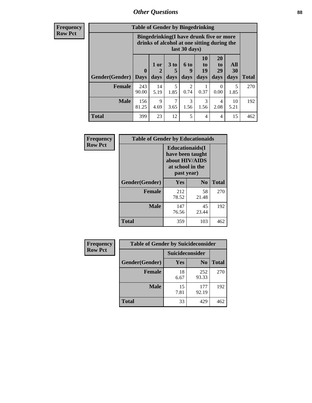### *Other Questions* **88**

**Frequency Row Pct**

| <b>Table of Gender by Bingedrinking</b> |                         |                                                                                                         |                   |                   |                        |                               |                   |              |
|-----------------------------------------|-------------------------|---------------------------------------------------------------------------------------------------------|-------------------|-------------------|------------------------|-------------------------------|-------------------|--------------|
|                                         |                         | Bingedrinking(I have drunk five or more<br>drinks of alcohol at one sitting during the<br>last 30 days) |                   |                   |                        |                               |                   |              |
| <b>Gender</b> (Gender)                  | $\bf{0}$<br><b>Days</b> | 1 or<br>days                                                                                            | 3 to<br>5<br>days | 6 to<br>9<br>days | 10<br>to<br>19<br>days | <b>20</b><br>to<br>29<br>days | All<br>30<br>days | <b>Total</b> |
|                                         |                         |                                                                                                         |                   |                   |                        |                               |                   |              |
| <b>Female</b>                           | 243<br>90.00            | 14<br>5.19                                                                                              | 5<br>1.85         | 2<br>0.74         | 0.37                   | 0<br>0.00                     | 5<br>1.85         | 270          |
| <b>Male</b>                             | 156<br>81.25            | 9<br>4.69                                                                                               | 7<br>3.65         | 3<br>1.56         | 3<br>1.56              | 4<br>2.08                     | 10<br>5.21        | 192          |

| Frequency      | <b>Table of Gender by Educationaids</b> |                                                                                                 |                |              |  |
|----------------|-----------------------------------------|-------------------------------------------------------------------------------------------------|----------------|--------------|--|
| <b>Row Pct</b> |                                         | <b>Educationaids</b> (I<br>have been taught<br>about HIV/AIDS<br>at school in the<br>past year) |                |              |  |
|                | Gender(Gender)                          | Yes                                                                                             | $\mathbf{N_0}$ | <b>Total</b> |  |
|                | <b>Female</b>                           | 212<br>78.52                                                                                    | 58<br>21.48    | 270          |  |
|                | <b>Male</b>                             | 147<br>76.56                                                                                    | 45<br>23.44    | 192          |  |
|                | <b>Total</b>                            | 359                                                                                             | 103            | 462          |  |

| <b>Frequency</b> | <b>Table of Gender by Suicideconsider</b> |                 |                |       |  |
|------------------|-------------------------------------------|-----------------|----------------|-------|--|
| <b>Row Pct</b>   |                                           | Suicideconsider |                |       |  |
|                  | Gender(Gender)                            | Yes             | N <sub>0</sub> | Total |  |
|                  | <b>Female</b>                             | 18<br>6.67      | 252<br>93.33   | 270   |  |
|                  | <b>Male</b>                               | 15<br>7.81      | 177<br>92.19   | 192   |  |
|                  | <b>Total</b>                              | 33              | 429            | 462   |  |